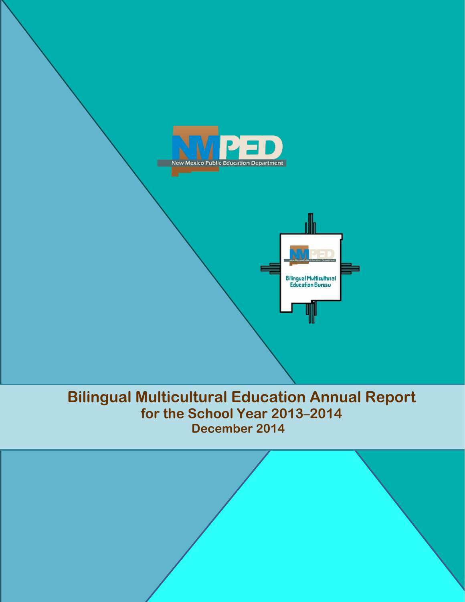

# **Bilingual Multicultural Education Annual Report for the School Year 2013**–**2014 December 2014**

Bilingual Multicultural<br>Education Bureau

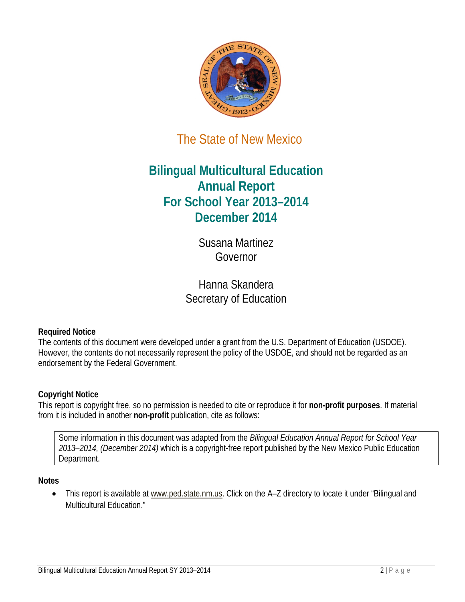

The State of New Mexico

# **Bilingual Multicultural Education Annual Report For School Year 2013–2014 December 2014**

Susana Martinez Governor

Hanna Skandera Secretary of Education

#### **Required Notice**

The contents of this document were developed under a grant from the U.S. Department of Education (USDOE). However, the contents do not necessarily represent the policy of the USDOE, and should not be regarded as an endorsement by the Federal Government.

#### **Copyright Notice**

This report is copyright free, so no permission is needed to cite or reproduce it for **non-profit purposes**. If material from it is included in another **non-profit** publication, cite as follows:

Some information in this document was adapted from the *Bilingual Education Annual Report for School Year 2013–2014, (December 2014)* which is a copyright-free report published by the New Mexico Public Education Department.

#### **Notes**

• This report is available at [www.ped.state.nm.us.](http://www.ped.state.nm.us/) Click on the A–Z directory to locate it under "Bilingual and Multicultural Education."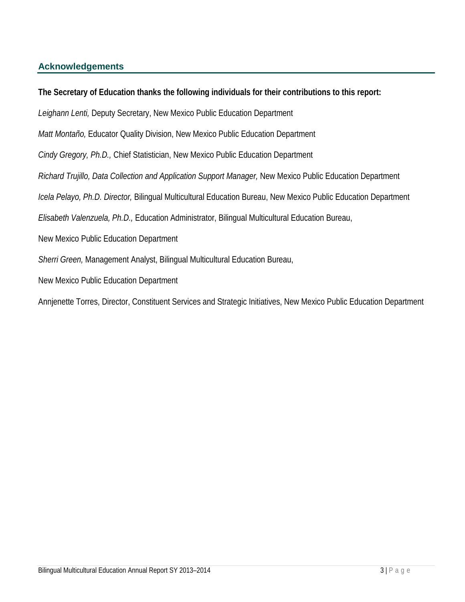#### <span id="page-2-0"></span>**Acknowledgements**

**The Secretary of Education thanks the following individuals for their contributions to this report:**

*Leighann Lenti,* Deputy Secretary, New Mexico Public Education Department

*Matt Montaño,* Educator Quality Division, New Mexico Public Education Department

*Cindy Gregory, Ph.D.,* Chief Statistician, New Mexico Public Education Department

*Richard Trujillo, Data Collection and Application Support Manager,* New Mexico Public Education Department

*Icela Pelayo, Ph.D. Director,* Bilingual Multicultural Education Bureau, New Mexico Public Education Department

*Elisabeth Valenzuela, Ph.D.,* Education Administrator, Bilingual Multicultural Education Bureau,

New Mexico Public Education Department

*Sherri Green,* Management Analyst, Bilingual Multicultural Education Bureau,

New Mexico Public Education Department

Annjenette Torres, Director, Constituent Services and Strategic Initiatives, New Mexico Public Education Department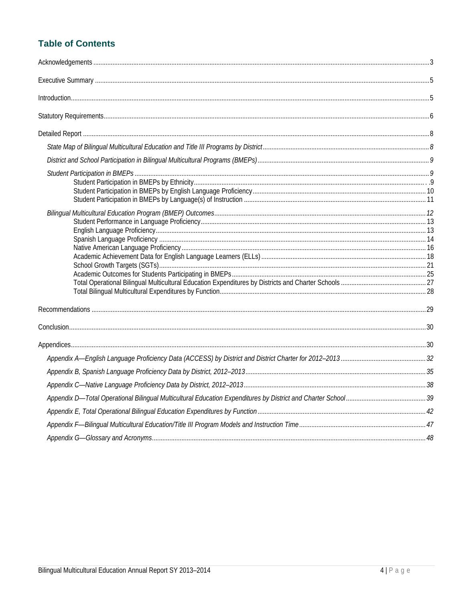### **Table of Contents**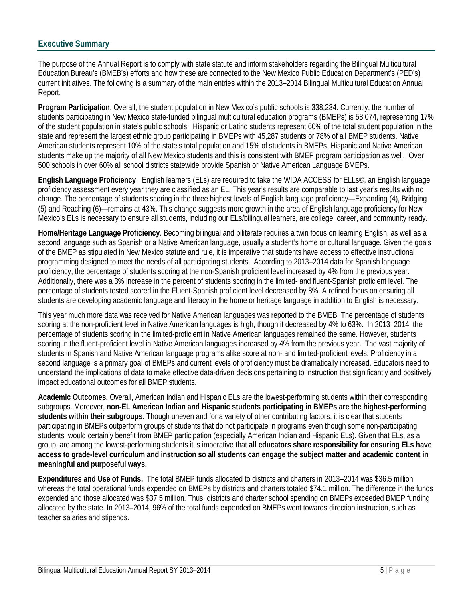<span id="page-4-1"></span><span id="page-4-0"></span>The purpose of the Annual Report is to comply with state statute and inform stakeholders regarding the Bilingual Multicultural Education Bureau's (BMEB's) efforts and how these are connected to the New Mexico Public Education Department's (PED's) current initiatives. The following is a summary of the main entries within the 2013–2014 Bilingual Multicultural Education Annual Report.

**Program Participation**. Overall, the student population in New Mexico's public schools is 338,234. Currently, the number of students participating in New Mexico state-funded bilingual multicultural education programs (BMEPs) is 58,074, representing 17% of the student population in state's public schools. Hispanic or Latino students represent 60% of the total student population in the state and represent the largest ethnic group participating in BMEPs with 45,287 students or 78% of all BMEP students. Native American students represent 10% of the state's total population and 15% of students in BMEPs. Hispanic and Native American students make up the majority of all New Mexico students and this is consistent with BMEP program participation as well. Over 500 schools in over 60% all school districts statewide provide Spanish or Native American Language BMEPs.

**English Language Proficiency**. English learners (ELs) are required to take the WIDA ACCESS for ELLs©, an English language proficiency assessment every year they are classified as an EL. This year's results are comparable to last year's results with no change. The percentage of students scoring in the three highest levels of English language proficiency—Expanding (4), Bridging (5) and Reaching (6)—remains at 43%. This change suggests more growth in the area of English language proficiency for New Mexico's ELs is necessary to ensure all students, including our ELs/bilingual learners, are college, career, and community ready.

**Home/Heritage Language Proficiency**. Becoming bilingual and biliterate requires a twin focus on learning English, as well as a second language such as Spanish or a Native American language, usually a student's home or cultural language. Given the goals of the BMEP as stipulated in New Mexico statute and rule, it is imperative that students have access to effective instructional programming designed to meet the needs of all participating students. According to 2013–2014 data for Spanish language proficiency, the percentage of students scoring at the non-Spanish proficient level increased by 4% from the previous year. Additionally, there was a 3% increase in the percent of students scoring in the limited- and fluent-Spanish proficient level. The percentage of students tested scored in the Fluent-Spanish proficient level decreased by 8%. A refined focus on ensuring all students are developing academic language and literacy in the home or heritage language in addition to English is necessary.

This year much more data was received for Native American languages was reported to the BMEB. The percentage of students scoring at the non-proficient level in Native American languages is high, though it decreased by 4% to 63%. In 2013–2014, the percentage of students scoring in the limited-proficient in Native American languages remained the same. However, students scoring in the fluent-proficient level in Native American languages increased by 4% from the previous year. The vast majority of students in Spanish and Native American language programs alike score at non- and limited-proficient levels. Proficiency in a second language is a primary goal of BMEPs and current levels of proficiency must be dramatically increased. Educators need to understand the implications of data to make effective data-driven decisions pertaining to instruction that significantly and positively impact educational outcomes for all BMEP students.

**Academic Outcomes.** Overall, American Indian and Hispanic ELs are the lowest-performing students within their corresponding subgroups. Moreover, **non-EL American Indian and Hispanic students participating in BMEPs are the highest-performing students within their subgroups**. Though uneven and for a variety of other contributing factors, it is clear that students participating in BMEPs outperform groups of students that do not participate in programs even though some non-participating students would certainly benefit from BMEP participation (especially American Indian and Hispanic ELs). Given that ELs, as a group, are among the lowest-performing students it is imperative that **all educators share responsibility for ensuring ELs have access to grade-level curriculum and instruction so all students can engage the subject matter and academic content in meaningful and purposeful ways.** 

**Expenditures and Use of Funds.** The total BMEP funds allocated to districts and charters in 2013–2014 was \$36.5 million whereas the total operational funds expended on BMEPs by districts and charters totaled \$74.1 million. The difference in the funds expended and those allocated was \$37.5 million. Thus, districts and charter school spending on BMEPs exceeded BMEP funding allocated by the state. In 2013–2014, 96% of the total funds expended on BMEPs went towards direction instruction, such as teacher salaries and stipends.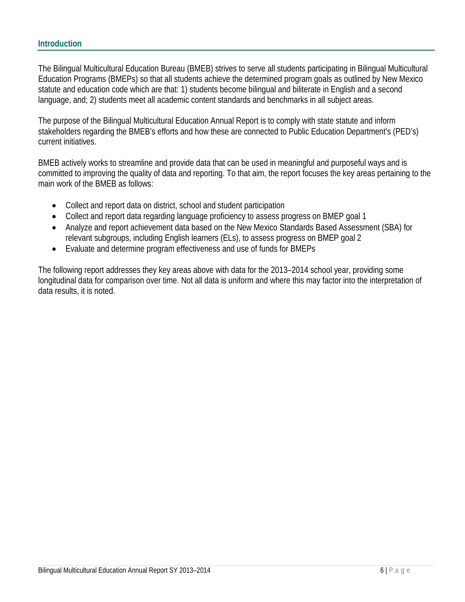<span id="page-5-0"></span>The Bilingual Multicultural Education Bureau (BMEB) strives to serve all students participating in Bilingual Multicultural Education Programs (BMEPs) so that all students achieve the determined program goals as outlined by New Mexico statute and education code which are that: 1) students become bilingual and biliterate in English and a second language, and; 2) students meet all academic content standards and benchmarks in all subject areas.

The purpose of the Bilingual Multicultural Education Annual Report is to comply with state statute and inform stakeholders regarding the BMEB's efforts and how these are connected to Public Education Department's (PED's) current initiatives.

BMEB actively works to streamline and provide data that can be used in meaningful and purposeful ways and is committed to improving the quality of data and reporting. To that aim, the report focuses the key areas pertaining to the main work of the BMEB as follows:

- Collect and report data on district, school and student participation
- Collect and report data regarding language proficiency to assess progress on BMEP goal 1
- Analyze and report achievement data based on the New Mexico Standards Based Assessment (SBA) for relevant subgroups, including English learners (ELs), to assess progress on BMEP goal 2
- Evaluate and determine program effectiveness and use of funds for BMEPs

The following report addresses they key areas above with data for the 2013–2014 school year, providing some longitudinal data for comparison over time. Not all data is uniform and where this may factor into the interpretation of data results, it is noted.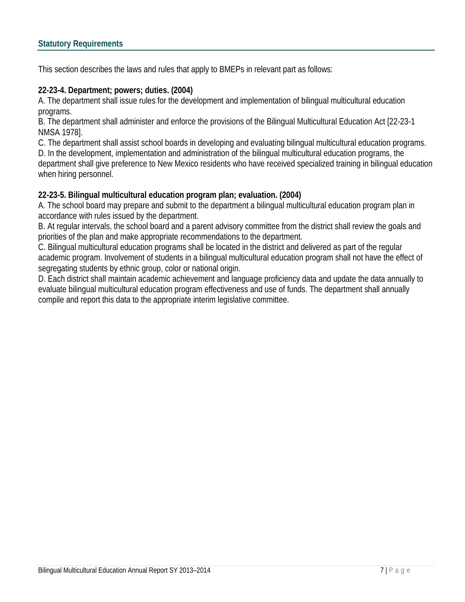This section describes the laws and rules that apply to BMEPs in relevant part as follows:

#### **22-23-4. Department; powers; duties. (2004)**

A. The department shall issue rules for the development and implementation of bilingual multicultural education programs.

B. The department shall administer and enforce the provisions of the Bilingual Multicultural Education Act [22-23-1 NMSA 1978].

C. The department shall assist school boards in developing and evaluating bilingual multicultural education programs.

D. In the development, implementation and administration of the bilingual multicultural education programs, the department shall give preference to New Mexico residents who have received specialized training in bilingual education when hiring personnel.

#### **22-23-5. Bilingual multicultural education program plan; evaluation. (2004)**

A. The school board may prepare and submit to the department a bilingual multicultural education program plan in accordance with rules issued by the department.

B. At regular intervals, the school board and a parent advisory committee from the district shall review the goals and priorities of the plan and make appropriate recommendations to the department.

C. Bilingual multicultural education programs shall be located in the district and delivered as part of the regular academic program. Involvement of students in a bilingual multicultural education program shall not have the effect of segregating students by ethnic group, color or national origin.

D. Each district shall maintain academic achievement and language proficiency data and update the data annually to evaluate bilingual multicultural education program effectiveness and use of funds. The department shall annually compile and report this data to the appropriate interim legislative committee.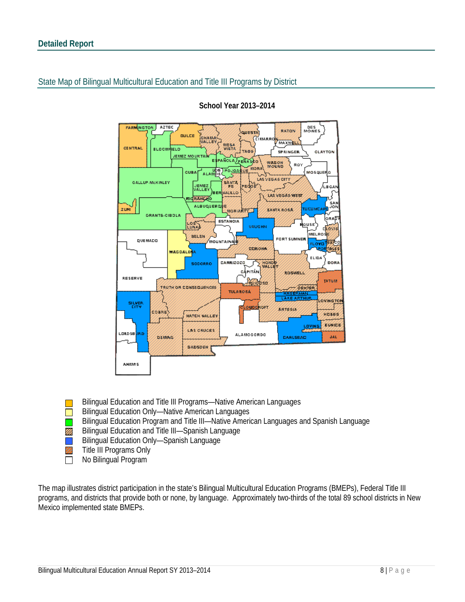#### <span id="page-7-1"></span><span id="page-7-0"></span>State Map of Bilingual Multicultural Education and Title III Programs by District



**School Year 2013–2014**

- Bilingual Education and Title III Programs—Native American Languages
- Bilingual Education Only—Native American Languages  $\mathcal{L}^{\mathcal{L}}$
- Bilingual Education Program and Title III—Native American Languages and Spanish Language **COL**
- Bilingual Education and Title III—Spanish Language **M**
- Bilingual Education Only—Spanish Language
- Ø. Title III Programs Only
- П No Bilingual Program

The map illustrates district participation in the state's Bilingual Multicultural Education Programs (BMEPs), Federal Title III programs, and districts that provide both or none, by language. Approximately two-thirds of the total 89 school districts in New Mexico implemented state BMEPs.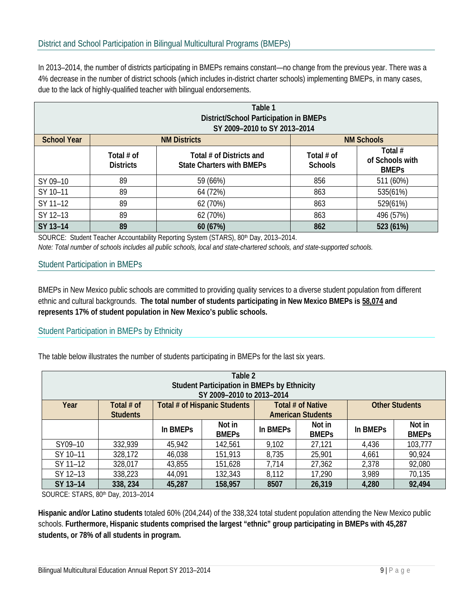<span id="page-8-0"></span>In 2013–2014, the number of districts participating in BMEPs remains constant—no change from the previous year. There was a 4% decrease in the number of district schools (which includes in-district charter schools) implementing BMEPs, in many cases, due to the lack of highly-qualified teacher with bilingual endorsements.

| Table 1<br><b>District/School Participation in BMEPs</b><br>SY 2009-2010 to SY 2013-2014 |                                |                                                              |                              |                                            |  |  |  |
|------------------------------------------------------------------------------------------|--------------------------------|--------------------------------------------------------------|------------------------------|--------------------------------------------|--|--|--|
| <b>School Year</b>                                                                       |                                | <b>NM Districts</b>                                          |                              | <b>NM Schools</b>                          |  |  |  |
|                                                                                          | Total # of<br><b>Districts</b> | Total # of Districts and<br><b>State Charters with BMEPs</b> | Total # of<br><b>Schools</b> | Total #<br>of Schools with<br><b>BMEPS</b> |  |  |  |
| SY 09-10                                                                                 | 89                             | 59 (66%)                                                     | 856                          | 511 (60%)                                  |  |  |  |
| SY 10-11                                                                                 | 89                             | 64 (72%)                                                     | 863                          | 535(61%)                                   |  |  |  |
| SY 11-12                                                                                 | 89                             | 62 (70%)                                                     | 863                          | 529(61%)                                   |  |  |  |
| SY 12-13                                                                                 | 89                             | 62 (70%)                                                     | 863                          | 496 (57%)                                  |  |  |  |
| SY 13-14                                                                                 | 89                             | 60 (67%)                                                     | 862                          | 523 (61%)                                  |  |  |  |

SOURCE: Student Teacher Accountability Reporting System (STARS), 80<sup>th</sup> Day, 2013-2014.

*Note: Total number of schools includes all public schools, local and state-chartered schools, and state-supported schools.*

#### <span id="page-8-1"></span>Student Participation in BMEPs

BMEPs in New Mexico public schools are committed to providing quality services to a diverse student population from different ethnic and cultural backgrounds. **The total number of students participating in New Mexico BMEPs is 58,074 and represents 17% of student population in New Mexico's public schools.**

<span id="page-8-2"></span>Student Participation in BMEPs by Ethnicity

The table below illustrates the number of students participating in BMEPs for the last six years.

| Table 2<br><b>Student Participation in BMEPs by Ethnicity</b><br>SY 2009-2010 to 2013-2014 |                               |          |                                               |          |                                               |          |                        |  |
|--------------------------------------------------------------------------------------------|-------------------------------|----------|-----------------------------------------------|----------|-----------------------------------------------|----------|------------------------|--|
| Year                                                                                       | Total # of<br><b>Students</b> |          | Total # of Hispanic Students                  |          | Total # of Native<br><b>American Students</b> |          | <b>Other Students</b>  |  |
|                                                                                            |                               |          |                                               |          |                                               |          |                        |  |
|                                                                                            |                               | In BMEPs | Not in<br><b>BMEPs</b>                        | In BMEPs | Not in<br><b>BMEPs</b>                        | In BMEPs | Not in<br><b>BMEPs</b> |  |
| SY09-10                                                                                    | 332,939                       | 45,942   | 142,561                                       | 9,102    | 27,121                                        | 4,436    | 103,777                |  |
| SY 10-11                                                                                   | 328,172                       | 46,038   | 151,913                                       | 8,735    | 25,901                                        | 4,661    | 90,924                 |  |
| SY 11-12                                                                                   | 328,017                       | 43,855   | 151,628                                       | 7,714    | 27,362                                        | 2,378    | 92,080                 |  |
| SY 12-13                                                                                   | 338,223                       | 44,091   | 3,989<br>70,135<br>132,343<br>8,112<br>17,290 |          |                                               |          |                        |  |
| SY 13-14                                                                                   | 338, 234                      | 45,287   | 158,957                                       | 8507     | 26,319                                        | 4,280    | 92,494                 |  |

SOURCE: STARS, 80th Day, 2013–2014

**Hispanic and/or Latino students** totaled 60% (204,244) of the 338,324 total student population attending the New Mexico public schools. **Furthermore, Hispanic students comprised the largest "ethnic" group participating in BMEPs with 45,287 students, or 78% of all students in program.**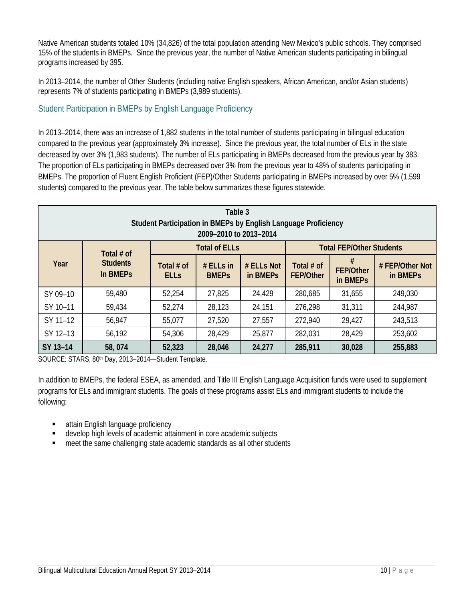Native American students totaled 10% (34,826) of the total population attending New Mexico's public schools. They comprised 15% of the students in BMEPs. Since the previous year, the number of Native American students participating in bilingual programs increased by 395.

In 2013–2014, the number of Other Students (including native English speakers, African American, and/or Asian students) represents 7% of students participating in BMEPs (3,989 students).

<span id="page-9-0"></span>Student Participation in BMEPs by English Language Proficiency

In 2013–2014, there was an increase of 1,882 students in the total number of students participating in bilingual education compared to the previous year (approximately 3% increase). Since the previous year, the total number of ELs in the state decreased by over 3% (1,983 students). The number of ELs participating in BMEPs decreased from the previous year by 383. The proportion of ELs participating in BMEPs decreased over 3% from the previous year to 48% of students participating in BMEPs. The proportion of Fluent English Proficient (FEP)/Other Students participating in BMEPs increased by over 5% (1,599 students) compared to the previous year. The table below summarizes these figures statewide.

| Table 3<br>Student Participation in BMEPs by English Language Proficiency<br>2009-2010 to 2013-2014 |                                                                      |                           |                             |                                    |                                |                                   |                             |  |
|-----------------------------------------------------------------------------------------------------|----------------------------------------------------------------------|---------------------------|-----------------------------|------------------------------------|--------------------------------|-----------------------------------|-----------------------------|--|
|                                                                                                     | Total # of                                                           |                           | <b>Total of ELLs</b>        |                                    |                                | <b>Total FEP/Other Students</b>   |                             |  |
| Year                                                                                                | <b>Students</b><br>In BMEPs                                          | Total # of<br><b>ELLS</b> | $#$ ELLs in<br><b>BMEPS</b> | # ELLs Not<br>in BMEP <sub>S</sub> | Total # of<br><b>FEP/Other</b> | #<br><b>FEP/Other</b><br>in BMEPs | # FEP/Other Not<br>in BMEPs |  |
| SY 09-10                                                                                            | 59,480                                                               | 52,254                    | 27,825                      | 24,429                             | 280,685                        | 31,655                            | 249,030                     |  |
| SY 10-11                                                                                            | 59,434                                                               | 52,274                    | 28,123                      | 24,151                             | 276,298                        | 31,311                            | 244,987                     |  |
| SY 11-12                                                                                            | 56,947                                                               | 55,077                    | 27,520                      | 27,557                             | 272,940                        | 29,427                            | 243,513                     |  |
| SY 12-13                                                                                            | 56,192<br>282,031<br>28,429<br>54,306<br>28,429<br>25,877<br>253,602 |                           |                             |                                    |                                |                                   |                             |  |
| SY 13-14                                                                                            | 58,074                                                               | 52,323                    | 28,046                      | 24,277                             | 285,911                        | 30,028                            | 255,883                     |  |

SOURCE: STARS, 80<sup>th</sup> Day, 2013-2014-Student Template.

In addition to BMEPs, the federal ESEA, as amended, and Title III English Language Acquisition funds were used to supplement programs for ELs and immigrant students. The goals of these programs assist ELs and immigrant students to include the following:

- attain English language proficiency
- develop high levels of academic attainment in core academic subjects
- meet the same challenging state academic standards as all other students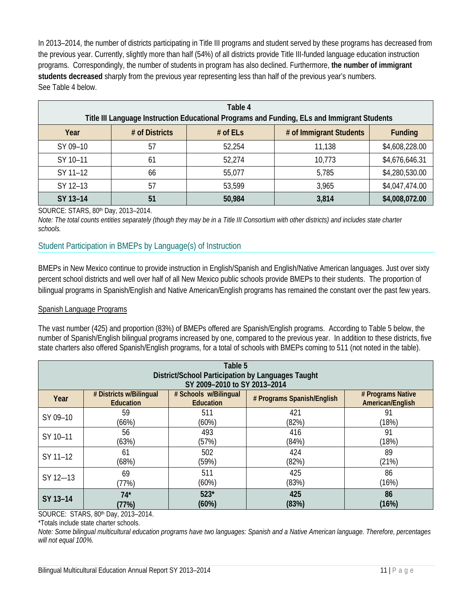In 2013–2014, the number of districts participating in Title III programs and student served by these programs has decreased from the previous year. Currently, slightly more than half (54%) of all districts provide Title III-funded language education instruction programs. Correspondingly, the number of students in program has also declined. Furthermore, **the number of immigrant students decreased** sharply from the previous year representing less than half of the previous year's numbers. See Table 4 below.

| Table 4<br>Title III Language Instruction Educational Programs and Funding, ELs and Immigrant Students |                |            |                         |                |  |  |  |
|--------------------------------------------------------------------------------------------------------|----------------|------------|-------------------------|----------------|--|--|--|
| Year                                                                                                   | # of Districts | # of $ELS$ | # of Immigrant Students | <b>Funding</b> |  |  |  |
| SY 09-10                                                                                               | 57             | 52,254     | 11,138                  | \$4,608,228.00 |  |  |  |
| SY 10-11                                                                                               | 61             | 52,274     | 10,773                  | \$4,676,646.31 |  |  |  |
| SY 11-12                                                                                               | 66             | 55,077     | 5,785                   | \$4,280,530.00 |  |  |  |
| SY 12-13                                                                                               | 57             | 53.599     | 3,965                   | \$4,047,474.00 |  |  |  |
| SY 13-14                                                                                               | 51             | 50,984     | 3,814                   | \$4,008,072.00 |  |  |  |

#### SOURCE: STARS, 80th Day, 2013–2014.

*Note: The total counts entities separately (though they may be in a Title III Consortium with other districts) and includes state charter schools.* 

#### <span id="page-10-0"></span>Student Participation in BMEPs by Language(s) of Instruction

BMEPs in New Mexico continue to provide instruction in English/Spanish and English/Native American languages. Just over sixty percent school districts and well over half of all New Mexico public schools provide BMEPs to their students. The proportion of bilingual programs in Spanish/English and Native American/English programs has remained the constant over the past few years.

#### Spanish Language Programs

The vast number (425) and proportion (83%) of BMEPs offered are Spanish/English programs. According to Table 5 below, the number of Spanish/English bilingual programs increased by one, compared to the previous year. In addition to these districts, five state charters also offered Spanish/English programs, for a total of schools with BMEPs coming to 511 (not noted in the table).

| Table 5<br>District/School Participation by Languages Taught<br>SY 2009-2010 to SY 2013-2014 |                                                                                                                                                                 |        |       |       |  |  |  |  |  |
|----------------------------------------------------------------------------------------------|-----------------------------------------------------------------------------------------------------------------------------------------------------------------|--------|-------|-------|--|--|--|--|--|
| Year                                                                                         | # Districts w/Bilingual<br># Programs Native<br># Schools w/Bilingual<br># Programs Spanish/English<br>American/English<br><b>Education</b><br><b>Education</b> |        |       |       |  |  |  |  |  |
| SY 09-10                                                                                     | 59                                                                                                                                                              | 511    | 421   | 91    |  |  |  |  |  |
|                                                                                              | (66%)                                                                                                                                                           | (60%)  | (82%) | (18%) |  |  |  |  |  |
| SY 10-11                                                                                     | 56                                                                                                                                                              | 493    | 416   | 91    |  |  |  |  |  |
|                                                                                              | (63%)                                                                                                                                                           | (57%)  | (84%) | (18%) |  |  |  |  |  |
| SY 11-12                                                                                     | 61                                                                                                                                                              | 502    | 424   | 89    |  |  |  |  |  |
|                                                                                              | (68%)                                                                                                                                                           | (59%)  | (82%) | (21%) |  |  |  |  |  |
| SY 12--13                                                                                    | 69                                                                                                                                                              | 511    | 425   | 86    |  |  |  |  |  |
|                                                                                              | (77%)                                                                                                                                                           | (60%)  | (83%) | (16%) |  |  |  |  |  |
| SY 13-14                                                                                     | $74*$                                                                                                                                                           | $523*$ | 425   | 86    |  |  |  |  |  |
|                                                                                              | (77%)                                                                                                                                                           | (60%)  | (83%) | (16%) |  |  |  |  |  |

SOURCE: STARS, 80th Day, 2013–2014.

\*Totals include state charter schools.

*Note: Some bilingual multicultural education programs have two languages: Spanish and a Native American language. Therefore, percentages will not equal 100%.*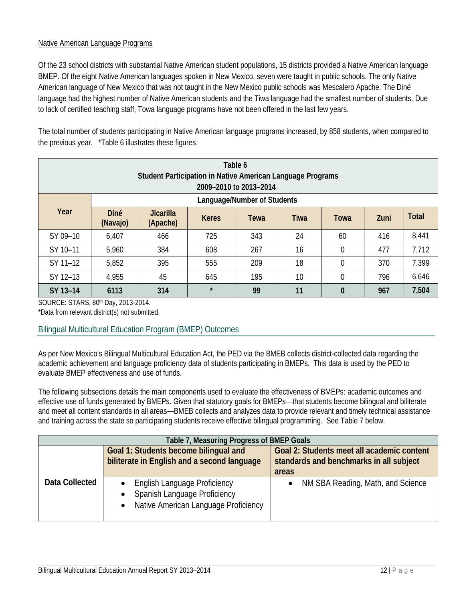#### Native American Language Programs

Of the 23 school districts with substantial Native American student populations, 15 districts provided a Native American language BMEP. Of the eight Native American languages spoken in New Mexico, seven were taught in public schools. The only Native American language of New Mexico that was not taught in the New Mexico public schools was Mescalero Apache. The Diné language had the highest number of Native American students and the Tiwa language had the smallest number of students. Due to lack of certified teaching staff, Towa language programs have not been offered in the last few years.

The total number of students participating in Native American language programs increased, by 858 students, when compared to the previous year. \*Table 6 illustrates these figures.

| Table 6<br>Student Participation in Native American Language Programs<br>2009-2010 to 2013-2014 |                                                                   |                              |              |                             |             |          |      |              |
|-------------------------------------------------------------------------------------------------|-------------------------------------------------------------------|------------------------------|--------------|-----------------------------|-------------|----------|------|--------------|
|                                                                                                 |                                                                   |                              |              | Language/Number of Students |             |          |      |              |
| Year                                                                                            | <b>Diné</b><br>(Navajo)                                           | <b>Jicarilla</b><br>(Apache) | <b>Keres</b> | Tewa                        | <b>Tiwa</b> | Towa     | Zuni | <b>Total</b> |
| SY 09-10                                                                                        | 6,407                                                             | 466                          | 725          | 343                         | 24          | 60       | 416  | 8,441        |
| SY 10-11                                                                                        | 5,960                                                             | 384                          | 608          | 267                         | 16          | 0        | 477  | 7,712        |
| SY 11-12                                                                                        | 5,852                                                             | 395                          | 555          | 209                         | 18          | $\Omega$ | 370  | 7,399        |
| SY 12-13                                                                                        | 6,646<br>45<br>4,955<br>645<br>195<br>10<br>796<br>$\overline{0}$ |                              |              |                             |             |          |      |              |
| SY 13-14                                                                                        | 6113                                                              | 314                          | $\star$      | 99                          | 11          | $\bf{0}$ | 967  | 7,504        |

SOURCE: STARS, 80th Day, 2013-2014.

\*Data from relevant district(s) not submitted.

#### <span id="page-11-0"></span>Bilingual Multicultural Education Program (BMEP) Outcomes

As per New Mexico's Bilingual Multicultural Education Act, the PED via the BMEB collects district-collected data regarding the academic achievement and language proficiency data of students participating in BMEPs. This data is used by the PED to evaluate BMEP effectiveness and use of funds.

The following subsections details the main components used to evaluate the effectiveness of BMEPs: academic outcomes and effective use of funds generated by BMEPs. Given that statutory goals for BMEPs—that students become bilingual and biliterate and meet all content standards in all areas—BMEB collects and analyzes data to provide relevant and timely technical assistance and training across the state so participating students receive effective bilingual programming. See Table 7 below.

| Table 7, Measuring Progress of BMEP Goals |                                                                                                          |                                                                                                |  |  |  |  |
|-------------------------------------------|----------------------------------------------------------------------------------------------------------|------------------------------------------------------------------------------------------------|--|--|--|--|
|                                           | Goal 1: Students become bilingual and<br>biliterate in English and a second language                     | Goal 2: Students meet all academic content<br>standards and benchmarks in all subject<br>areas |  |  |  |  |
| Data Collected                            | • English Language Proficiency<br>Spanish Language Proficiency<br>• Native American Language Proficiency | NM SBA Reading, Math, and Science<br>$\bullet$                                                 |  |  |  |  |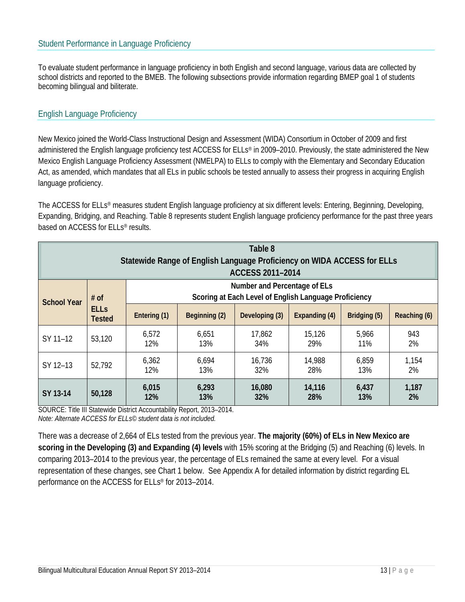<span id="page-12-0"></span>To evaluate student performance in language proficiency in both English and second language, various data are collected by school districts and reported to the BMEB. The following subsections provide information regarding BMEP goal 1 of students becoming bilingual and biliterate.

#### <span id="page-12-1"></span>English Language Proficiency

New Mexico joined the World-Class Instructional Design and Assessment (WIDA) Consortium in October of 2009 and first administered the English language proficiency test ACCESS for ELLs® in 2009–2010. Previously, the state administered the New Mexico English Language Proficiency Assessment (NMELPA) to ELLs to comply with the Elementary and Secondary Education Act, as amended, which mandates that all ELs in public schools be tested annually to assess their progress in acquiring English language proficiency.

The ACCESS for ELLs® measures student English language proficiency at six different levels: Entering, Beginning, Developing, Expanding, Bridging, and Reaching. Table 8 represents student English language proficiency performance for the past three years based on ACCESS for ELLs® results.

| Table 8<br>Statewide Range of English Language Proficiency on WIDA ACCESS for ELLs<br>ACCESS 2011-2014 |                              |                                                                                       |               |                |               |              |              |  |
|--------------------------------------------------------------------------------------------------------|------------------------------|---------------------------------------------------------------------------------------|---------------|----------------|---------------|--------------|--------------|--|
| <b>School Year</b>                                                                                     | # of                         | Number and Percentage of ELs<br>Scoring at Each Level of English Language Proficiency |               |                |               |              |              |  |
|                                                                                                        | <b>ELLS</b><br><b>Tested</b> | Entering (1)                                                                          | Beginning (2) | Developing (3) | Expanding (4) | Bridging (5) | Reaching (6) |  |
| SY 11-12                                                                                               | 53,120                       | 6,572<br>12%                                                                          | 6,651<br>13%  | 17,862<br>34%  | 15,126<br>29% | 5,966<br>11% | 943<br>2%    |  |
| SY 12-13                                                                                               | 52,792                       | 6,362<br>12%                                                                          | 6,694<br>13%  | 16,736<br>32%  | 14,988<br>28% | 6,859<br>13% | 1,154<br>2%  |  |
| SY 13-14                                                                                               | 50,128                       | 6,015<br>12%                                                                          | 6,293<br>13%  | 16,080<br>32%  | 14,116<br>28% | 6,437<br>13% | 1,187<br>2%  |  |

SOURCE: Title III Statewide District Accountability Report, 2013–2014. *Note: Alternate ACCESS for ELLs© student data is not included.*

There was a decrease of 2,664 of ELs tested from the previous year. **The majority (60%) of ELs in New Mexico are scoring in the Developing (3) and Expanding (4) levels** with 15% scoring at the Bridging (5) and Reaching (6) levels. In comparing 2013–2014 to the previous year, the percentage of ELs remained the same at every level. For a visual representation of these changes, see Chart 1 below. See Appendix A for detailed information by district regarding EL performance on the ACCESS for ELLs® for 2013–2014.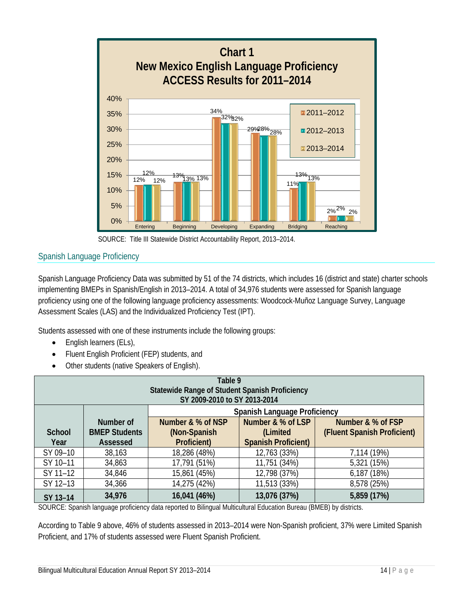

SOURCE: Title III Statewide District Accountability Report, 2013–2014.

#### <span id="page-13-0"></span>Spanish Language Proficiency

Spanish Language Proficiency Data was submitted by 51 of the 74 districts, which includes 16 (district and state) charter schools implementing BMEPs in Spanish/English in 2013–2014. A total of 34,976 students were assessed for Spanish language proficiency using one of the following language proficiency assessments: Woodcock-Muñoz Language Survey, Language Assessment Scales (LAS) and the Individualized Proficiency Test (IPT).

Students assessed with one of these instruments include the following groups:

- English learners (ELs),
- Fluent English Proficient (FEP) students, and
- Other students (native Speakers of English).

| Table 9<br>Statewide Range of Student Spanish Proficiency |                      |                              |                                     |                             |  |  |  |  |  |
|-----------------------------------------------------------|----------------------|------------------------------|-------------------------------------|-----------------------------|--|--|--|--|--|
|                                                           |                      | SY 2009-2010 to SY 2013-2014 |                                     |                             |  |  |  |  |  |
|                                                           |                      |                              | <b>Spanish Language Proficiency</b> |                             |  |  |  |  |  |
|                                                           | Number of            | Number & % of NSP            | Number & % of LSP                   | Number & % of FSP           |  |  |  |  |  |
| School                                                    | <b>BMEP Students</b> | (Non-Spanish                 | (Limited                            | (Fluent Spanish Proficient) |  |  |  |  |  |
| Year                                                      | Assessed             | Proficient)                  | <b>Spanish Proficient)</b>          |                             |  |  |  |  |  |
| SY 09-10                                                  | 38,163               | 18,286 (48%)                 | 12,763 (33%)                        | 7,114 (19%)                 |  |  |  |  |  |
| SY 10-11                                                  | 34,863               | 17,791 (51%)                 | 11,751 (34%)                        | 5,321 (15%)                 |  |  |  |  |  |
| SY 11-12                                                  | 34,846               | 15,861 (45%)                 | 12,798 (37%)                        | 6,187(18%)                  |  |  |  |  |  |
| SY 12-13                                                  | 34,366               | 14,275 (42%)                 | 11,513 (33%)<br>8,578 (25%)         |                             |  |  |  |  |  |
| SY 13-14                                                  | 34,976               | 16,041 (46%)                 | 13,076 (37%)                        | 5,859 (17%)<br>.            |  |  |  |  |  |

SOURCE: Spanish language proficiency data reported to Bilingual Multicultural Education Bureau (BMEB) by districts.

According to Table 9 above, 46% of students assessed in 2013–2014 were Non-Spanish proficient, 37% were Limited Spanish Proficient, and 17% of students assessed were Fluent Spanish Proficient.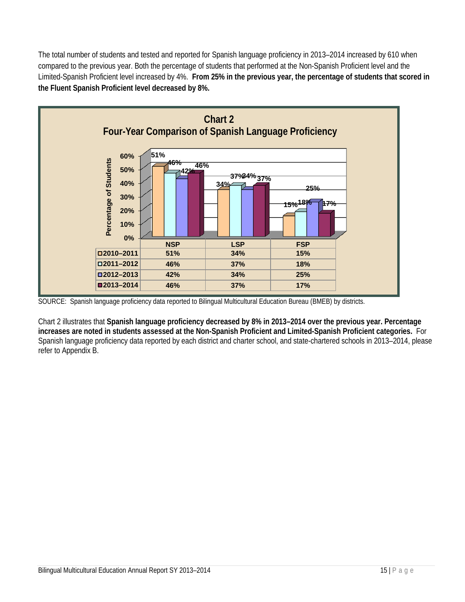The total number of students and tested and reported for Spanish language proficiency in 2013–2014 increased by 610 when compared to the previous year. Both the percentage of students that performed at the Non-Spanish Proficient level and the Limited-Spanish Proficient level increased by 4%. **From 25% in the previous year, the percentage of students that scored in the Fluent Spanish Proficient level decreased by 8%.**



SOURCE: Spanish language proficiency data reported to Bilingual Multicultural Education Bureau (BMEB) by districts.

Chart 2 illustrates that **Spanish language proficiency decreased by 8% in 2013–2014 over the previous year. Percentage increases are noted in students assessed at the Non-Spanish Proficient and Limited-Spanish Proficient categories.** For Spanish language proficiency data reported by each district and charter school, and state-chartered schools in 2013–2014, please refer to Appendix B.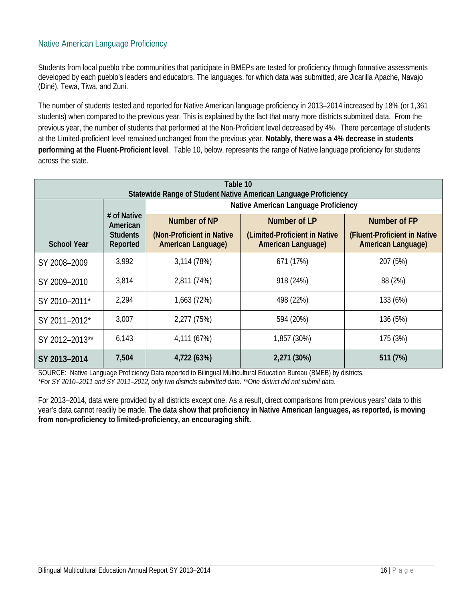#### <span id="page-15-0"></span>Native American Language Proficiency

Students from local pueblo tribe communities that participate in BMEPs are tested for proficiency through formative assessments developed by each pueblo's leaders and educators. The languages, for which data was submitted, are Jicarilla Apache, Navajo (Diné), Tewa, Tiwa, and Zuni.

The number of students tested and reported for Native American language proficiency in 2013–2014 increased by 18% (or 1,361 students) when compared to the previous year. This is explained by the fact that many more districts submitted data. From the previous year, the number of students that performed at the Non-Proficient level decreased by 4%. There percentage of students at the Limited-proficient level remained unchanged from the previous year. **Notably, there was a 4% decrease in students performing at the Fluent-Proficient level**. Table 10, below, represents the range of Native language proficiency for students across the state.

| Table 10<br>Statewide Range of Student Native American Language Proficiency |                             |                                                        |                                                            |                                                           |  |  |  |
|-----------------------------------------------------------------------------|-----------------------------|--------------------------------------------------------|------------------------------------------------------------|-----------------------------------------------------------|--|--|--|
|                                                                             |                             | Native American Language Proficiency                   |                                                            |                                                           |  |  |  |
|                                                                             | # of Native<br>American     | Number of NP                                           | Number of LP                                               | Number of FP                                              |  |  |  |
| <b>School Year</b>                                                          | <b>Students</b><br>Reported | (Non-Proficient in Native<br><b>American Language)</b> | (Limited-Proficient in Native<br><b>American Language)</b> | (Fluent-Proficient in Native<br><b>American Language)</b> |  |  |  |
| SY 2008-2009                                                                | 3,992                       | 3,114 (78%)                                            | 671 (17%)                                                  | 207 (5%)                                                  |  |  |  |
| SY 2009-2010                                                                | 3,814                       | 2,811 (74%)                                            | 918 (24%)                                                  | 88 (2%)                                                   |  |  |  |
| SY 2010-2011*                                                               | 2,294                       | 1,663 (72%)                                            | 498 (22%)                                                  | 133 (6%)                                                  |  |  |  |
| SY 2011-2012*                                                               | 3,007                       | 2,277 (75%)                                            | 594 (20%)                                                  | 136 (5%)                                                  |  |  |  |
| SY 2012-2013**                                                              | 6,143                       | 4,111 (67%)                                            | 1,857 (30%)                                                | 175 (3%)                                                  |  |  |  |
| SY 2013-2014                                                                | 7,504                       | 4,722 (63%)                                            | 2,271 (30%)                                                | 511 (7%)                                                  |  |  |  |

SOURCE: Native Language Proficiency Data reported to Bilingual Multicultural Education Bureau (BMEB) by districts.

*\*For SY 2010–2011 and SY 2011–2012, only two districts submitted data. \*\*One district did not submit data*.

For 2013–2014, data were provided by all districts except one. As a result, direct comparisons from previous years' data to this year's data cannot readily be made. **The data show that proficiency in Native American languages, as reported, is moving from non-proficiency to limited-proficiency, an encouraging shift.**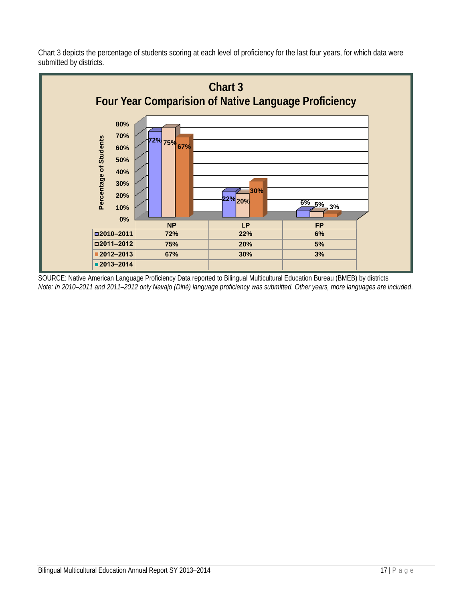Chart 3 depicts the percentage of students scoring at each level of proficiency for the last four years, for which data were submitted by districts.



SOURCE: Native American Language Proficiency Data reported to Bilingual Multicultural Education Bureau (BMEB) by districts *Note: In 2010–2011 and 2011–2012 only Navajo (Diné) language proficiency was submitted. Other years, more languages are included*.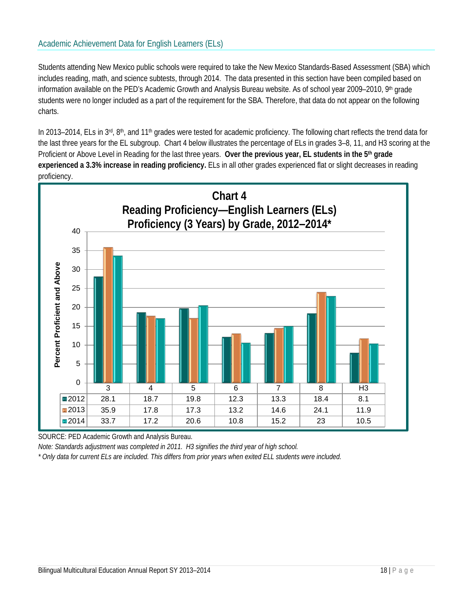<span id="page-17-0"></span>Students attending New Mexico public schools were required to take the New Mexico Standards-Based Assessment (SBA) which includes reading, math, and science subtests, through 2014. The data presented in this section have been compiled based on information available on the PED's Academic Growth and Analysis Bureau website. As of school year 2009–2010, 9th grade students were no longer included as a part of the requirement for the SBA. Therefore, that data do not appear on the following charts.

In 2013–2014, ELs in  $3^{rd}$ ,  $8^{th}$ , and 11<sup>th</sup> grades were tested for academic proficiency. The following chart reflects the trend data for the last three years for the EL subgroup. Chart 4 below illustrates the percentage of ELs in grades 3–8, 11, and H3 scoring at the Proficient or Above Level in Reading for the last three years. **Over the previous year, EL students in the 5th grade experienced a 3.3% increase in reading proficiency.** ELs in all other grades experienced flat or slight decreases in reading proficiency.



SOURCE: PED Academic Growth and Analysis Bureau.

*Note: Standards adjustment was completed in 2011. H3 signifies the third year of high school.*

*\* Only data for current ELs are included. This differs from prior years when exited ELL students were included.*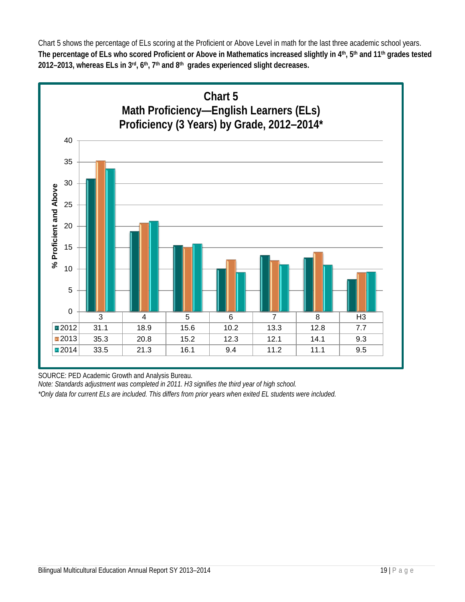Chart 5 shows the percentage of ELs scoring at the Proficient or Above Level in math for the last three academic school years. **The percentage of ELs who scored Proficient or Above in Mathematics increased slightly in 4th, 5th and 11th grades tested 2012–2013, whereas ELs in 3rd, 6th, 7th and 8th grades experienced slight decreases.**



SOURCE: PED Academic Growth and Analysis Bureau.

*Note: Standards adjustment was completed in 2011. H3 signifies the third year of high school.*

*\*Only data for current ELs are included. This differs from prior years when exited EL students were included.*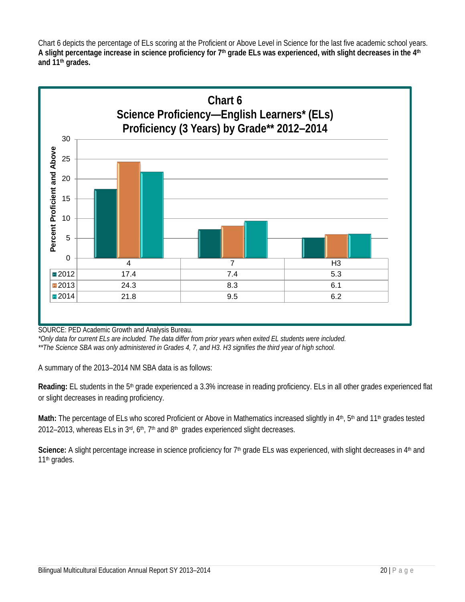Chart 6 depicts the percentage of ELs scoring at the Proficient or Above Level in Science for the last five academic school years. **A slight percentage increase in science proficiency for 7th grade ELs was experienced, with slight decreases in the 4th and 11th grades.**



SOURCE: PED Academic Growth and Analysis Bureau.

*\*Only data for current ELs are included. The data differ from prior years when exited EL students were included.*

*\*\*The Science SBA was only administered in Grades 4, 7, and H3. H3 signifies the third year of high school.*

A summary of the 2013–2014 NM SBA data is as follows:

**Reading:** EL students in the 5<sup>th</sup> grade experienced a 3.3% increase in reading proficiency. ELs in all other grades experienced flat or slight decreases in reading proficiency.

Math: The percentage of ELs who scored Proficient or Above in Mathematics increased slightly in 4<sup>th</sup>, 5<sup>th</sup> and 11<sup>th</sup> grades tested 2012–2013, whereas ELs in  $3<sup>rd</sup>$ , 6<sup>th</sup>, 7<sup>th</sup> and 8<sup>th</sup> grades experienced slight decreases.

Science: A slight percentage increase in science proficiency for 7<sup>th</sup> grade ELs was experienced, with slight decreases in 4<sup>th</sup> and 11<sup>th</sup> grades.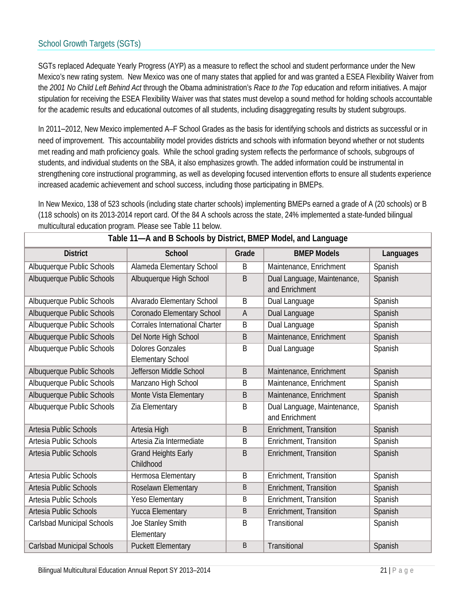<span id="page-20-0"></span>SGTs replaced Adequate Yearly Progress (AYP) as a measure to reflect the school and student performance under the New Mexico's new rating system. New Mexico was one of many states that applied for and was granted a ESEA Flexibility Waiver from the *2001 No Child Left Behind Act* through the Obama administration's *Race to the Top* education and reform initiatives. A major stipulation for receiving the ESEA Flexibility Waiver was that states must develop a sound method for holding schools accountable for the academic results and educational outcomes of all students, including disaggregating results by student subgroups.

In 2011–2012, New Mexico implemented A–F School Grades as the basis for identifying schools and districts as successful or in need of improvement. This accountability model provides districts and schools with information beyond whether or not students met reading and math proficiency goals. While the school grading system reflects the performance of schools, subgroups of students, and individual students on the SBA, it also emphasizes growth. The added information could be instrumental in strengthening core instructional programming, as well as developing focused intervention efforts to ensure all students experience increased academic achievement and school success, including those participating in BMEPs.

In New Mexico, 138 of 523 schools (including state charter schools) implementing BMEPs earned a grade of A (20 schools) or B (118 schools) on its 2013-2014 report card. Of the 84 A schools across the state, 24% implemented a state-funded bilingual multicultural education program. Please see Table 11 below.

| Table 11—A and B Schools by District, BMEP Model, and Language |                                       |             |                             |           |  |  |  |  |
|----------------------------------------------------------------|---------------------------------------|-------------|-----------------------------|-----------|--|--|--|--|
| <b>District</b>                                                | <b>School</b>                         | Grade       | <b>BMEP Models</b>          | Languages |  |  |  |  |
| Albuquerque Public Schools                                     | Alameda Elementary School             | B           | Maintenance, Enrichment     | Spanish   |  |  |  |  |
| Albuquerque Public Schools                                     | Albuquerque High School               | $\mathsf B$ | Dual Language, Maintenance, | Spanish   |  |  |  |  |
|                                                                |                                       |             | and Enrichment              |           |  |  |  |  |
| Albuquerque Public Schools                                     | Alvarado Elementary School            | B           | Dual Language               | Spanish   |  |  |  |  |
| Albuquerque Public Schools                                     | Coronado Elementary School            | A           | Dual Language               | Spanish   |  |  |  |  |
| Albuquerque Public Schools                                     | <b>Corrales International Charter</b> | B           | Dual Language               | Spanish   |  |  |  |  |
| Albuquerque Public Schools                                     | Del Norte High School                 | $\mathsf B$ | Maintenance, Enrichment     | Spanish   |  |  |  |  |
| Albuquerque Public Schools                                     | <b>Dolores Gonzales</b>               | B           | Dual Language               | Spanish   |  |  |  |  |
|                                                                | <b>Elementary School</b>              |             |                             |           |  |  |  |  |
| Albuquerque Public Schools                                     | Jefferson Middle School               | $\sf B$     | Maintenance, Enrichment     | Spanish   |  |  |  |  |
| Albuquerque Public Schools                                     | Manzano High School                   | B           | Maintenance, Enrichment     | Spanish   |  |  |  |  |
| Albuquerque Public Schools                                     | Monte Vista Elementary                | $\mathsf B$ | Maintenance, Enrichment     | Spanish   |  |  |  |  |
| Albuquerque Public Schools                                     | Zia Elementary                        | B           | Dual Language, Maintenance, | Spanish   |  |  |  |  |
|                                                                |                                       |             | and Enrichment              |           |  |  |  |  |
| Artesia Public Schools                                         | Artesia High                          | $\mathsf B$ | Enrichment, Transition      | Spanish   |  |  |  |  |
| Artesia Public Schools                                         | Artesia Zia Intermediate              | B           | Enrichment, Transition      | Spanish   |  |  |  |  |
| Artesia Public Schools                                         | <b>Grand Heights Early</b>            | $\mathsf B$ | Enrichment, Transition      | Spanish   |  |  |  |  |
|                                                                | Childhood                             |             |                             |           |  |  |  |  |
| Artesia Public Schools                                         | Hermosa Elementary                    | B           | Enrichment, Transition      | Spanish   |  |  |  |  |
| Artesia Public Schools                                         | Roselawn Elementary                   | B           | Enrichment, Transition      | Spanish   |  |  |  |  |
| Artesia Public Schools                                         | <b>Yeso Elementary</b>                | B           | Enrichment, Transition      | Spanish   |  |  |  |  |
| Artesia Public Schools                                         | <b>Yucca Elementary</b>               | $\mathsf B$ | Enrichment, Transition      | Spanish   |  |  |  |  |
| <b>Carlsbad Municipal Schools</b>                              | Joe Stanley Smith                     | B           | Transitional                | Spanish   |  |  |  |  |
|                                                                | Elementary                            |             |                             |           |  |  |  |  |
| <b>Carlsbad Municipal Schools</b>                              | <b>Puckett Elementary</b>             | $\mathsf B$ | Transitional                | Spanish   |  |  |  |  |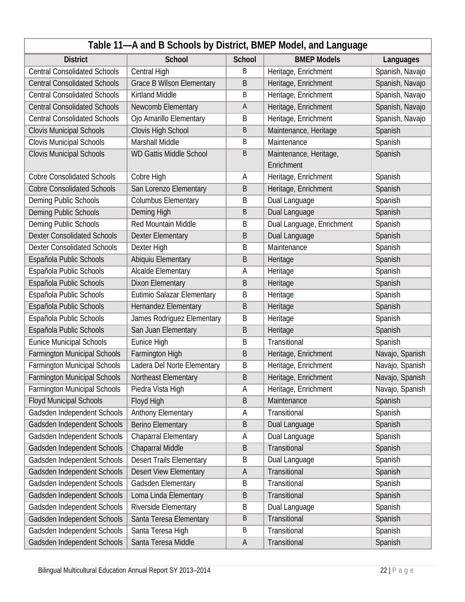| Table 11-A and B Schools by District, BMEP Model, and Language |                                  |        |                                      |                 |  |  |  |  |  |  |
|----------------------------------------------------------------|----------------------------------|--------|--------------------------------------|-----------------|--|--|--|--|--|--|
| <b>District</b>                                                | School                           | School | <b>BMEP Models</b>                   | Languages       |  |  |  |  |  |  |
| <b>Central Consolidated Schools</b>                            | Central High                     | B      | Heritage, Enrichment                 | Spanish, Navajo |  |  |  |  |  |  |
| <b>Central Consolidated Schools</b>                            | <b>Grace B Wilson Elementary</b> | B      | Heritage, Enrichment                 | Spanish, Navajo |  |  |  |  |  |  |
| <b>Central Consolidated Schools</b>                            | <b>Kirtland Middle</b>           | B      | Heritage, Enrichment                 | Spanish, Navajo |  |  |  |  |  |  |
| <b>Central Consolidated Schools</b>                            | Newcomb Elementary               | Α      | Heritage, Enrichment                 | Spanish, Navajo |  |  |  |  |  |  |
| <b>Central Consolidated Schools</b>                            | Ojo Amarillo Elementary          | Β      | Heritage, Enrichment                 | Spanish, Navajo |  |  |  |  |  |  |
| <b>Clovis Municipal Schools</b>                                | Clovis High School               | B      | Maintenance, Heritage                | Spanish         |  |  |  |  |  |  |
| <b>Clovis Municipal Schools</b>                                | Marshall Middle                  | Β      | Maintenance                          | Spanish         |  |  |  |  |  |  |
| <b>Clovis Municipal Schools</b>                                | <b>WD Gattis Middle School</b>   | B      | Maintenance, Heritage,<br>Enrichment | Spanish         |  |  |  |  |  |  |
| <b>Cobre Consolidated Schools</b>                              | Cobre High                       | A      | Heritage, Enrichment                 | Spanish         |  |  |  |  |  |  |
| <b>Cobre Consolidated Schools</b>                              | San Lorenzo Elementary           | B      | Heritage, Enrichment                 | Spanish         |  |  |  |  |  |  |
| <b>Deming Public Schools</b>                                   | <b>Columbus Elementary</b>       | Β      | Dual Language                        | Spanish         |  |  |  |  |  |  |
| <b>Deming Public Schools</b>                                   | Deming High                      | B      | Dual Language                        | Spanish         |  |  |  |  |  |  |
| Deming Public Schools                                          | Red Mountain Middle              | B      | Dual Language, Enrichment            | Spanish         |  |  |  |  |  |  |
| <b>Dexter Consolidated Schools</b>                             | <b>Dexter Elementary</b>         | B      | Dual Language                        | Spanish         |  |  |  |  |  |  |
| <b>Dexter Consolidated Schools</b>                             | Dexter High                      | Β      | Maintenance                          | Spanish         |  |  |  |  |  |  |
| Española Public Schools                                        | Abiquiu Elementary               | B      | Heritage                             | Spanish         |  |  |  |  |  |  |
| Española Public Schools                                        | <b>Alcalde Elementary</b>        | A      | Heritage                             | Spanish         |  |  |  |  |  |  |
| Española Public Schools                                        | <b>Dixon Elementary</b>          | B      | Heritage                             | Spanish         |  |  |  |  |  |  |
| Española Public Schools                                        | Eutimio Salazar Elementary       | Β      | Heritage                             | Spanish         |  |  |  |  |  |  |
| Española Public Schools                                        | Hernandez Elementary             | B      | Heritage                             | Spanish         |  |  |  |  |  |  |
| Española Public Schools                                        | James Rodriguez Elementary       | Β      | Heritage                             | Spanish         |  |  |  |  |  |  |
| Española Public Schools                                        | San Juan Elementary              | B      | Heritage                             | Spanish         |  |  |  |  |  |  |
| <b>Eunice Municipal Schools</b>                                | Eunice High                      | Β      | Transitional                         | Spanish         |  |  |  |  |  |  |
| <b>Farmington Municipal Schools</b>                            | Farmington High                  | B      | Heritage, Enrichment                 | Navajo, Spanish |  |  |  |  |  |  |
| Farmington Municipal Schools                                   | Ladera Del Norte Elementary      | Β      | Heritage, Enrichment                 | Navajo, Spanish |  |  |  |  |  |  |
| <b>Farmington Municipal Schools</b>                            | Northeast Elementary             | B      | Heritage, Enrichment                 | Navajo, Spanish |  |  |  |  |  |  |
| Farmington Municipal Schools                                   | Piedra Vista High                | A      | Heritage, Enrichment                 | Navajo, Spanish |  |  |  |  |  |  |
| <b>Floyd Municipal Schools</b>                                 | Floyd High                       | B      | Maintenance                          | Spanish         |  |  |  |  |  |  |
| Gadsden Independent Schools                                    | Anthony Elementary               | A      | Transitional                         | Spanish         |  |  |  |  |  |  |
| Gadsden Independent Schools                                    | <b>Berino Elementary</b>         | B      | Dual Language                        | Spanish         |  |  |  |  |  |  |
| Gadsden Independent Schools                                    | Chaparral Elementary             | A      | Dual Language                        | Spanish         |  |  |  |  |  |  |
| Gadsden Independent Schools                                    | <b>Chaparral Middle</b>          | B      | Transitional                         | Spanish         |  |  |  |  |  |  |
| Gadsden Independent Schools                                    | <b>Desert Trails Elementary</b>  | Β      | Dual Language                        | Spanish         |  |  |  |  |  |  |
| Gadsden Independent Schools                                    | <b>Desert View Elementary</b>    | A      | Transitional                         | Spanish         |  |  |  |  |  |  |
| Gadsden Independent Schools                                    | Gadsden Elementary               | Β      | Transitional                         | Spanish         |  |  |  |  |  |  |
| Gadsden Independent Schools                                    | Loma Linda Elementary            | B      | Transitional                         | Spanish         |  |  |  |  |  |  |
| Gadsden Independent Schools                                    | Riverside Elementary             | Β      | Dual Language                        | Spanish         |  |  |  |  |  |  |
| Gadsden Independent Schools                                    | Santa Teresa Elementary          | B      | Transitional                         | Spanish         |  |  |  |  |  |  |
| Gadsden Independent Schools                                    | Santa Teresa High                | Β      | Transitional                         | Spanish         |  |  |  |  |  |  |
| Gadsden Independent Schools                                    | Santa Teresa Middle              | A      | Transitional                         | Spanish         |  |  |  |  |  |  |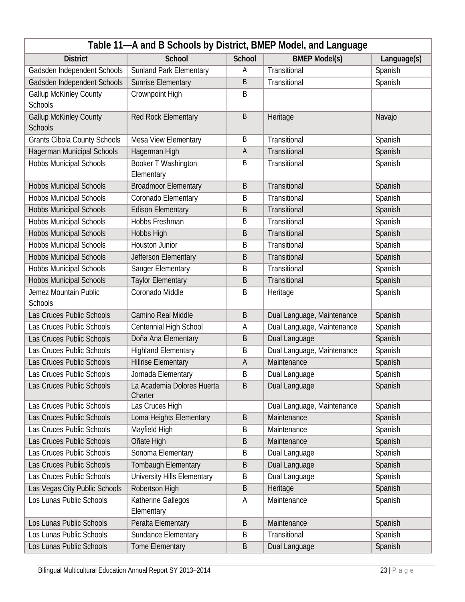| Table 11-A and B Schools by District, BMEP Model, and Language |                                |                |                            |             |  |  |  |  |  |  |  |
|----------------------------------------------------------------|--------------------------------|----------------|----------------------------|-------------|--|--|--|--|--|--|--|
| <b>District</b>                                                | <b>School</b>                  | School         | <b>BMEP Model(s)</b>       | Language(s) |  |  |  |  |  |  |  |
| Gadsden Independent Schools                                    | <b>Sunland Park Elementary</b> | Α              | Transitional               | Spanish     |  |  |  |  |  |  |  |
| Gadsden Independent Schools                                    | <b>Sunrise Elementary</b>      | B              | Transitional               | Spanish     |  |  |  |  |  |  |  |
| <b>Gallup McKinley County</b>                                  | <b>Crownpoint High</b>         | B              |                            |             |  |  |  |  |  |  |  |
| <b>Schools</b>                                                 |                                |                |                            |             |  |  |  |  |  |  |  |
| <b>Gallup McKinley County</b>                                  | Red Rock Elementary            | B              | Heritage                   | Navajo      |  |  |  |  |  |  |  |
| <b>Schools</b>                                                 |                                |                |                            |             |  |  |  |  |  |  |  |
| <b>Grants Cibola County Schools</b>                            | Mesa View Elementary           | B              | Transitional               | Spanish     |  |  |  |  |  |  |  |
| <b>Hagerman Municipal Schools</b>                              | Hagerman High                  | Α              | Transitional               | Spanish     |  |  |  |  |  |  |  |
| <b>Hobbs Municipal Schools</b>                                 | Booker T Washington            | B              | Transitional               | Spanish     |  |  |  |  |  |  |  |
|                                                                | Elementary                     |                |                            |             |  |  |  |  |  |  |  |
| <b>Hobbs Municipal Schools</b>                                 | <b>Broadmoor Elementary</b>    | $\mathsf B$    | Transitional               | Spanish     |  |  |  |  |  |  |  |
| <b>Hobbs Municipal Schools</b>                                 | Coronado Elementary            | Β              | Transitional               | Spanish     |  |  |  |  |  |  |  |
| <b>Hobbs Municipal Schools</b>                                 | <b>Edison Elementary</b>       | B              | Transitional               | Spanish     |  |  |  |  |  |  |  |
| <b>Hobbs Municipal Schools</b>                                 | Hobbs Freshman                 | Β              | Transitional               | Spanish     |  |  |  |  |  |  |  |
| <b>Hobbs Municipal Schools</b>                                 | Hobbs High                     | B              | Transitional               | Spanish     |  |  |  |  |  |  |  |
| <b>Hobbs Municipal Schools</b>                                 | <b>Houston Junior</b>          | B              | Transitional               | Spanish     |  |  |  |  |  |  |  |
| <b>Hobbs Municipal Schools</b>                                 | Jefferson Elementary           | B              | Transitional               | Spanish     |  |  |  |  |  |  |  |
| Hobbs Municipal Schools                                        | Sanger Elementary              | Β              | Transitional               | Spanish     |  |  |  |  |  |  |  |
| <b>Hobbs Municipal Schools</b>                                 | <b>Taylor Elementary</b>       | B              | Transitional               | Spanish     |  |  |  |  |  |  |  |
| Jemez Mountain Public                                          | Coronado Middle                | Β              | Heritage                   | Spanish     |  |  |  |  |  |  |  |
| Schools                                                        |                                |                |                            |             |  |  |  |  |  |  |  |
| Las Cruces Public Schools                                      | Camino Real Middle             | B              | Dual Language, Maintenance | Spanish     |  |  |  |  |  |  |  |
| Las Cruces Public Schools                                      | Centennial High School         | A              | Dual Language, Maintenance | Spanish     |  |  |  |  |  |  |  |
| Las Cruces Public Schools                                      | Doña Ana Elementary            | B              | Dual Language              | Spanish     |  |  |  |  |  |  |  |
| Las Cruces Public Schools                                      | <b>Highland Elementary</b>     | B              | Dual Language, Maintenance | Spanish     |  |  |  |  |  |  |  |
| Las Cruces Public Schools                                      | Hillrise Elementary            | $\overline{A}$ | Maintenance                | Spanish     |  |  |  |  |  |  |  |
| Las Cruces Public Schools                                      | Jornada Elementary             | Β              | Dual Language              | Spanish     |  |  |  |  |  |  |  |
| Las Cruces Public Schools                                      | La Academia Dolores Huerta     | B              | Dual Language              | Spanish     |  |  |  |  |  |  |  |
| Las Cruces Public Schools                                      | Charter<br>Las Cruces High     |                | Dual Language, Maintenance | Spanish     |  |  |  |  |  |  |  |
| Las Cruces Public Schools                                      | Loma Heights Elementary        | B              | Maintenance                | Spanish     |  |  |  |  |  |  |  |
| Las Cruces Public Schools                                      | Mayfield High                  | Β              | Maintenance                | Spanish     |  |  |  |  |  |  |  |
| Las Cruces Public Schools                                      | Oñate High                     | B              | Maintenance                | Spanish     |  |  |  |  |  |  |  |
| Las Cruces Public Schools                                      | Sonoma Elementary              | Β              | Dual Language              | Spanish     |  |  |  |  |  |  |  |
| Las Cruces Public Schools                                      | Tombaugh Elementary            | B              | Dual Language              | Spanish     |  |  |  |  |  |  |  |
| Las Cruces Public Schools                                      | University Hills Elementary    | B              | Dual Language              | Spanish     |  |  |  |  |  |  |  |
| Las Vegas City Public Schools                                  | Robertson High                 | B              | Heritage                   | Spanish     |  |  |  |  |  |  |  |
| Los Lunas Public Schools                                       | Katherine Gallegos             |                | Maintenance                | Spanish     |  |  |  |  |  |  |  |
|                                                                | Elementary                     | A              |                            |             |  |  |  |  |  |  |  |
| Los Lunas Public Schools                                       | Peralta Elementary             | B              | Maintenance                | Spanish     |  |  |  |  |  |  |  |
| Los Lunas Public Schools                                       | Sundance Elementary            | Β              | Transitional               | Spanish     |  |  |  |  |  |  |  |
| Los Lunas Public Schools                                       | Tome Elementary                | B              | Dual Language              | Spanish     |  |  |  |  |  |  |  |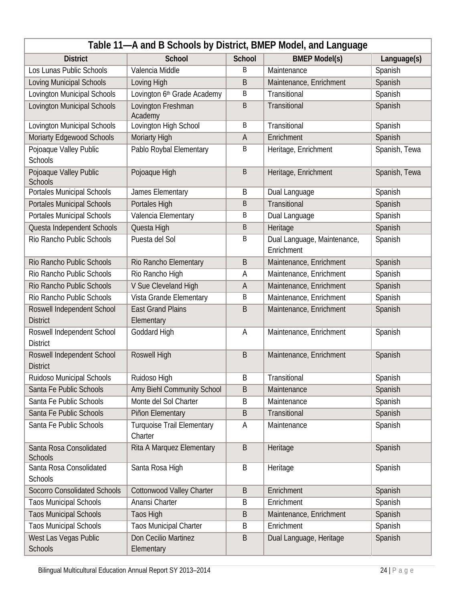| Table 11-A and B Schools by District, BMEP Model, and Language |                                        |             |                                           |               |  |  |  |  |  |  |  |
|----------------------------------------------------------------|----------------------------------------|-------------|-------------------------------------------|---------------|--|--|--|--|--|--|--|
| <b>District</b>                                                | School                                 | School      | <b>BMEP Model(s)</b>                      | Language(s)   |  |  |  |  |  |  |  |
| Los Lunas Public Schools                                       | Valencia Middle                        | B           | Maintenance                               | Spanish       |  |  |  |  |  |  |  |
| <b>Loving Municipal Schools</b>                                | Loving High                            | B           | Maintenance, Enrichment                   | Spanish       |  |  |  |  |  |  |  |
| Lovington Municipal Schools                                    | Lovington 6th Grade Academy            | B           | Transitional                              | Spanish       |  |  |  |  |  |  |  |
| <b>Lovington Municipal Schools</b>                             | Lovington Freshman<br>Academy          | $\sf B$     | Transitional                              | Spanish       |  |  |  |  |  |  |  |
| <b>Lovington Municipal Schools</b>                             | Lovington High School                  | B           | Transitional                              | Spanish       |  |  |  |  |  |  |  |
| Moriarty Edgewood Schools                                      | Moriarty High                          | A           | Enrichment                                | Spanish       |  |  |  |  |  |  |  |
| Pojoaque Valley Public<br>Schools                              | Pablo Roybal Elementary                | B           | Heritage, Enrichment                      | Spanish, Tewa |  |  |  |  |  |  |  |
| Pojoaque Valley Public<br><b>Schools</b>                       | Pojoaque High                          | $\sf B$     | Heritage, Enrichment                      | Spanish, Tewa |  |  |  |  |  |  |  |
| Portales Municipal Schools                                     | James Elementary                       | B           | Dual Language                             | Spanish       |  |  |  |  |  |  |  |
| <b>Portales Municipal Schools</b>                              | Portales High                          | B           | Transitional                              | Spanish       |  |  |  |  |  |  |  |
| <b>Portales Municipal Schools</b>                              | Valencia Elementary                    | Β           | Dual Language                             | Spanish       |  |  |  |  |  |  |  |
| Questa Independent Schools                                     | Questa High                            | B           | Heritage                                  | Spanish       |  |  |  |  |  |  |  |
| Rio Rancho Public Schools                                      | Puesta del Sol                         | B           | Dual Language, Maintenance,<br>Enrichment | Spanish       |  |  |  |  |  |  |  |
| Rio Rancho Public Schools                                      | Rio Rancho Elementary                  | $\mathsf B$ | Maintenance, Enrichment                   | Spanish       |  |  |  |  |  |  |  |
| Rio Rancho Public Schools                                      | Rio Rancho High                        | Α           | Maintenance, Enrichment                   | Spanish       |  |  |  |  |  |  |  |
| Rio Rancho Public Schools                                      | V Sue Cleveland High                   | A           | Maintenance, Enrichment                   | Spanish       |  |  |  |  |  |  |  |
| Rio Rancho Public Schools                                      | Vista Grande Elementary                | B           | Maintenance, Enrichment                   | Spanish       |  |  |  |  |  |  |  |
| Roswell Independent School<br><b>District</b>                  | <b>East Grand Plains</b><br>Elementary | $\sf B$     | Maintenance, Enrichment                   | Spanish       |  |  |  |  |  |  |  |
| Roswell Independent School<br><b>District</b>                  | Goddard High                           | A           | Maintenance, Enrichment                   | Spanish       |  |  |  |  |  |  |  |
| Roswell Independent School<br><b>District</b>                  | Roswell High                           | $\sf B$     | Maintenance, Enrichment                   | Spanish       |  |  |  |  |  |  |  |
| Ruidoso Municipal Schools                                      | Ruidoso High                           | B           | Transitional                              | Spanish       |  |  |  |  |  |  |  |
| Santa Fe Public Schools                                        | Amy Biehl Community School             | $\mathsf B$ | Maintenance                               | Spanish       |  |  |  |  |  |  |  |
| Santa Fe Public Schools                                        | Monte del Sol Charter                  | B           | Maintenance                               | Spanish       |  |  |  |  |  |  |  |
| Santa Fe Public Schools                                        | Piñon Elementary                       | $\sf B$     | Transitional                              | Spanish       |  |  |  |  |  |  |  |
| Santa Fe Public Schools                                        | Turquoise Trail Elementary<br>Charter  | A           | Maintenance                               | Spanish       |  |  |  |  |  |  |  |
| Santa Rosa Consolidated<br><b>Schools</b>                      | Rita A Marquez Elementary              | $\sf B$     | Heritage                                  | Spanish       |  |  |  |  |  |  |  |
| Santa Rosa Consolidated<br><b>Schools</b>                      | Santa Rosa High                        | B           | Heritage                                  | Spanish       |  |  |  |  |  |  |  |
| <b>Socorro Consolidated Schools</b>                            | Cottonwood Valley Charter              | $\sf B$     | Enrichment                                | Spanish       |  |  |  |  |  |  |  |
| <b>Taos Municipal Schools</b>                                  | Anansi Charter                         | B           | Enrichment                                | Spanish       |  |  |  |  |  |  |  |
| <b>Taos Municipal Schools</b>                                  | Taos High                              | B           | Maintenance, Enrichment                   | Spanish       |  |  |  |  |  |  |  |
| <b>Taos Municipal Schools</b>                                  | Taos Municipal Charter                 | B           | Enrichment                                | Spanish       |  |  |  |  |  |  |  |
| West Las Vegas Public<br>Schools                               | Don Cecilio Martinez<br>Elementary     | $\sf B$     | Dual Language, Heritage                   | Spanish       |  |  |  |  |  |  |  |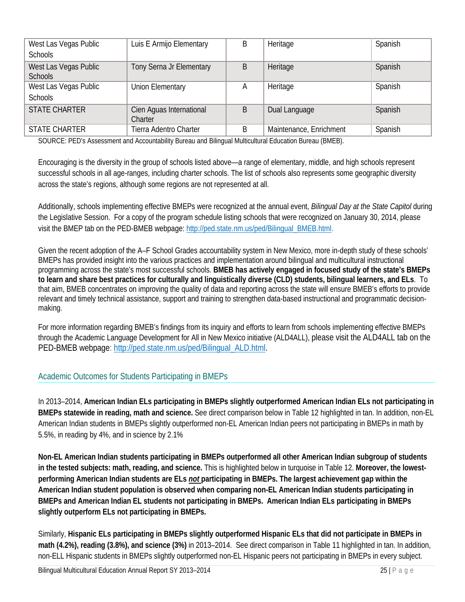| West Las Vegas Public<br><b>Schools</b> | Luis E Armijo Elementary            | B | Heritage                | Spanish |
|-----------------------------------------|-------------------------------------|---|-------------------------|---------|
| West Las Vegas Public<br><b>Schools</b> | Tony Serna Jr Elementary            | B | Heritage                | Spanish |
| West Las Vegas Public                   | <b>Union Elementary</b>             | A | Heritage                | Spanish |
| <b>Schools</b>                          |                                     |   |                         |         |
| <b>STATE CHARTER</b>                    | Cien Aguas International<br>Charter | B | Dual Language           | Spanish |
| <b>STATE CHARTER</b>                    | Tierra Adentro Charter              | B | Maintenance, Enrichment | Spanish |

SOURCE: PED's Assessment and Accountability Bureau and Bilingual Multicultural Education Bureau (BMEB).

Encouraging is the diversity in the group of schools listed above—a range of elementary, middle, and high schools represent successful schools in all age-ranges, including charter schools. The list of schools also represents some geographic diversity across the state's regions, although some regions are not represented at all.

Additionally, schools implementing effective BMEPs were recognized at the annual event, *Bilingual Day at the State Capitol* during the Legislative Session. For a copy of the program schedule listing schools that were recognized on January 30, 2014, please visit the BMEP tab on the PED-BMEB webpage[: http://ped.state.nm.us/ped/Bilingual\\_BMEB.html.](http://ped.state.nm.us/ped/Bilingual_BMEB.html)

Given the recent adoption of the A–F School Grades accountability system in New Mexico, more in-depth study of these schools' BMEPs has provided insight into the various practices and implementation around bilingual and multicultural instructional programming across the state's most successful schools. **BMEB has actively engaged in focused study of the state's BMEPs to learn and share best practices for culturally and linguistically diverse (CLD) students, bilingual learners, and ELs**. To that aim, BMEB concentrates on improving the quality of data and reporting across the state will ensure BMEB's efforts to provide relevant and timely technical assistance, support and training to strengthen data-based instructional and programmatic decisionmaking.

For more information regarding BMEB's findings from its inquiry and efforts to learn from schools implementing effective BMEPs through the Academic Language Development for All in New Mexico initiative (ALD4ALL), please visit the ALD4ALL tab on the PED-BMEB webpage: [http://ped.state.nm.us/ped/Bilingual\\_ALD.html.](http://ped.state.nm.us/ped/Bilingual_ALD.html)

#### <span id="page-24-0"></span>Academic Outcomes for Students Participating in BMEPs

In 2013–2014, **American Indian ELs participating in BMEPs slightly outperformed American Indian ELs not participating in BMEPs statewide in reading, math and science.** See direct comparison below in Table 12 highlighted in tan. In addition, non-EL American Indian students in BMEPs slightly outperformed non-EL American Indian peers not participating in BMEPs in math by 5.5%, in reading by 4%, and in science by 2.1%

**Non-EL American Indian students participating in BMEPs outperformed all other American Indian subgroup of students in the tested subjects: math, reading, and science.** This is highlighted below in turquoise in Table 12. **Moreover, the lowestperforming American Indian students are ELs** *not* **participating in BMEPs. The largest achievement gap within the American Indian student population is observed when comparing non-EL American Indian students participating in BMEPs and American Indian EL students not participating in BMEPs. American Indian ELs participating in BMEPs slightly outperform ELs not participating in BMEPs.**

Similarly, **Hispanic ELs participating in BMEPs slightly outperformed Hispanic ELs that did not participate in BMEPs in math (4.2%), reading (3.8%), and science (3%)** in 2013–2014. See direct comparison in Table 11 highlighted in tan. In addition, non-ELL Hispanic students in BMEPs slightly outperformed non-EL Hispanic peers not participating in BMEPs in every subject.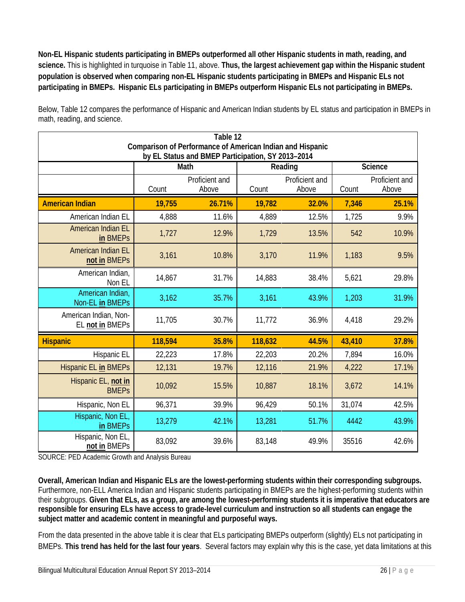**Non-EL Hispanic students participating in BMEPs outperformed all other Hispanic students in math, reading, and science.** This is highlighted in turquoise in Table 11, above. **Thus, the largest achievement gap within the Hispanic student population is observed when comparing non-EL Hispanic students participating in BMEPs and Hispanic ELs not participating in BMEPs. Hispanic ELs participating in BMEPs outperform Hispanic ELs not participating in BMEPs.**

| Table 12                                 |                                                           |                                                   |         |                         |                |                         |  |  |  |  |
|------------------------------------------|-----------------------------------------------------------|---------------------------------------------------|---------|-------------------------|----------------|-------------------------|--|--|--|--|
|                                          | Comparison of Performance of American Indian and Hispanic | by EL Status and BMEP Participation, SY 2013-2014 |         |                         |                |                         |  |  |  |  |
|                                          | Math                                                      |                                                   |         | Reading                 | <b>Science</b> |                         |  |  |  |  |
|                                          | Proficient and<br>Above<br>Count                          |                                                   | Count   | Proficient and<br>Above | Count          | Proficient and<br>Above |  |  |  |  |
| <b>American Indian</b>                   | 26.71%<br>19,755                                          |                                                   | 19,782  | 32.0%                   | 7,346          | 25.1%                   |  |  |  |  |
| American Indian EL                       | 4,888                                                     | 11.6%                                             | 4,889   | 12.5%                   | 1,725          | 9.9%                    |  |  |  |  |
| American Indian EL<br>in BMEPs           | 1,727                                                     | 12.9%                                             | 1,729   | 13.5%                   | 542            | 10.9%                   |  |  |  |  |
| American Indian EL<br>not in BMEPs       | 3,161                                                     | 10.8%                                             | 3,170   | 11.9%                   | 1,183          | 9.5%                    |  |  |  |  |
| American Indian,<br>Non EL               | 14,867                                                    | 31.7%                                             | 14,883  | 38.4%                   | 5,621          | 29.8%                   |  |  |  |  |
| American Indian,<br>Non-EL in BMEPs      | 3,162                                                     | 35.7%                                             | 3,161   | 43.9%                   | 1,203          | 31.9%                   |  |  |  |  |
| American Indian, Non-<br>EL not in BMEPs | 11,705                                                    | 30.7%                                             | 11,772  | 36.9%                   | 4,418          | 29.2%                   |  |  |  |  |
| <b>Hispanic</b>                          | 118,594                                                   | 35.8%                                             | 118,632 | 44.5%                   | 43,410         | 37.8%                   |  |  |  |  |
| Hispanic EL                              | 22,223                                                    | 17.8%                                             | 22,203  | 20.2%                   | 7,894          | 16.0%                   |  |  |  |  |
| Hispanic EL in BMEPs                     | 12,131                                                    | 19.7%                                             | 12,116  | 21.9%                   | 4,222          | 17.1%                   |  |  |  |  |
| Hispanic EL, not in<br><b>BMEPs</b>      | 10,092                                                    | 15.5%                                             | 10,887  | 18.1%                   | 3,672          | 14.1%                   |  |  |  |  |
| Hispanic, Non EL                         | 96,371                                                    | 39.9%                                             | 96,429  | 50.1%                   | 31,074         | 42.5%                   |  |  |  |  |
| Hispanic, Non EL,<br>in BMEPs            | 13,279                                                    | 42.1%                                             | 13,281  | 51.7%                   | 4442           | 43.9%                   |  |  |  |  |
| Hispanic, Non EL,<br>not in BMEPs        | 83,092                                                    | 39.6%                                             | 83,148  | 49.9%                   | 35516          | 42.6%                   |  |  |  |  |

Below, Table 12 compares the performance of Hispanic and American Indian students by EL status and participation in BMEPs in math, reading, and science.

SOURCE: PED Academic Growth and Analysis Bureau

**Overall, American Indian and Hispanic ELs are the lowest-performing students within their corresponding subgroups.** Furthermore, non-ELL America Indian and Hispanic students participating in BMEPs are the highest-performing students within their subgroups. **Given that ELs, as a group, are among the lowest-performing students it is imperative that educators are responsible for ensuring ELs have access to grade-level curriculum and instruction so all students can engage the subject matter and academic content in meaningful and purposeful ways.** 

From the data presented in the above table it is clear that ELs participating BMEPs outperform (slightly) ELs not participating in BMEPs. **This trend has held for the last four years**. Several factors may explain why this is the case, yet data limitations at this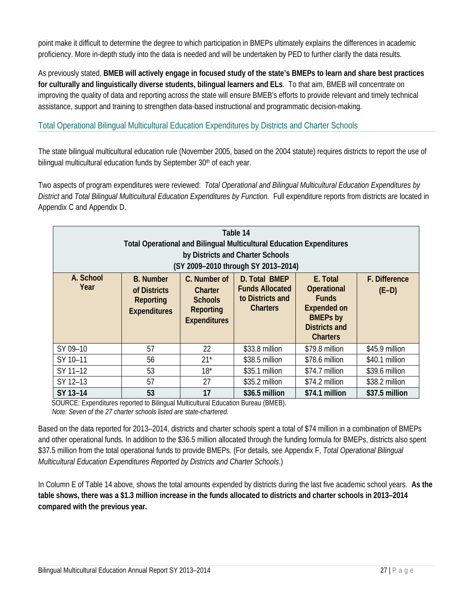point make it difficult to determine the degree to which participation in BMEPs ultimately explains the differences in academic proficiency. More in-depth study into the data is needed and will be undertaken by PED to further clarify the data results.

As previously stated, **BMEB will actively engage in focused study of the state's BMEPs to learn and share best practices for culturally and linguistically diverse students, bilingual learners and ELs**. To that aim, BMEB will concentrate on improving the quality of data and reporting across the state will ensure BMEB's efforts to provide relevant and timely technical assistance, support and training to strengthen data-based instructional and programmatic decision-making.

<span id="page-26-0"></span>Total Operational Bilingual Multicultural Education Expenditures by Districts and Charter Schools

The state bilingual multicultural education rule (November 2005, based on the 2004 statute) requires districts to report the use of bilingual multicultural education funds by September 30<sup>th</sup> of each year.

Two aspects of program expenditures were reviewed: *Total Operational and Bilingual Multicultural Education Expenditures by District* and *Total Bilingual Multicultural Education Expenditures by Function.* Full expenditure reports from districts are located in Appendix C and Appendix D.

| Table 14<br><b>Total Operational and Bilingual Multicultural Education Expenditures</b><br>by Districts and Charter Schools<br>(SY 2009-2010 through SY 2013-2014)                                                                                                                                                                                                                                                                                  |    |       |                |                |                |  |  |  |  |
|-----------------------------------------------------------------------------------------------------------------------------------------------------------------------------------------------------------------------------------------------------------------------------------------------------------------------------------------------------------------------------------------------------------------------------------------------------|----|-------|----------------|----------------|----------------|--|--|--|--|
| A. School<br>C. Number of<br><b>D. Total BMEP</b><br><b>B.</b> Number<br>E. Total<br>F. Difference<br>Year<br><b>Funds Allocated</b><br><b>Operational</b><br>$(E-D)$<br>of Districts<br><b>Charter</b><br><b>Funds</b><br>to Districts and<br><b>Reporting</b><br><b>Schools</b><br><b>Charters</b><br><b>Expended on</b><br>Reporting<br><b>Expenditures</b><br><b>BMEPs by</b><br><b>Expenditures</b><br><b>Districts and</b><br><b>Charters</b> |    |       |                |                |                |  |  |  |  |
| SY 09-10                                                                                                                                                                                                                                                                                                                                                                                                                                            | 57 | 22    | \$33.8 million | \$79.8 million | \$45.9 million |  |  |  |  |
| SY 10-11                                                                                                                                                                                                                                                                                                                                                                                                                                            | 56 | $21*$ | \$38.5 million | \$78.6 million | \$40.1 million |  |  |  |  |
| SY 11-12                                                                                                                                                                                                                                                                                                                                                                                                                                            | 53 | $18*$ | \$35.1 million | \$74.7 million | \$39.6 million |  |  |  |  |
| SY 12-13                                                                                                                                                                                                                                                                                                                                                                                                                                            | 57 | 27    | \$35.2 million | \$74.2 million | \$38.2 million |  |  |  |  |
| SY 13-14                                                                                                                                                                                                                                                                                                                                                                                                                                            | 53 | 17    | \$36.5 million | \$74.1 million | \$37.5 million |  |  |  |  |

 SOURCE: Expenditures reported to Bilingual Multicultural Education Bureau (BMEB). *Note: Seven of the 27 charter schools listed are state-chartered.*

Based on the data reported for 2013–2014, districts and charter schools spent a total of \$74 million in a combination of BMEPs and other operational funds. In addition to the \$36.5 million allocated through the funding formula for BMEPs, districts also spent \$37.5 million from the total operational funds to provide BMEPs. (For details, see Appendix F, *Total Operational Bilingual Multicultural Education Expenditures Reported by Districts and Charter Schools*.)

In Column E of Table 14 above, shows the total amounts expended by districts during the last five academic school years. **As the table shows, there was a \$1.3 million increase in the funds allocated to districts and charter schools in 2013–2014 compared with the previous year.**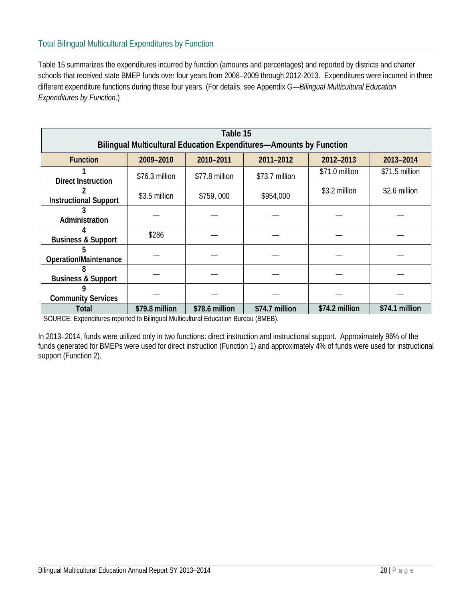#### <span id="page-27-0"></span>Total Bilingual Multicultural Expenditures by Function

Table 15 summarizes the expenditures incurred by function (amounts and percentages) and reported by districts and charter schools that received state BMEP funds over four years from 2008–2009 through 2012-2013. Expenditures were incurred in three different expenditure functions during these four years. (For details, see Appendix G—*Bilingual Multicultural Education Expenditures by Function*.)

| Table 15                                                                  |                |                                                  |                |                |                |  |  |  |  |  |  |
|---------------------------------------------------------------------------|----------------|--------------------------------------------------|----------------|----------------|----------------|--|--|--|--|--|--|
| <b>Bilingual Multicultural Education Expenditures-Amounts by Function</b> |                |                                                  |                |                |                |  |  |  |  |  |  |
| <b>Function</b>                                                           | 2009-2010      | 2011-2012<br>2010-2011<br>2012-2013<br>2013-2014 |                |                |                |  |  |  |  |  |  |
| <b>Direct Instruction</b>                                                 | \$76.3 million | \$77.8 million                                   | \$73.7 million | \$71.0 million | \$71.5 million |  |  |  |  |  |  |
| <b>Instructional Support</b>                                              | \$3.5 million  | \$759,000                                        | \$954,000      | \$3.2 million  | \$2.6 million  |  |  |  |  |  |  |
| 3<br>Administration                                                       |                |                                                  |                |                |                |  |  |  |  |  |  |
| <b>Business &amp; Support</b>                                             | \$286          |                                                  |                |                |                |  |  |  |  |  |  |
| 5<br>Operation/Maintenance                                                |                |                                                  |                |                |                |  |  |  |  |  |  |
| <b>Business &amp; Support</b>                                             |                |                                                  |                |                |                |  |  |  |  |  |  |
| q<br><b>Community Services</b>                                            |                |                                                  |                |                |                |  |  |  |  |  |  |
| Total                                                                     | \$79.8 million | \$78.6 million                                   | \$74.7 million | \$74.2 million | \$74.1 million |  |  |  |  |  |  |

SOURCE: Expenditures reported to Bilingual Multicultural Education Bureau (BMEB).

In 2013–2014, funds were utilized only in two functions: direct instruction and instructional support. Approximately 96% of the funds generated for BMEPs were used for direct instruction (Function 1) and approximately 4% of funds were used for instructional support (Function 2).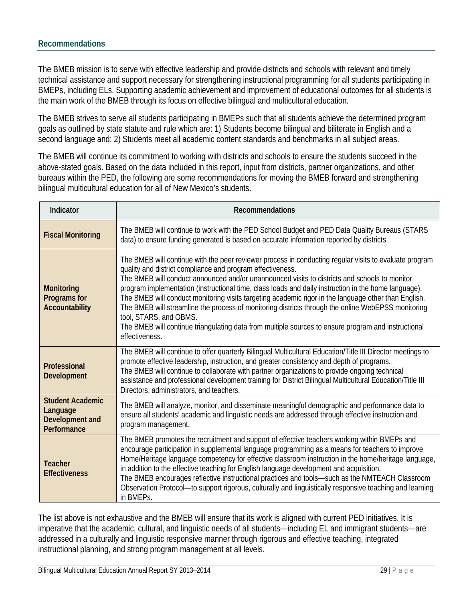<span id="page-28-0"></span>The BMEB mission is to serve with effective leadership and provide districts and schools with relevant and timely technical assistance and support necessary for strengthening instructional programming for all students participating in BMEPs, including ELs. Supporting academic achievement and improvement of educational outcomes for all students is the main work of the BMEB through its focus on effective bilingual and multicultural education.

The BMEB strives to serve all students participating in BMEPs such that all students achieve the determined program goals as outlined by state statute and rule which are: 1) Students become bilingual and biliterate in English and a second language and; 2) Students meet all academic content standards and benchmarks in all subject areas.

The BMEB will continue its commitment to working with districts and schools to ensure the students succeed in the above-stated goals. Based on the data included in this report, input from districts, partner organizations, and other bureaus within the PED, the following are some recommendations for moving the BMEB forward and strengthening bilingual multicultural education for all of New Mexico's students.

| Indicator                                                             | <b>Recommendations</b>                                                                                                                                                                                                                                                                                                                                                                                                                                                                                                                                                                                                                                                                                                                         |
|-----------------------------------------------------------------------|------------------------------------------------------------------------------------------------------------------------------------------------------------------------------------------------------------------------------------------------------------------------------------------------------------------------------------------------------------------------------------------------------------------------------------------------------------------------------------------------------------------------------------------------------------------------------------------------------------------------------------------------------------------------------------------------------------------------------------------------|
| <b>Fiscal Monitoring</b>                                              | The BMEB will continue to work with the PED School Budget and PED Data Quality Bureaus (STARS<br>data) to ensure funding generated is based on accurate information reported by districts.                                                                                                                                                                                                                                                                                                                                                                                                                                                                                                                                                     |
| <b>Monitoring</b><br>Programs for<br><b>Accountability</b>            | The BMEB will continue with the peer reviewer process in conducting regular visits to evaluate program<br>quality and district compliance and program effectiveness.<br>The BMEB will conduct announced and/or unannounced visits to districts and schools to monitor<br>program implementation (instructional time, class loads and daily instruction in the home language).<br>The BMEB will conduct monitoring visits targeting academic rigor in the language other than English.<br>The BMEB will streamline the process of monitoring districts through the online WebEPSS monitoring<br>tool, STARS, and OBMS.<br>The BMEB will continue triangulating data from multiple sources to ensure program and instructional<br>effectiveness. |
| Professional<br><b>Development</b>                                    | The BMEB will continue to offer quarterly Bilingual Multicultural Education/Title III Director meetings to<br>promote effective leadership, instruction, and greater consistency and depth of programs.<br>The BMEB will continue to collaborate with partner organizations to provide ongoing technical<br>assistance and professional development training for District Bilingual Multicultural Education/Title III<br>Directors, administrators, and teachers.                                                                                                                                                                                                                                                                              |
| <b>Student Academic</b><br>Language<br>Development and<br>Performance | The BMEB will analyze, monitor, and disseminate meaningful demographic and performance data to<br>ensure all students' academic and linguistic needs are addressed through effective instruction and<br>program management.                                                                                                                                                                                                                                                                                                                                                                                                                                                                                                                    |
| <b>Teacher</b><br><b>Effectiveness</b>                                | The BMEB promotes the recruitment and support of effective teachers working within BMEPs and<br>encourage participation in supplemental language programming as a means for teachers to improve<br>Home/Heritage language competency for effective classroom instruction in the home/heritage language,<br>in addition to the effective teaching for English language development and acquisition.<br>The BMEB encourages reflective instructional practices and tools-such as the NMTEACH Classroom<br>Observation Protocol-to support rigorous, culturally and linguistically responsive teaching and learning<br>in BMEPs.                                                                                                                  |

The list above is not exhaustive and the BMEB will ensure that its work is aligned with current PED initiatives. It is imperative that the academic, cultural, and linguistic needs of all students—including EL and immigrant students—are addressed in a culturally and linguistic responsive manner through rigorous and effective teaching, integrated instructional planning, and strong program management at all levels.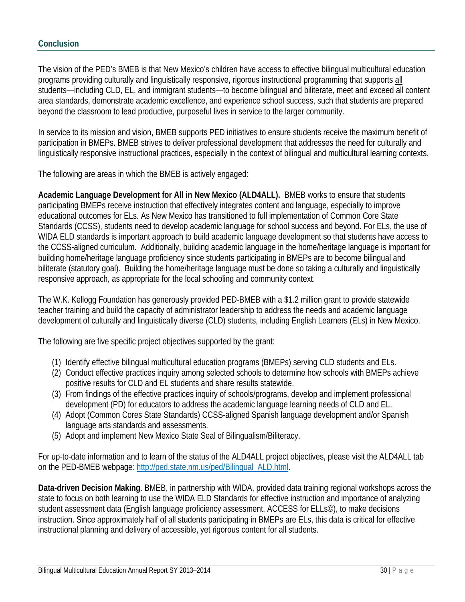<span id="page-29-1"></span><span id="page-29-0"></span>The vision of the PED's BMEB is that New Mexico's children have access to effective bilingual multicultural education programs providing culturally and linguistically responsive, rigorous instructional programming that supports all students—including CLD, EL, and immigrant students—to become bilingual and biliterate, meet and exceed all content area standards, demonstrate academic excellence, and experience school success, such that students are prepared beyond the classroom to lead productive, purposeful lives in service to the larger community.

In service to its mission and vision, BMEB supports PED initiatives to ensure students receive the maximum benefit of participation in BMEPs. BMEB strives to deliver professional development that addresses the need for culturally and linguistically responsive instructional practices, especially in the context of bilingual and multicultural learning contexts.

The following are areas in which the BMEB is actively engaged:

**Academic Language Development for All in New Mexico (ALD4ALL).** BMEB works to ensure that students participating BMEPs receive instruction that effectively integrates content and language, especially to improve educational outcomes for ELs. As New Mexico has transitioned to full implementation of Common Core State Standards (CCSS), students need to develop academic language for school success and beyond. For ELs, the use of WIDA ELD standards is important approach to build academic language development so that students have access to the CCSS-aligned curriculum. Additionally, building academic language in the home/heritage language is important for building home/heritage language proficiency since students participating in BMEPs are to become bilingual and biliterate (statutory goal). Building the home/heritage language must be done so taking a culturally and linguistically responsive approach, as appropriate for the local schooling and community context.

The W.K. Kellogg Foundation has generously provided PED-BMEB with a \$1.2 million grant to provide statewide teacher training and build the capacity of administrator leadership to address the needs and academic language development of culturally and linguistically diverse (CLD) students, including English Learners (ELs) in New Mexico.

The following are five specific project objectives supported by the grant:

- (1) Identify effective bilingual multicultural education programs (BMEPs) serving CLD students and ELs.
- (2) Conduct effective practices inquiry among selected schools to determine how schools with BMEPs achieve positive results for CLD and EL students and share results statewide.
- (3) From findings of the effective practices inquiry of schools/programs, develop and implement professional development (PD) for educators to address the academic language learning needs of CLD and EL.
- (4) Adopt (Common Cores State Standards) CCSS-aligned Spanish language development and/or Spanish language arts standards and assessments.
- (5) Adopt and implement New Mexico State Seal of Bilingualism/Biliteracy.

For up-to-date information and to learn of the status of the ALD4ALL project objectives, please visit the ALD4ALL tab on the PED-BMEB webpage: [http://ped.state.nm.us/ped/Bilingual\\_ALD.html.](http://ped.state.nm.us/ped/Bilingual_ALD.html)

**Data-driven Decision Making**. BMEB, in partnership with WIDA, provided data training regional workshops across the state to focus on both learning to use the WIDA ELD Standards for effective instruction and importance of analyzing student assessment data (English language proficiency assessment, ACCESS for ELLs©), to make decisions instruction. Since approximately half of all students participating in BMEPs are ELs, this data is critical for effective instructional planning and delivery of accessible, yet rigorous content for all students.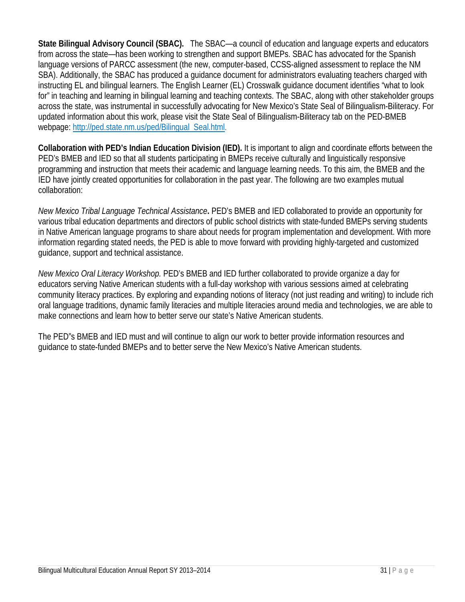**State Bilingual Advisory Council (SBAC).** The SBAC—a council of education and language experts and educators from across the state—has been working to strengthen and support BMEPs. SBAC has advocated for the Spanish language versions of PARCC assessment (the new, computer-based, CCSS-aligned assessment to replace the NM SBA). Additionally, the SBAC has produced a guidance document for administrators evaluating teachers charged with instructing EL and bilingual learners. The English Learner (EL) Crosswalk guidance document identifies "what to look for" in teaching and learning in bilingual learning and teaching contexts. The SBAC, along with other stakeholder groups across the state, was instrumental in successfully advocating for New Mexico's State Seal of Bilingualism-Biliteracy. For updated information about this work, please visit the State Seal of Bilingualism-Biliteracy tab on the PED-BMEB webpage: [http://ped.state.nm.us/ped/Bilingual\\_Seal.html.](http://ped.state.nm.us/ped/Bilingual_Seal.html)

**Collaboration with PED's Indian Education Division (IED).** It is important to align and coordinate efforts between the PED's BMEB and IED so that all students participating in BMEPs receive culturally and linguistically responsive programming and instruction that meets their academic and language learning needs. To this aim, the BMEB and the IED have jointly created opportunities for collaboration in the past year. The following are two examples mutual collaboration:

*New Mexico Tribal Language Technical Assistance***.** PED's BMEB and IED collaborated to provide an opportunity for various tribal education departments and directors of public school districts with state-funded BMEPs serving students in Native American language programs to share about needs for program implementation and development. With more information regarding stated needs, the PED is able to move forward with providing highly-targeted and customized guidance, support and technical assistance.

*New Mexico Oral Literacy Workshop.* PED's BMEB and IED further collaborated to provide organize a day for educators serving Native American students with a full-day workshop with various sessions aimed at celebrating community literacy practices. By exploring and expanding notions of literacy (not just reading and writing) to include rich oral language traditions, dynamic family literacies and multiple literacies around media and technologies, we are able to make connections and learn how to better serve our state's Native American students.

The PED"s BMEB and IED must and will continue to align our work to better provide information resources and guidance to state-funded BMEPs and to better serve the New Mexico's Native American students.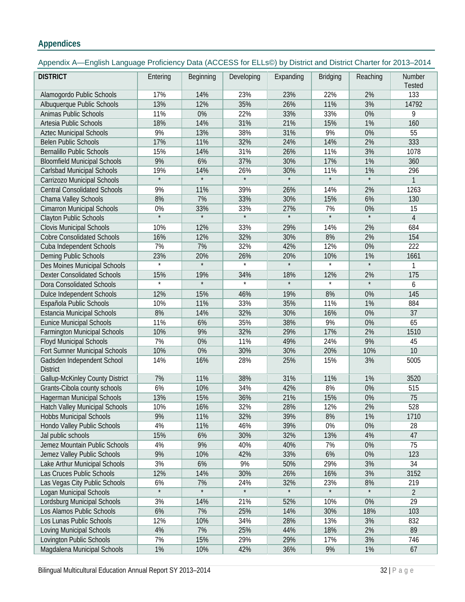### **Appendices**

<span id="page-31-0"></span>Appendix A—English Language Proficiency Data (ACCESS for ELLs©) by District and District Charter for 2013–2014

| <b>DISTRICT</b>                               | Entering          | Beginning | Developing        | Expanding | <b>Bridging</b> | Reaching | Number<br><b>Tested</b> |
|-----------------------------------------------|-------------------|-----------|-------------------|-----------|-----------------|----------|-------------------------|
| Alamogordo Public Schools                     | 17%               | 14%       | 23%               | 23%       | 22%             | 2%       | 133                     |
| Albuquerque Public Schools                    | 13%               | 12%       | 35%               | 26%       | 11%             | 3%       | 14792                   |
| Animas Public Schools                         | 11%               | 0%        | 22%               | 33%       | 33%             | 0%       | 9                       |
| Artesia Public Schools                        | 18%               | 14%       | 31%               | 21%       | 15%             | 1%       | 160                     |
| <b>Aztec Municipal Schools</b>                | 9%                | 13%       | 38%               | 31%       | 9%              | 0%       | 55                      |
| <b>Belen Public Schools</b>                   | 17%               | 11%       | 32%               | 24%       | 14%             | 2%       | 333                     |
| <b>Bernalillo Public Schools</b>              | 15%               | 14%       | 31%               | 26%       | 11%             | 3%       | 1078                    |
| <b>Bloomfield Municipal Schools</b>           | 9%                | 6%        | 37%               | 30%       | 17%             | 1%       | 360                     |
| <b>Carlsbad Municipal Schools</b>             | 19%               | 14%       | 26%               | 30%       | 11%             | 1%       | 296                     |
| Carrizozo Municipal Schools                   | $\star$           | $\star$   | $\star$           | $\star$   | $\star$         | $\star$  | 1                       |
| <b>Central Consolidated Schools</b>           | 9%                | 11%       | 39%               | 26%       | 14%             | 2%       | 1263                    |
| Chama Valley Schools                          | 8%                | 7%        | 33%               | 30%       | 15%             | 6%       | 130                     |
| <b>Cimarron Municipal Schools</b>             | 0%                | 33%       | 33%               | 27%       | 7%              | 0%       | 15                      |
| Clayton Public Schools                        | $\star$           | $\star$   | $\star$           | $\star$   | $\star$         | $\star$  | $\overline{4}$          |
| <b>Clovis Municipal Schools</b>               | 10%               | 12%       | 33%               | 29%       | 14%             | 2%       | 684                     |
| <b>Cobre Consolidated Schools</b>             | 16%               | 12%       | 32%               | 30%       | 8%              | 2%       | 154                     |
| Cuba Independent Schools                      | 7%                | 7%        | 32%               | 42%       | 12%             | 0%       | 222                     |
| Deming Public Schools                         | 23%               | 20%       | 26%               | 20%       | 10%             | 1%       | 1661                    |
| Des Moines Municipal Schools                  | $\overline{\ast}$ | $\star$   | $\star$           | $\star$   | $\star$         | $\star$  | 1                       |
| <b>Dexter Consolidated Schools</b>            | 15%               | 19%       | 34%               | 18%       | 12%             | 2%       | 175                     |
| Dora Consolidated Schools                     | $\overline{\ast}$ | $\star$   | $\overline{\ast}$ | $\star$   |                 | $\star$  | 6                       |
| <b>Dulce Independent Schools</b>              | 12%               | 15%       | 46%               | 19%       | 8%              | 0%       | 145                     |
| Española Public Schools                       | 10%               | 11%       | 33%               | 35%       | 11%             | 1%       | 884                     |
| <b>Estancia Municipal Schools</b>             | 8%                | 14%       | 32%               | 30%       | 16%             | 0%       | 37                      |
| <b>Eunice Municipal Schools</b>               | 11%               | 6%        | 35%               | 38%       | 9%              | 0%       | 65                      |
| <b>Farmington Municipal Schools</b>           | 10%               | 9%        | 32%               | 29%       | 17%             | 2%       | 1510                    |
| <b>Floyd Municipal Schools</b>                | 7%                | 0%        | 11%               | 49%       | 24%             | 9%       | 45                      |
| Fort Sumner Municipal Schools                 | 10%               | 0%        | 30%               | 30%       | 20%             | 10%      | 10                      |
| Gadsden Independent School<br><b>District</b> | 14%               | 16%       | 28%               | 25%       | 15%             | 3%       | 5005                    |
| <b>Gallup-McKinley County District</b>        | 7%                | 11%       | 38%               | 31%       | 11%             | 1%       | 3520                    |
| Grants-Cibola county schools                  | 6%                | 10%       | 34%               | 42%       | 8%              | 0%       | 515                     |
| Hagerman Municipal Schools                    | 13%               | 15%       | 36%               | 21%       | 15%             | 0%       | 75                      |
| <b>Hatch Valley Municipal Schools</b>         | 10%               | 16%       | 32%               | 28%       | 12%             | 2%       | 528                     |
| <b>Hobbs Municipal Schools</b>                | 9%                | 11%       | 32%               | 39%       | 8%              | 1%       | 1710                    |
| Hondo Valley Public Schools                   | 4%                | 11%       | 46%               | 39%       | 0%              | 0%       | 28                      |
| Jal public schools                            | 15%               | 6%        | 30%               | 32%       | 13%             | 4%       | 47                      |
| Jemez Mountain Public Schools                 | 4%                | 9%        | 40%               | 40%       | 7%              | 0%       | 75                      |
| Jemez Valley Public Schools                   | 9%                | 10%       | 42%               | 33%       | 6%              | $0\%$    | 123                     |
| Lake Arthur Municipal Schools                 | 3%                | 6%        | 9%                | 50%       | 29%             | 3%       | 34                      |
| Las Cruces Public Schools                     | 12%               | 14%       | 30%               | 26%       | 16%             | 3%       | 3152                    |
| Las Vegas City Public Schools                 | 6%                | 7%        | 24%               | 32%       | 23%             | 8%       | 219                     |
| Logan Municipal Schools                       | $\star$           | $\star$   | $\star$           | $\star$   | $\star$         | $\star$  | $\overline{2}$          |
| Lordsburg Municipal Schools                   | 3%                | 14%       | 21%               | 52%       | 10%             | 0%       | 29                      |
| Los Alamos Public Schools                     | $6\%$             | $7\%$     | 25%               | 14%       | 30%             | 18%      | 103                     |
| Los Lunas Public Schools                      | 12%               | 10%       | 34%               | 28%       | 13%             | 3%       | 832                     |
| Loving Municipal Schools                      | 4%                | $7\%$     | 25%               | 44%       | 18%             | 2%       | 89                      |
| Lovington Public Schools                      | 7%                | 15%       | 29%               | 29%       | 17%             | 3%       | 746                     |
| Magdalena Municipal Schools                   | $1\%$             | 10%       | 42%               | 36%       | 9%              | 1%       | 67                      |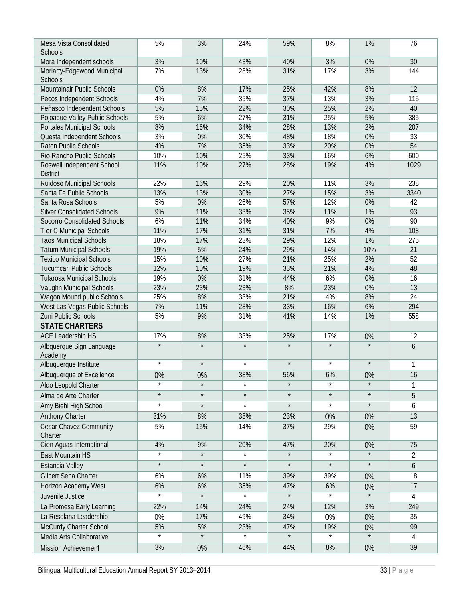| Mesa Vista Consolidated                       | 5%      | 3%         | 24%     | 59%     | 8%      | 1%      | 76               |
|-----------------------------------------------|---------|------------|---------|---------|---------|---------|------------------|
| <b>Schools</b>                                |         |            |         |         |         |         |                  |
| Mora Independent schools                      | 3%      | 10%        | 43%     | 40%     | 3%      | 0%      | 30               |
| Moriarty-Edgewood Municipal<br><b>Schools</b> | 7%      | 13%        | 28%     | 31%     | 17%     | 3%      | 144              |
| Mountainair Public Schools                    | 0%      | 8%         | 17%     | 25%     | 42%     | 8%      | 12               |
| Pecos Independent Schools                     | 4%      | 7%         | 35%     | 37%     | 13%     | 3%      | 115              |
| Peñasco Independent Schools                   | 5%      | 15%        | 22%     | 30%     | 25%     | 2%      | 40               |
| Pojoaque Valley Public Schools                | 5%      | 6%         | 27%     | 31%     | 25%     | 5%      | 385              |
| <b>Portales Municipal Schools</b>             | 8%      | 16%        | 34%     | 28%     | 13%     | 2%      | 207              |
| Questa Independent Schools                    | 3%      | 0%         | 30%     | 48%     | 18%     | 0%      | 33               |
| <b>Raton Public Schools</b>                   | 4%      | 7%         | 35%     | 33%     | 20%     | 0%      | 54               |
| Rio Rancho Public Schools                     | 10%     | 10%        | 25%     | 33%     | 16%     | 6%      | 600              |
| Roswell Independent School<br><b>District</b> | 11%     | 10%        | 27%     | 28%     | 19%     | 4%      | 1029             |
| Ruidoso Municipal Schools                     | 22%     | 16%        | 29%     | 20%     | 11%     | 3%      | 238              |
| Santa Fe Public Schools                       | 13%     | 13%        | 30%     | 27%     | 15%     | 3%      | 3340             |
| Santa Rosa Schools                            | 5%      | 0%         | 26%     | 57%     | 12%     | 0%      | 42               |
| <b>Silver Consolidated Schools</b>            | 9%      | 11%        | 33%     | 35%     | 11%     | 1%      | 93               |
| <b>Socorro Consolidated Schools</b>           | 6%      | 11%        | 34%     | 40%     | 9%      | 0%      | 90               |
| T or C Municipal Schools                      | 11%     | 17%        | 31%     | 31%     | 7%      | 4%      | 108              |
| <b>Taos Municipal Schools</b>                 | 18%     | 17%        | 23%     | 29%     | 12%     | 1%      | 275              |
| <b>Tatum Municipal Schools</b>                | 19%     | 5%         | 24%     | 29%     | 14%     | 10%     | 21               |
| <b>Texico Municipal Schools</b>               | 15%     | 10%        | 27%     | 21%     | 25%     | 2%      | 52               |
| <b>Tucumcari Public Schools</b>               | 12%     | 10%        | 19%     | 33%     | 21%     | 4%      | 48               |
| <b>Tularosa Municipal Schools</b>             | 19%     | 0%         | 31%     | 44%     | 6%      | $0\%$   | 16               |
| Vaughn Municipal Schools                      | 23%     | 23%        | 23%     | 8%      | 23%     | 0%      | 13               |
| Wagon Mound public Schools                    | 25%     | 8%         | 33%     | 21%     | 4%      | 8%      | 24               |
| West Las Vegas Public Schools                 | 7%      | 11%        | 28%     | 33%     | 16%     | 6%      | 294              |
| Zuni Public Schools                           | 5%      | 9%         | 31%     | 41%     | 14%     | 1%      | 558              |
| <b>STATE CHARTERS</b>                         |         |            |         |         |         |         |                  |
| <b>ACE Leadership HS</b>                      | 17%     | 8%         | 33%     | 25%     | 17%     | 0%      | 12               |
| Albquerque Sign Language<br>Academy           | $\star$ | $\star$    | $\star$ | $\star$ | $\star$ | $\star$ | $\boldsymbol{6}$ |
| Albuquerque Institute                         | $\star$ | $\star$    | $\star$ | $\star$ | $\star$ | $\star$ | 1                |
| Albuquerque of Excellence                     | 0%      | 0%         | 38%     | 56%     | 6%      | 0%      | 16               |
| Aldo Leopold Charter                          | $\star$ | $\star$    | $\star$ | $\star$ | $\star$ | $\star$ | 1                |
| Alma de Arte Charter                          | $\star$ | $\star$    | $\star$ | $\star$ | $\star$ | $\star$ | 5                |
|                                               | $\star$ | $\star$    | $\star$ | $\star$ | $\star$ | $\star$ |                  |
| Amy Biehl High School                         |         |            |         |         |         |         | 6                |
| <b>Anthony Charter</b>                        | 31%     | 8%         | 38%     | 23%     | 0%      | 0%      | 13               |
| <b>Cesar Chavez Community</b>                 | 5%      | 15%        | 14%     | 37%     | 29%     | 0%      | 59               |
| Charter                                       |         |            |         |         |         |         |                  |
| Cien Aguas International                      | 4%      | 9%         | 20%     | 47%     | 20%     | 0%      | 75               |
| East Mountain HS                              | $\star$ | $\star$    | $\star$ | $\star$ | $\star$ | $\star$ | $\overline{2}$   |
| Estancia Valley                               | $\star$ | $\star$    | $\star$ | $\star$ | $\star$ | $\star$ | $\boldsymbol{6}$ |
| Gilbert Sena Charter                          | 6%      | 6%         | 11%     | 39%     | 39%     | 0%      | 18               |
| Horizon Academy West                          | 6%      | 6%         | 35%     | 47%     | 6%      | 0%      | 17               |
| Juvenile Justice                              | $\star$ | $^{\star}$ | $\star$ | $\star$ | $\star$ | $\star$ | 4                |
| La Promesa Early Learning                     | 22%     | 14%        | 24%     | 24%     | 12%     | 3%      | 249              |
| La Resolana Leadership                        | 0%      | 17%        | 49%     | 34%     | 0%      | 0%      | 35               |
| McCurdy Charter School                        | 5%      | 5%         | 23%     | 47%     | 19%     | 0%      | 99               |
| Media Arts Collaborative                      | $\star$ | $\star$    | $\star$ | $\star$ | $\star$ | $\star$ | $\overline{4}$   |
| Mission Achievement                           | 3%      | 0%         | 46%     | 44%     | 8%      | 0%      | 39               |
|                                               |         |            |         |         |         |         |                  |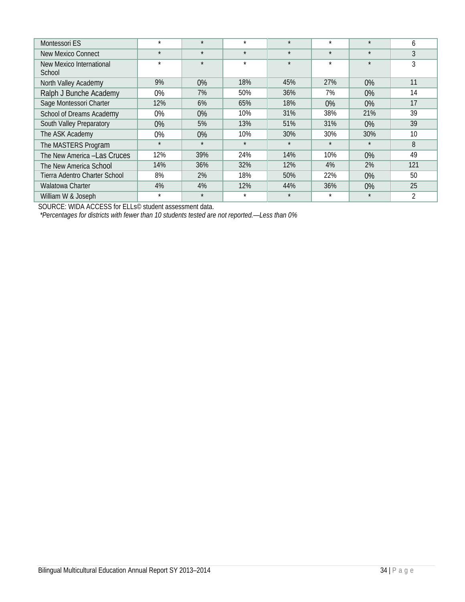| Montessori ES                      | $\star$ | $\star$ | $\star$ | $\star$ | $\star$ | $\star$ | 6              |
|------------------------------------|---------|---------|---------|---------|---------|---------|----------------|
| New Mexico Connect                 | $\star$ | $\star$ | $\star$ | $\star$ | $\star$ | $\star$ | 3              |
| New Mexico International<br>School | $\star$ | $\star$ | $\star$ | $\star$ | $\star$ | $\star$ | 3              |
| North Valley Academy               | 9%      | $0\%$   | 18%     | 45%     | 27%     | $0\%$   | 11             |
| Ralph J Bunche Academy             | 0%      | 7%      | 50%     | 36%     | 7%      | $0\%$   | 14             |
| Sage Montessori Charter            | 12%     | 6%      | 65%     | 18%     | 0%      | 0%      | 17             |
| School of Dreams Academy           | 0%      | $0\%$   | 10%     | 31%     | 38%     | 21%     | 39             |
| South Valley Preparatory           | 0%      | 5%      | 13%     | 51%     | 31%     | 0%      | 39             |
| The ASK Academy                    | 0%      | $0\%$   | 10%     | 30%     | 30%     | 30%     | 10             |
| The MASTERS Program                | $\star$ | $\star$ | $\star$ | $\star$ | $\star$ | $\star$ | 8              |
| The New America - Las Cruces       | 12%     | 39%     | 24%     | 14%     | 10%     | $0\%$   | 49             |
| The New America School             | 14%     | 36%     | 32%     | 12%     | 4%      | 2%      | 121            |
| Tierra Adentro Charter School      | 8%      | $2\%$   | 18%     | 50%     | 22%     | 0%      | 50             |
| <b>Walatowa Charter</b>            | 4%      | 4%      | 12%     | 44%     | 36%     | 0%      | 25             |
| William W & Joseph                 | $\star$ | $\star$ | $\star$ | $\star$ | $\star$ | $\star$ | $\overline{2}$ |

SOURCE: WIDA ACCESS for ELLs© student assessment data.

*\*Percentages for districts with fewer than 10 students tested are not reported.—Less than 0%*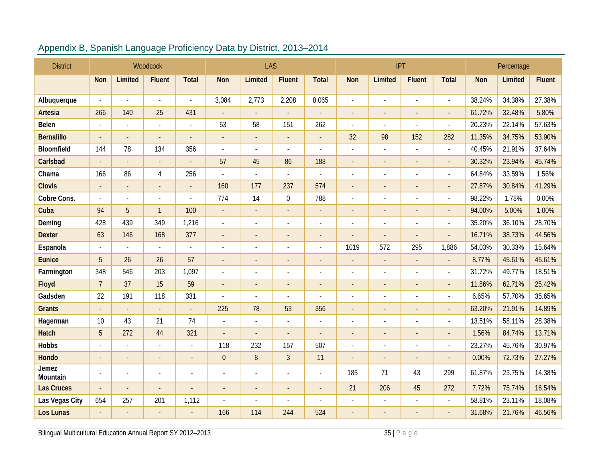<span id="page-34-0"></span>

| <b>District</b>   |                          |                          | Woodcock                 |                          |                          | LAS                      |                          |                          | IPT                      |                          |                |                          | Percentage |         |               |
|-------------------|--------------------------|--------------------------|--------------------------|--------------------------|--------------------------|--------------------------|--------------------------|--------------------------|--------------------------|--------------------------|----------------|--------------------------|------------|---------|---------------|
|                   | Non                      | Limited                  | <b>Fluent</b>            | <b>Total</b>             | Non                      | Limited                  | <b>Fluent</b>            | <b>Total</b>             | <b>Non</b>               | Limited                  | <b>Fluent</b>  | <b>Total</b>             | <b>Non</b> | Limited | <b>Fluent</b> |
| Albuquerque       |                          |                          |                          | $\overline{a}$           | 3,084                    | 2,773                    | 2,208                    | 8,065                    |                          |                          |                | $\overline{a}$           | 38.24%     | 34.38%  | 27.38%        |
| <b>Artesia</b>    | 266                      | 140                      | 25                       | 431                      | $\overline{\phantom{a}}$ | $\overline{\phantom{a}}$ |                          | $\overline{a}$           | $\overline{a}$           |                          |                | $\overline{\phantom{a}}$ | 61.72%     | 32.48%  | 5.80%         |
| <b>Belen</b>      |                          | $\overline{a}$           |                          | $\blacksquare$           | 53                       | 58                       | 151                      | 262                      | $\overline{a}$           |                          |                | $\overline{a}$           | 20.23%     | 22.14%  | 57.63%        |
| <b>Bernalillo</b> | $\overline{\phantom{a}}$ | $\overline{\phantom{a}}$ | $\overline{\phantom{a}}$ | $\overline{\phantom{a}}$ | $\overline{\phantom{a}}$ | $\overline{a}$           | $\overline{a}$           | $\blacksquare$           | 32                       | 98                       | 152            | 282                      | 11.35%     | 34.75%  | 53.90%        |
| <b>Bloomfield</b> | 144                      | 78                       | 134                      | 356                      | L,                       | $\overline{a}$           |                          |                          | $\overline{a}$           |                          |                | $\overline{a}$           | 40.45%     | 21.91%  | 37.64%        |
| Carlsbad          |                          | $\overline{\phantom{a}}$ |                          | L.                       | 57                       | 45                       | 86                       | 188                      | $\blacksquare$           |                          |                | $\overline{\phantom{a}}$ | 30.32%     | 23.94%  | 45.74%        |
| Chama             | 166                      | 86                       | 4                        | 256                      |                          | $\overline{a}$           | L,                       | $\overline{a}$           | $\overline{a}$           | $\overline{\phantom{a}}$ |                | $\overline{a}$           | 64.84%     | 33.59%  | 1.56%         |
| <b>Clovis</b>     |                          | $\overline{a}$           |                          | $\blacksquare$           | 160                      | 177                      | 237                      | 574                      | $\overline{\phantom{a}}$ |                          |                | $\blacksquare$           | 27.87%     | 30.84%  | 41.29%        |
| Cobre Cons.       | $\mathbb{L}$             | $\overline{a}$           | $\overline{a}$           | $\blacksquare$           | 774                      | 14                       | $\boldsymbol{0}$         | 788                      | $\overline{\phantom{a}}$ | $\blacksquare$           |                | $\overline{a}$           | 98.22%     | 1.78%   | 0.00%         |
| Cuba              | 94                       | 5                        | $\overline{1}$           | 100                      | $\overline{a}$           | L.                       | $\overline{a}$           | $\frac{1}{2}$            | $\overline{\phantom{a}}$ |                          |                | $\blacksquare$           | 94.00%     | 5.00%   | 1.00%         |
| Deming            | 428                      | 439                      | 349                      | 1,216                    | $\overline{\phantom{a}}$ | $\overline{a}$           | $\overline{\phantom{a}}$ | $\overline{\phantom{a}}$ | $\overline{a}$           |                          |                | $\overline{\phantom{a}}$ | 35.20%     | 36.10%  | 28.70%        |
| <b>Dexter</b>     | 63                       | 146                      | 168                      | 377                      | $\overline{\phantom{a}}$ | $\overline{a}$           |                          | $\overline{a}$           |                          |                          |                | $\overline{\phantom{a}}$ | 16.71%     | 38.73%  | 44.56%        |
| Espanola          | $\sim$                   | $\overline{a}$           |                          | $\sim$                   |                          | $\overline{a}$           |                          | $\overline{a}$           | 1019                     | 572                      | 295            | 1,886                    | 54.03%     | 30.33%  | 15.64%        |
| <b>Eunice</b>     | 5                        | 26                       | 26                       | 57                       | $\overline{\phantom{a}}$ | $\overline{a}$           | $\overline{\phantom{0}}$ | $\overline{a}$           |                          |                          | $\overline{a}$ | $\blacksquare$           | 8.77%      | 45.61%  | 45.61%        |
| Farmington        | 348                      | 546                      | 203                      | 1,097                    | $\overline{a}$           | ÷,                       | $\overline{a}$           | $\overline{a}$           | ÷,                       |                          |                | $\overline{\phantom{a}}$ | 31.72%     | 49.77%  | 18.51%        |
| Floyd             | $\overline{7}$           | 37                       | 15                       | 59                       | $\overline{a}$           |                          |                          | $\overline{a}$           |                          |                          |                | $\overline{a}$           | 11.86%     | 62.71%  | 25.42%        |
| Gadsden           | 22                       | 191                      | 118                      | 331                      |                          |                          |                          |                          |                          |                          |                | $\overline{a}$           | 6.65%      | 57.70%  | 35.65%        |
| <b>Grants</b>     |                          |                          |                          | $\overline{\phantom{a}}$ | 225                      | 78                       | 53                       | 356                      |                          |                          |                | $\overline{\phantom{a}}$ | 63.20%     | 21.91%  | 14.89%        |
| Hagerman          | 10                       | 43                       | 21                       | 74                       |                          |                          |                          | $\overline{a}$           | $\overline{a}$           |                          |                | $\overline{\phantom{a}}$ | 13.51%     | 58.11%  | 28.38%        |
| <b>Hatch</b>      | 5                        | 272                      | 44                       | 321                      |                          |                          |                          |                          | $\overline{a}$           |                          |                | $\overline{\phantom{a}}$ | 1.56%      | 84.74%  | 13.71%        |
| <b>Hobbs</b>      |                          | $\overline{a}$           |                          | $\blacksquare$           | 118                      | 232                      | 157                      | 507                      | $\overline{\phantom{a}}$ |                          |                | $\overline{a}$           | 23.27%     | 45.76%  | 30.97%        |
| Hondo             | $\overline{a}$           |                          |                          |                          | $\boldsymbol{0}$         | $\, 8$                   | $\mathfrak{Z}$           | 11                       | $\overline{\phantom{a}}$ | $\overline{\phantom{a}}$ |                | $\overline{a}$           | 0.00%      | 72.73%  | 27.27%        |
| Jemez<br>Mountain | $\sim$                   | L,                       |                          |                          |                          | $\overline{a}$           | $\overline{a}$           | $\overline{\phantom{a}}$ | 185                      | 71                       | 43             | 299                      | 61.87%     | 23.75%  | 14.38%        |
| <b>Las Cruces</b> |                          | $\overline{\phantom{0}}$ | $\overline{\phantom{a}}$ |                          |                          | $\overline{\phantom{a}}$ | $\overline{\phantom{a}}$ | $\overline{\phantom{a}}$ | 21                       | 206                      | 45             | 272                      | 7.72%      | 75.74%  | 16.54%        |
| Las Vegas City    | 654                      | 257                      | 201                      | 1,112                    |                          |                          | L,                       | $\overline{a}$           | ÷,                       |                          | $\blacksquare$ | $\overline{\phantom{a}}$ | 58.81%     | 23.11%  | 18.08%        |
| <b>Los Lunas</b>  |                          |                          |                          |                          | 166                      | 114                      | 244                      | 524                      |                          |                          |                |                          | 31.68%     | 21.76%  | 46.56%        |

## Appendix B, Spanish Language Proficiency Data by District, 2013–2014

Bilingual Multicultural Education Annual Report SY 2012-2013 35 | Page 35 | Page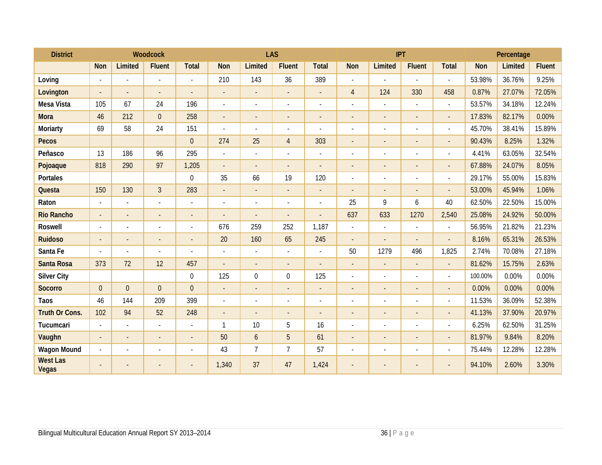| <b>District</b>          |                          |                          | <b>Woodcock</b>          |                          |                          | LAS                      |                          | IPT                      |                          |                          |                          | Percentage               |            |         |               |
|--------------------------|--------------------------|--------------------------|--------------------------|--------------------------|--------------------------|--------------------------|--------------------------|--------------------------|--------------------------|--------------------------|--------------------------|--------------------------|------------|---------|---------------|
|                          | <b>Non</b>               | Limited                  | <b>Fluent</b>            | <b>Total</b>             | <b>Non</b>               | Limited                  | <b>Fluent</b>            | <b>Total</b>             | <b>Non</b>               | Limited                  | <b>Fluent</b>            | <b>Total</b>             | <b>Non</b> | Limited | <b>Fluent</b> |
| Loving                   | $\overline{\phantom{a}}$ |                          |                          | $\blacksquare$           | 210                      | 143                      | 36                       | 389                      | $\overline{a}$           |                          |                          |                          | 53.98%     | 36.76%  | 9.25%         |
| Lovington                |                          |                          |                          |                          | $\overline{a}$           | $\overline{a}$           | $\overline{\phantom{a}}$ |                          | $\overline{4}$           | 124                      | 330                      | 458                      | 0.87%      | 27.07%  | 72.05%        |
| Mesa Vista               | 105                      | 67                       | 24                       | 196                      | $\overline{\phantom{a}}$ | $\overline{a}$           | $\blacksquare$           | $\overline{\phantom{a}}$ | $\overline{\phantom{a}}$ | $\overline{a}$           | $\blacksquare$           | $\blacksquare$           | 53.57%     | 34.18%  | 12.24%        |
| <b>Mora</b>              | 46                       | 212                      | $\overline{0}$           | 258                      | $\overline{\phantom{a}}$ | $\overline{\phantom{a}}$ |                          |                          | $\overline{\phantom{a}}$ | $\overline{a}$           | $\overline{\phantom{a}}$ | $\overline{\phantom{a}}$ | 17.83%     | 82.17%  | 0.00%         |
| Moriarty                 | 69                       | 58                       | 24                       | 151                      | $\overline{a}$           | $\blacksquare$           | $\overline{\phantom{a}}$ | $\overline{\phantom{a}}$ | $\overline{\phantom{a}}$ | $\overline{a}$           | $\overline{a}$           | $\overline{\phantom{a}}$ | 45.70%     | 38.41%  | 15.89%        |
| <b>Pecos</b>             |                          |                          |                          | $\boldsymbol{0}$         | 274                      | 25                       | $\overline{4}$           | 303                      | $\overline{\phantom{a}}$ | $\overline{a}$           | ٠                        | $\overline{\phantom{a}}$ | 90.43%     | 8.25%   | 1.32%         |
| Peñasco                  | 13                       | 186                      | 96                       | 295                      |                          | $\overline{\phantom{a}}$ | $\overline{\phantom{a}}$ |                          | $\overline{\phantom{a}}$ |                          |                          | $\overline{\phantom{a}}$ | 4.41%      | 63.05%  | 32.54%        |
| Pojoaque                 | 818                      | 290                      | 97                       | 1,205                    |                          |                          |                          |                          | $\overline{\phantom{a}}$ |                          |                          | $\overline{\phantom{a}}$ | 67.88%     | 24.07%  | 8.05%         |
| <b>Portales</b>          |                          |                          |                          | $\mathbf 0$              | 35                       | 66                       | 19                       | 120                      | $\sim$                   | $\overline{a}$           | $\overline{\phantom{a}}$ | $\overline{\phantom{a}}$ | 29.17%     | 55.00%  | 15.83%        |
| Questa                   | 150                      | 130                      | $\mathfrak{Z}$           | 283                      | $\overline{a}$           | $\overline{\phantom{a}}$ | $\overline{\phantom{a}}$ |                          | $\overline{\phantom{a}}$ | $\overline{a}$           | $\overline{\phantom{a}}$ | $\overline{\phantom{a}}$ | 53.00%     | 45.94%  | 1.06%         |
| Raton                    |                          |                          |                          | $\sim$                   | $\overline{a}$           | $\overline{a}$           | $\overline{\phantom{a}}$ |                          | 25                       | 9                        | 6                        | 40                       | 62.50%     | 22.50%  | 15.00%        |
| <b>Rio Rancho</b>        | $\overline{\phantom{a}}$ |                          |                          | $\overline{\phantom{a}}$ | $\overline{\phantom{a}}$ | $\overline{\phantom{a}}$ | $\overline{\phantom{a}}$ |                          | 637                      | 633                      | 1270                     | 2,540                    | 25.08%     | 24.92%  | 50.00%        |
| <b>Roswell</b>           | $\overline{\phantom{a}}$ | $\overline{\phantom{a}}$ |                          | $\overline{a}$           | 676                      | 259                      | 252                      | 1,187                    | $\mathcal{L}$            | $\overline{a}$           | $\overline{a}$           | $\sim$                   | 56.95%     | 21.82%  | 21.23%        |
| <b>Ruidoso</b>           |                          |                          |                          | $\overline{\phantom{a}}$ | 20                       | 160                      | 65                       | 245                      |                          |                          |                          |                          | 8.16%      | 65.31%  | 26.53%        |
| Santa Fe                 | $\overline{\phantom{a}}$ | $\overline{\phantom{a}}$ | $\overline{\phantom{a}}$ | $\sim$                   | $\overline{\phantom{a}}$ | $\overline{\phantom{a}}$ | $\overline{\phantom{a}}$ | $\overline{\phantom{a}}$ | 50                       | 1279                     | 496                      | 1,825                    | 2.74%      | 70.08%  | 27.18%        |
| <b>Santa Rosa</b>        | 373                      | 72                       | 12                       | 457                      | $\overline{a}$           | $\overline{\phantom{a}}$ | $\sim$                   |                          | $\overline{a}$           | $\overline{\phantom{a}}$ | $\overline{a}$           | $\sim$                   | 81.62%     | 15.75%  | 2.63%         |
| <b>Silver City</b>       |                          |                          |                          | $\boldsymbol{0}$         | 125                      | $\mathbf 0$              | 0                        | 125                      | $\blacksquare$           | $\overline{a}$           | $\overline{\phantom{a}}$ | $\overline{\phantom{a}}$ | 100.00%    | 0.00%   | 0.00%         |
| <b>Socorro</b>           | $\Omega$                 | $\overline{0}$           | $\overline{0}$           | $\boldsymbol{0}$         | $\overline{a}$           | $\overline{\phantom{a}}$ | $\overline{\phantom{a}}$ |                          | $\overline{\phantom{a}}$ | $\overline{a}$           |                          | $\overline{\phantom{a}}$ | 0.00%      | 0.00%   | 0.00%         |
| <b>Taos</b>              | 46                       | 144                      | 209                      | 399                      | $\overline{a}$           | $\overline{a}$           |                          |                          |                          |                          | $\overline{a}$           | $\overline{\phantom{a}}$ | 11.53%     | 36.09%  | 52.38%        |
| <b>Truth Or Cons.</b>    | 102                      | 94                       | 52                       | 248                      | $\blacksquare$           | $\overline{a}$           | $\sim$                   |                          | $\overline{\phantom{a}}$ | $\overline{a}$           | $\overline{\phantom{a}}$ | $\sim$                   | 41.13%     | 37.90%  | 20.97%        |
| Tucumcari                | $\overline{a}$           | $\sim$                   |                          | $\sim$                   | $\mathbf{1}$             | 10                       | 5                        | 16                       | $\blacksquare$           | ٠                        | $\overline{\phantom{a}}$ | $\blacksquare$           | 6.25%      | 62.50%  | 31.25%        |
| Vaughn                   | $\overline{a}$           | $\sim$                   | $\overline{\phantom{a}}$ | $\overline{\phantom{a}}$ | 50                       | $\boldsymbol{6}$         | 5                        | 61                       | $\overline{\phantom{a}}$ | $\overline{\phantom{a}}$ | $\overline{\phantom{a}}$ | $\sim$                   | 81.97%     | 9.84%   | 8.20%         |
| <b>Wagon Mound</b>       | $\overline{a}$           |                          |                          | $\overline{\phantom{a}}$ | 43                       | $\overline{7}$           | $\overline{7}$           | 57                       | $\overline{\phantom{a}}$ | $\overline{\phantom{a}}$ | $\overline{a}$           | $\overline{\phantom{a}}$ | 75.44%     | 12.28%  | 12.28%        |
| <b>West Las</b><br>Vegas |                          |                          |                          | $\overline{\phantom{a}}$ | 1,340                    | 37                       | 47                       | 1,424                    |                          |                          |                          |                          | 94.10%     | 2.60%   | 3.30%         |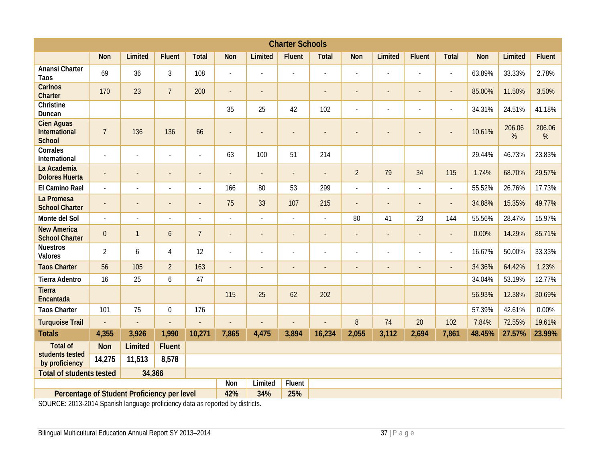|                                                            | <b>Charter Schools</b>   |                          |                  |                |                          |                          |                          |                          |                |                          |               |                          |            |             |               |
|------------------------------------------------------------|--------------------------|--------------------------|------------------|----------------|--------------------------|--------------------------|--------------------------|--------------------------|----------------|--------------------------|---------------|--------------------------|------------|-------------|---------------|
|                                                            | Non                      | Limited                  | <b>Fluent</b>    | <b>Total</b>   | Non                      | Limited                  | <b>Fluent</b>            | <b>Total</b>             | <b>Non</b>     | Limited                  | <b>Fluent</b> | <b>Total</b>             | <b>Non</b> | Limited     | <b>Fluent</b> |
| Anansi Charter<br><b>Taos</b>                              | 69                       | 36                       | 3                | 108            |                          | $\overline{a}$           |                          | $\overline{a}$           | $\overline{a}$ | $\overline{a}$           |               | $\sim$                   | 63.89%     | 33.33%      | 2.78%         |
| <b>Carinos</b><br>Charter                                  | 170                      | 23                       | $\overline{7}$   | 200            |                          | $\overline{\phantom{a}}$ |                          | $\overline{a}$           | $\overline{a}$ | $\overline{\phantom{m}}$ |               | $\blacksquare$           | 85.00%     | 11.50%      | 3.50%         |
| Christine<br>Duncan                                        |                          |                          |                  |                | 35                       | 25                       | 42                       | 102                      | $\overline{a}$ | $\sim$                   |               | $\sim$                   | 34.31%     | 24.51%      | 41.18%        |
| <b>Cien Aguas</b><br><b>International</b><br><b>School</b> | $\overline{7}$           | 136                      | 136              | 66             |                          |                          |                          |                          |                |                          |               |                          | 10.61%     | 206.06<br>% | 206.06<br>%   |
| Corrales<br>International                                  | $\overline{\phantom{a}}$ | $\overline{a}$           | $\overline{a}$   | $\overline{a}$ | 63                       | 100                      | 51                       | 214                      |                |                          |               |                          | 29.44%     | 46.73%      | 23.83%        |
| La Academia<br><b>Dolores Huerta</b>                       | $\overline{\phantom{a}}$ | $\overline{\phantom{a}}$ | $\overline{a}$   | $\overline{a}$ |                          | $\overline{\phantom{a}}$ | $\overline{\phantom{a}}$ | $\overline{a}$           | $\overline{2}$ | 79                       | 34            | 115                      | 1.74%      | 68.70%      | 29.57%        |
| El Camino Rael                                             | $\blacksquare$           | $\overline{\phantom{a}}$ | $\overline{a}$   | L,             | 166                      | 80                       | 53                       | 299                      | $\overline{a}$ | $\blacksquare$           |               | $\blacksquare$           | 55.52%     | 26.76%      | 17.73%        |
| La Promesa<br><b>School Charter</b>                        | $\overline{\phantom{a}}$ | $\overline{\phantom{a}}$ | ÷                | $\overline{a}$ | 75                       | 33                       | 107                      | 215                      | $\overline{a}$ | $\overline{\phantom{m}}$ |               | $\overline{\phantom{a}}$ | 34.88%     | 15.35%      | 49.77%        |
| Monte del Sol                                              | $\overline{\phantom{a}}$ | $\overline{\phantom{a}}$ | ÷,               | $\overline{a}$ | $\blacksquare$           | $\overline{\phantom{a}}$ | L,                       | $\overline{a}$           | 80             | 41                       | 23            | 144                      | 55.56%     | 28.47%      | 15.97%        |
| <b>New America</b><br><b>School Charter</b>                | $\overline{0}$           | $\mathbf{1}$             | $\mathfrak b$    | $\overline{7}$ |                          | $\overline{\phantom{a}}$ | $\overline{a}$           | $\overline{a}$           | $\overline{a}$ | $\overline{\phantom{a}}$ | $\sim$        | $\blacksquare$           | 0.00%      | 14.29%      | 85.71%        |
| <b>Nuestros</b><br>Valores                                 | $\overline{2}$           | 6                        | 4                | 12             |                          |                          | $\overline{a}$           | $\overline{a}$           | $\overline{a}$ | $\overline{a}$           |               | $\overline{\phantom{a}}$ | 16.67%     | 50.00%      | 33.33%        |
| <b>Taos Charter</b>                                        | 56                       | 105                      | $\overline{2}$   | 163            | $\overline{\phantom{a}}$ | $\overline{\phantom{a}}$ | $\overline{\phantom{a}}$ | $\overline{\phantom{a}}$ | $\overline{a}$ | $\overline{\phantom{a}}$ |               |                          | 34.36%     | 64.42%      | 1.23%         |
| <b>Tierra Adentro</b>                                      | 16                       | 25                       | 6                | 47             |                          |                          |                          |                          |                |                          |               |                          | 34.04%     | 53.19%      | 12.77%        |
| <b>Tierra</b><br>Encantada                                 |                          |                          |                  |                | 115                      | 25                       | 62                       | 202                      |                |                          |               |                          | 56.93%     | 12.38%      | 30.69%        |
| <b>Taos Charter</b>                                        | 101                      | 75                       | $\boldsymbol{0}$ | 176            |                          |                          |                          |                          |                |                          |               |                          | 57.39%     | 42.61%      | 0.00%         |
| <b>Turquoise Trail</b>                                     | $\Box$                   | $\mathbb{L}$             | $\overline{a}$   | $\overline{a}$ |                          | $\overline{a}$           | $\blacksquare$           | $\overline{a}$           | 8              | 74                       | 20            | 102                      | 7.84%      | 72.55%      | 19.61%        |
| <b>Totals</b>                                              | 4,355                    | 3,926                    | 1,990            | 10,271         | 7,865                    | 4,475                    | 3,894                    | 16,234                   | 2,055          | 3,112                    | 2,694         | 7,861                    | 48.45%     | 27.57%      | 23.99%        |
| <b>Total of</b>                                            | <b>Non</b>               | Limited                  | <b>Fluent</b>    |                |                          |                          |                          |                          |                |                          |               |                          |            |             |               |
| students tested<br>by proficiency                          | 14,275                   | 11,513                   | 8,578            |                |                          |                          |                          |                          |                |                          |               |                          |            |             |               |
| <b>Total of students tested</b><br>34,366                  |                          |                          |                  |                |                          |                          |                          |                          |                |                          |               |                          |            |             |               |
|                                                            |                          |                          |                  |                | Non                      | Limited                  | Fluent                   |                          |                |                          |               |                          |            |             |               |
| 42%<br>34%<br>Percentage of Student Proficiency per level  |                          |                          |                  |                |                          |                          | 25%                      |                          |                |                          |               |                          |            |             |               |

SOURCE: 2013-2014 Spanish language proficiency data as reported by districts.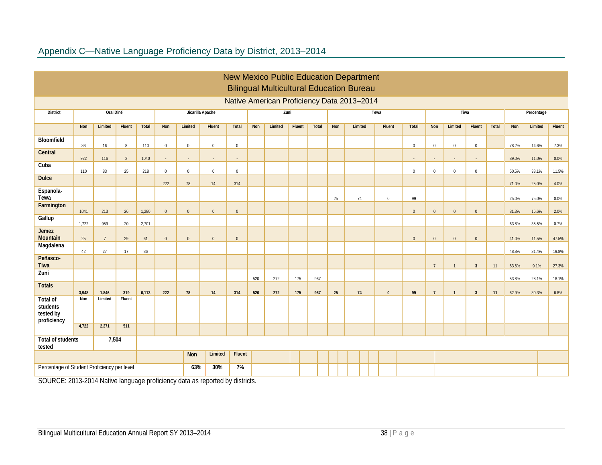<span id="page-37-0"></span>

|                                                  | <b>New Mexico Public Education Department</b><br><b>Bilingual Multicultural Education Bureau</b> |             |                |       |                          |                  |              |                          |     |         |        |       |     |         |              |              |                 |                |                |       |       |            |        |
|--------------------------------------------------|--------------------------------------------------------------------------------------------------|-------------|----------------|-------|--------------------------|------------------|--------------|--------------------------|-----|---------|--------|-------|-----|---------|--------------|--------------|-----------------|----------------|----------------|-------|-------|------------|--------|
|                                                  | Native American Proficiency Data 2013-2014                                                       |             |                |       |                          |                  |              |                          |     |         |        |       |     |         |              |              |                 |                |                |       |       |            |        |
| <b>District</b>                                  |                                                                                                  | Oral Diné   |                |       |                          | Jicarilla Apache |              |                          |     | Zuni    |        |       |     |         | Tewa         |              |                 | Tiwa           |                |       |       | Percentage |        |
|                                                  | Non                                                                                              | Limited     | Fluent         | Total | Non                      | Limited          | Fluent       | <b>Total</b>             | Non | Limited | Fluent | Total | Non | Limited | Fluent       | Total        | Non             | Limited        | Fluent         | Total | Non   | Limited    | Fluent |
| Bloomfield                                       | 86                                                                                               | 16          | 8              | 110   | $\mathbf 0$              | $\mathbf 0$      | $\mathbf{0}$ | $\mathbb O$              |     |         |        |       |     |         |              | $\mathbf{0}$ | $\mathbf 0$     | $\mathbf{0}$   | $\mathbf 0$    |       | 78.2% | 14.6%      | 7.3%   |
| Central                                          | 922                                                                                              | 116         | $\overline{2}$ | 1040  | $\overline{\phantom{a}}$ |                  | $\sim$       | $\overline{\phantom{a}}$ |     |         |        |       |     |         |              | $\sim$       | $\sim$          | $\sim$         | $\sim$         |       | 89.0% | 11.0%      | 0.0%   |
| Cuba                                             | 110                                                                                              | 83          | 25             | 218   | $\mathbf 0$              | $\mathbf 0$      | $\mathbf{0}$ | $\,0\,$                  |     |         |        |       |     |         |              | $\mathbf{0}$ | $\mathbf{0}$    | $\mathbf{0}$   | $\mathbf{0}$   |       | 50.5% | 38.1%      | 11.5%  |
| <b>Dulce</b>                                     |                                                                                                  |             |                |       | 222                      | 78               | 14           | 314                      |     |         |        |       |     |         |              |              |                 |                |                |       | 71.0% | 25.0%      | 4.0%   |
| Espanola-<br>Tewa                                |                                                                                                  |             |                |       |                          |                  |              |                          |     |         |        |       | 25  | 74      | $\mathbf 0$  | 99           |                 |                |                |       | 25.0% | 75.0%      | 0.0%   |
| Farmington                                       | 1041                                                                                             | 213         | 26             | 1,280 | $\mathbf{0}$             | $\mathbf{0}$     | $\mathbf{0}$ | $\mathbf 0$              |     |         |        |       |     |         |              | $\mathbf{0}$ | $\mathbf{0}$    | $\mathbf{0}$   | $\mathbf{0}$   |       | 81.3% | 16.6%      | 2.0%   |
| Gallup                                           | 1,722                                                                                            | 959         | 20             | 2,701 |                          |                  |              |                          |     |         |        |       |     |         |              |              |                 |                |                |       | 63.8% | 35.5%      | 0.7%   |
| Jemez<br>Mountain                                | 25                                                                                               | $7^{\circ}$ | 29             | 61    | $\mathbf{0}$             | $\mathbf{0}$     | $\mathbf{0}$ | $\mathbf{0}$             |     |         |        |       |     |         |              | $\mathbf{0}$ | $\mathbf{0}$    | $\mathbf{0}$   | $\mathbf{0}$   |       | 41.0% | 11.5%      | 47.5%  |
| Magdalena                                        | 42                                                                                               | 27          | 17             | 86    |                          |                  |              |                          |     |         |        |       |     |         |              |              |                 |                |                |       | 48.8% | 31.4%      | 19.8%  |
| Peñasco-<br>Tiwa                                 |                                                                                                  |             |                |       |                          |                  |              |                          |     |         |        |       |     |         |              |              | $7\overline{ }$ | $\overline{1}$ | $\overline{3}$ | 11    | 63.6% | 9.1%       | 27.3%  |
| Zuni                                             |                                                                                                  |             |                |       |                          |                  |              |                          | 520 | 272     | 175    | 967   |     |         |              |              |                 |                |                |       | 53.8% | 28.1%      | 18.1%  |
| <b>Totals</b>                                    | 3,948                                                                                            | 1,846       | 319            | 6,113 | 222                      | 78               | 14           | 314                      | 520 | 272     | 175    | 967   | 25  | 74      | $\mathbf{0}$ | 99           | $\overline{1}$  | $\overline{1}$ | $\overline{3}$ | 11    | 62.9% | 30.3%      | 6.8%   |
| Total of<br>students<br>tested by<br>proficiency | Non                                                                                              | Limited     | Fluent         |       |                          |                  |              |                          |     |         |        |       |     |         |              |              |                 |                |                |       |       |            |        |
|                                                  | 4,722                                                                                            | 2,271       | 511            |       |                          |                  |              |                          |     |         |        |       |     |         |              |              |                 |                |                |       |       |            |        |
| <b>Total of students</b><br>tested               |                                                                                                  | 7,504       |                |       |                          |                  |              |                          |     |         |        |       |     |         |              |              |                 |                |                |       |       |            |        |
|                                                  |                                                                                                  |             |                |       |                          | Non              | Limited      | Fluent                   |     |         |        |       |     |         |              |              |                 |                |                |       |       |            |        |
| Percentage of Student Proficiency per level      |                                                                                                  |             |                |       |                          | 63%              | 30%          | 7%                       |     |         |        |       |     |         |              |              |                 |                |                |       |       |            |        |

## Appendix C—Native Language Proficiency Data by District, 2013–2014

SOURCE: 2013-2014 Native language proficiency data as reported by districts.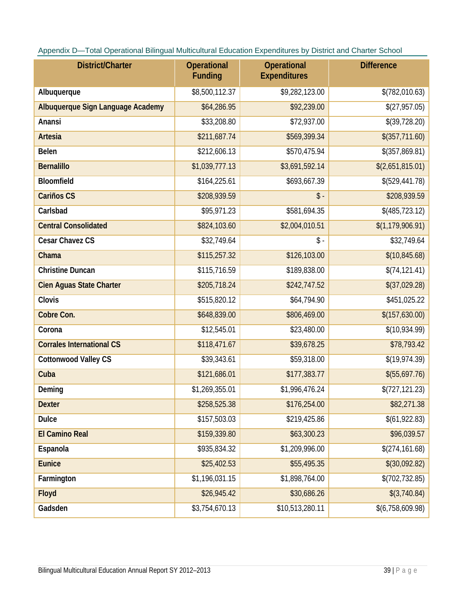| <b>District/Charter</b>           | <b>Operational</b><br><b>Funding</b> | <b>Operational</b><br><b>Expenditures</b> | <b>Difference</b> |
|-----------------------------------|--------------------------------------|-------------------------------------------|-------------------|
| Albuquerque                       | \$8,500,112.37                       | \$9,282,123.00                            | \$(782,010.63)    |
| Albuquerque Sign Language Academy | \$64,286.95                          | \$92,239.00                               | \$(27,957.05)     |
| Anansi                            | \$33,208.80                          | \$72,937.00                               | \$(39,728.20)     |
| <b>Artesia</b>                    | \$211,687.74                         | \$569,399.34                              | \$(357,711.60)    |
| <b>Belen</b>                      | \$212,606.13                         | \$570,475.94                              | \$(357,869.81)    |
| <b>Bernalillo</b>                 | \$1,039,777.13                       | \$3,691,592.14                            | \$(2,651,815.01)  |
| Bloomfield                        | \$164,225.61                         | \$693,667.39                              | \$(529,441.78)    |
| <b>Cariños CS</b>                 | \$208,939.59                         | $\updownarrow$ -                          | \$208,939.59      |
| Carlsbad                          | \$95,971.23                          | \$581,694.35                              | \$(485,723.12)    |
| <b>Central Consolidated</b>       | \$824,103.60                         | \$2,004,010.51                            | \$(1,179,906.91)  |
| <b>Cesar Chavez CS</b>            | \$32,749.64                          | $\updownarrow$ -                          | \$32,749.64       |
| Chama                             | \$115,257.32                         | \$126,103.00                              | \$(10, 845.68)    |
| <b>Christine Duncan</b>           | \$115,716.59                         | \$189,838.00                              | \$(74, 121.41)    |
| <b>Cien Aguas State Charter</b>   | \$205,718.24                         | \$242,747.52                              | \$(37,029.28)     |
| Clovis                            | \$515,820.12                         | \$64,794.90                               | \$451,025.22      |
| Cobre Con.                        | \$648,839.00                         | \$806,469.00                              | \$(157,630.00)    |
| Corona                            | \$12,545.01                          | \$23,480.00                               | \$(10,934.99)     |
| <b>Corrales International CS</b>  | \$118,471.67                         | \$39,678.25                               | \$78,793.42       |
| <b>Cottonwood Valley CS</b>       | \$39,343.61                          | \$59,318.00                               | \$(19,974.39)     |
| Cuba                              | \$121,686.01                         | \$177,383.77                              | \$(55,697.76)     |
| Deming                            | \$1,269,355.01                       | \$1,996,476.24                            | \$(727, 121.23)   |
| <b>Dexter</b>                     | \$258,525.38                         | \$176,254.00                              | \$82,271.38       |
| <b>Dulce</b>                      | \$157,503.03                         | \$219,425.86                              | \$(61,922.83)     |
| <b>El Camino Real</b>             | \$159,339.80                         | \$63,300.23                               | \$96,039.57       |
| Espanola                          | \$935,834.32                         | \$1,209,996.00                            | \$(274,161.68)    |
| <b>Eunice</b>                     | \$25,402.53                          | \$55,495.35                               | \$(30,092.82)     |
| Farmington                        | \$1,196,031.15                       | \$1,898,764.00                            | \$(702, 732.85)   |
| Floyd                             | \$26,945.42                          | \$30,686.26                               | \$(3,740.84)      |
| Gadsden                           | \$3,754,670.13                       | \$10,513,280.11                           | \$(6,758,609.98)  |

<span id="page-38-0"></span>

| Appendix D-Total Operational Bilingual Multicultural Education Expenditures by District and Charter School |  |  |  |  |
|------------------------------------------------------------------------------------------------------------|--|--|--|--|
|                                                                                                            |  |  |  |  |
|                                                                                                            |  |  |  |  |
|                                                                                                            |  |  |  |  |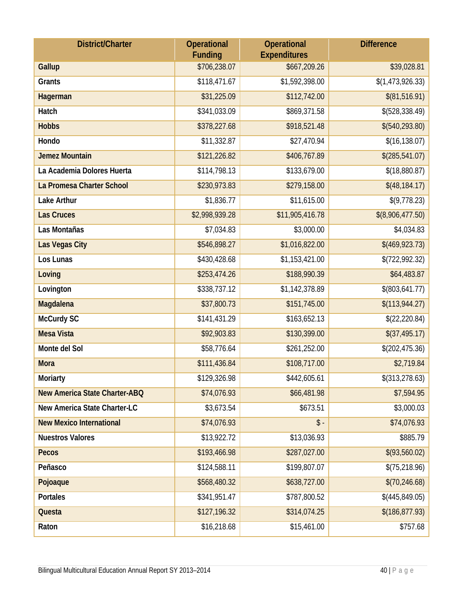| District/Charter                     | <b>Operational</b><br><b>Funding</b> | <b>Operational</b><br><b>Expenditures</b> | <b>Difference</b> |
|--------------------------------------|--------------------------------------|-------------------------------------------|-------------------|
| Gallup                               | \$706,238.07                         | \$667,209.26                              | \$39,028.81       |
| Grants                               | \$118,471.67                         | \$1,592,398.00                            | \$(1,473,926.33)  |
| Hagerman                             | \$31,225.09                          | \$112,742.00                              | \$(81,516.91)     |
| Hatch                                | \$341,033.09                         | \$869,371.58                              | \$(528,338.49)    |
| <b>Hobbs</b>                         | \$378,227.68                         | \$918,521.48                              | \$(540, 293.80)   |
| Hondo                                | \$11,332.87                          | \$27,470.94                               | \$(16, 138.07)    |
| <b>Jemez Mountain</b>                | \$121,226.82                         | \$406,767.89                              | \$(285,541.07)    |
| La Academia Dolores Huerta           | \$114,798.13                         | \$133,679.00                              | \$(18,880.87)     |
| La Promesa Charter School            | \$230,973.83                         | \$279,158.00                              | \$(48,184.17)     |
| Lake Arthur                          | \$1,836.77                           | \$11,615.00                               | \$(9,778.23)      |
| <b>Las Cruces</b>                    | \$2,998,939.28                       | \$11,905,416.78                           | \$(8,906,477.50)  |
| Las Montañas                         | \$7,034.83                           | \$3,000.00                                | \$4,034.83        |
| Las Vegas City                       | \$546,898.27                         | \$1,016,822.00                            | \$(469,923.73)    |
| Los Lunas                            | \$430,428.68                         | \$1,153,421.00                            | \$(722,992.32)    |
| Loving                               | \$253,474.26                         | \$188,990.39                              | \$64,483.87       |
| Lovington                            | \$338,737.12                         | \$1,142,378.89                            | \$(803,641.77)    |
| Magdalena                            | \$37,800.73                          | \$151,745.00                              | \$(113,944.27)    |
| McCurdy SC                           | \$141,431.29                         | \$163,652.13                              | \$(22,220.84)     |
| <b>Mesa Vista</b>                    | \$92,903.83                          | \$130,399.00                              | \$(37, 495.17)    |
| Monte del Sol                        | \$58,776.64                          | \$261,252.00                              | \$(202, 475.36)   |
| <b>Mora</b>                          | \$111,436.84                         | \$108,717.00                              | \$2,719.84        |
| Moriarty                             | \$129,326.98                         | \$442,605.61                              | \$(313,278.63)    |
| <b>New America State Charter-ABQ</b> | \$74,076.93                          | \$66,481.98                               | \$7,594.95        |
| New America State Charter-LC         | \$3,673.54                           | \$673.51                                  | \$3,000.03        |
| <b>New Mexico International</b>      | \$74,076.93                          | $\updownarrow$ -                          | \$74,076.93       |
| <b>Nuestros Valores</b>              | \$13,922.72                          | \$13,036.93                               | \$885.79          |
| <b>Pecos</b>                         | \$193,466.98                         | \$287,027.00                              | \$(93,560.02)     |
| Peñasco                              | \$124,588.11                         | \$199,807.07                              | \$(75,218.96)     |
| Pojoaque                             | \$568,480.32                         | \$638,727.00                              | \$(70, 246.68)    |
| <b>Portales</b>                      | \$341,951.47                         | \$787,800.52                              | \$(445,849.05)    |
| Questa                               | \$127,196.32                         | \$314,074.25                              | \$(186, 877.93)   |
| Raton                                | \$16,218.68                          | \$15,461.00                               | \$757.68          |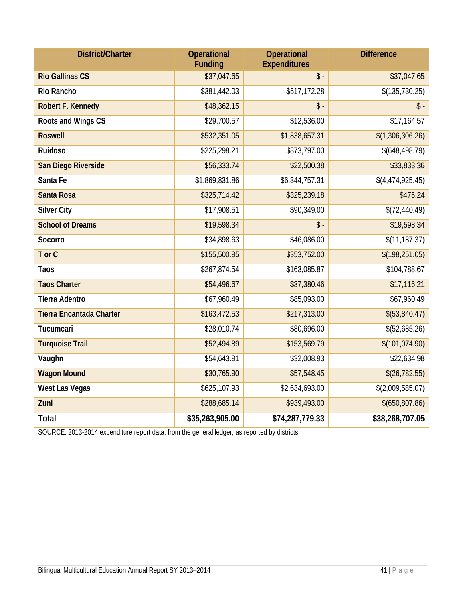| <b>District/Charter</b>         | <b>Operational</b><br><b>Funding</b> | <b>Operational</b><br><b>Expenditures</b> | <b>Difference</b> |
|---------------------------------|--------------------------------------|-------------------------------------------|-------------------|
| <b>Rio Gallinas CS</b>          | \$37,047.65                          | $\sqrt{2}$                                | \$37,047.65       |
| Rio Rancho                      | \$381,442.03                         | \$517,172.28                              | \$(135, 730.25)   |
| Robert F. Kennedy               | \$48,362.15                          | $\updownarrow$ -                          | $\updownarrow$ -  |
| Roots and Wings CS              | \$29,700.57                          | \$12,536.00                               | \$17,164.57       |
| <b>Roswell</b>                  | \$532,351.05                         | \$1,838,657.31                            | \$(1,306,306.26)  |
| <b>Ruidoso</b>                  | \$225,298.21                         | \$873,797.00                              | \$(648, 498.79)   |
| San Diego Riverside             | \$56,333.74                          | \$22,500.38                               | \$33,833.36       |
| Santa Fe                        | \$1,869,831.86                       | \$6,344,757.31                            | \$(4,474,925.45)  |
| <b>Santa Rosa</b>               | \$325,714.42                         | \$325,239.18                              | \$475.24          |
| <b>Silver City</b>              | \$17,908.51                          | \$90,349.00                               | \$(72,440.49)     |
| <b>School of Dreams</b>         | \$19,598.34                          | $\updownarrow$ -                          | \$19,598.34       |
| Socorro                         | \$34,898.63                          | \$46,086.00                               | \$(11, 187.37)    |
| T or C                          | \$155,500.95                         | \$353,752.00                              | \$(198,251.05)    |
| <b>Taos</b>                     | \$267,874.54                         | \$163,085.87                              | \$104,788.67      |
| <b>Taos Charter</b>             | \$54,496.67                          | \$37,380.46                               | \$17,116.21       |
| <b>Tierra Adentro</b>           | \$67,960.49                          | \$85,093.00                               | \$67,960.49       |
| <b>Tierra Encantada Charter</b> | \$163,472.53                         | \$217,313.00                              | \$(53,840.47)     |
| Tucumcari                       | \$28,010.74                          | \$80,696.00                               | \$(52,685.26)     |
| <b>Turquoise Trail</b>          | \$52,494.89                          | \$153,569.79                              | \$(101,074.90)    |
| Vaughn                          | \$54,643.91                          | \$32,008.93                               | \$22,634.98       |
| <b>Wagon Mound</b>              | \$30,765.90                          | \$57,548.45                               | \$(26,782.55)     |
| <b>West Las Vegas</b>           | \$625,107.93                         | \$2,634,693.00                            | \$(2,009,585.07)  |
| Zuni                            | \$288,685.14                         | \$939,493.00                              | \$(650, 807.86)   |
| Total                           | \$35,263,905.00                      | \$74,287,779.33                           | \$38,268,707.05   |

SOURCE: 2013-2014 expenditure report data, from the general ledger, as reported by districts.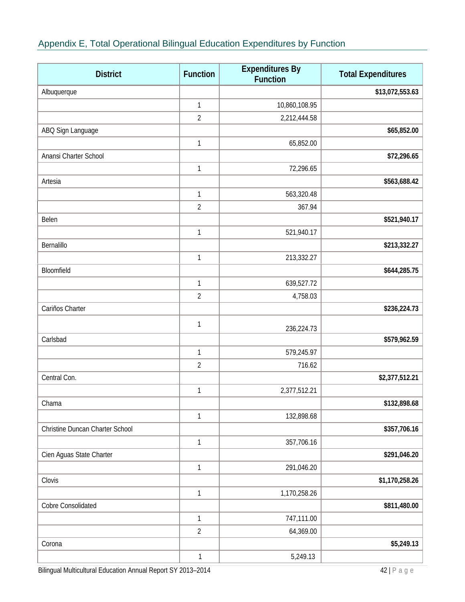### <span id="page-41-0"></span>Appendix E, Total Operational Bilingual Education Expenditures by Function

| <b>District</b>                                              | <b>Function</b> | <b>Expenditures By</b><br><b>Function</b> | <b>Total Expenditures</b> |
|--------------------------------------------------------------|-----------------|-------------------------------------------|---------------------------|
| Albuquerque                                                  |                 |                                           | \$13,072,553.63           |
|                                                              | 1               | 10,860,108.95                             |                           |
|                                                              | $\overline{2}$  | 2,212,444.58                              |                           |
| ABQ Sign Language                                            |                 |                                           | \$65,852.00               |
|                                                              | $\mathbf{1}$    | 65,852.00                                 |                           |
| Anansi Charter School                                        |                 |                                           | \$72,296.65               |
|                                                              | 1               | 72,296.65                                 |                           |
| Artesia                                                      |                 |                                           | \$563,688.42              |
|                                                              | $\mathbf{1}$    | 563,320.48                                |                           |
|                                                              | $\overline{2}$  | 367.94                                    |                           |
| Belen                                                        |                 |                                           | \$521,940.17              |
|                                                              | 1               | 521,940.17                                |                           |
| Bernalillo                                                   |                 |                                           | \$213,332.27              |
|                                                              | $\mathbf{1}$    | 213,332.27                                |                           |
| Bloomfield                                                   |                 |                                           | \$644,285.75              |
|                                                              | 1               | 639,527.72                                |                           |
|                                                              | $\overline{2}$  | 4,758.03                                  |                           |
| Cariños Charter                                              |                 |                                           | \$236,224.73              |
|                                                              | 1               |                                           |                           |
| Carlsbad                                                     |                 | 236,224.73                                |                           |
|                                                              | 1               |                                           | \$579,962.59              |
|                                                              |                 | 579,245.97                                |                           |
|                                                              | $\overline{2}$  | 716.62                                    |                           |
| Central Con.                                                 |                 |                                           | \$2,377,512.21            |
|                                                              | $\mathbf 1$     | 2,377,512.21                              |                           |
| Chama                                                        |                 |                                           | \$132,898.68              |
|                                                              | 1               | 132,898.68                                |                           |
| Christine Duncan Charter School                              |                 |                                           | \$357,706.16              |
|                                                              | $\mathbf{1}$    | 357,706.16                                |                           |
| Cien Aguas State Charter                                     |                 |                                           | \$291,046.20              |
|                                                              | $\mathbf{1}$    | 291,046.20                                |                           |
| Clovis                                                       |                 |                                           | \$1,170,258.26            |
|                                                              | $\mathbf{1}$    | 1,170,258.26                              |                           |
| Cobre Consolidated                                           |                 |                                           | \$811,480.00              |
|                                                              | 1               | 747,111.00                                |                           |
|                                                              | $\overline{2}$  | 64,369.00                                 |                           |
| Corona                                                       |                 |                                           | \$5,249.13                |
|                                                              | $\mathbf{1}$    | 5,249.13                                  |                           |
| Bilingual Multicultural Education Annual Report SY 2013-2014 |                 |                                           | $42$   P a g e            |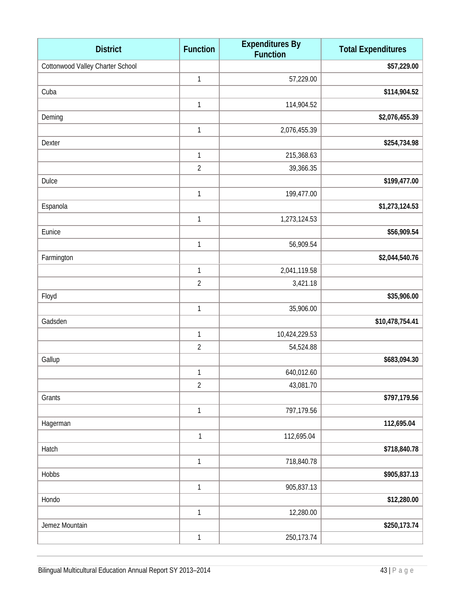| <b>District</b>                  | <b>Function</b> | <b>Expenditures By</b><br><b>Function</b> | <b>Total Expenditures</b> |
|----------------------------------|-----------------|-------------------------------------------|---------------------------|
| Cottonwood Valley Charter School |                 |                                           | \$57,229.00               |
|                                  | $\mathbf 1$     | 57,229.00                                 |                           |
| Cuba                             |                 |                                           | \$114,904.52              |
|                                  | $\mathbbm{1}$   | 114,904.52                                |                           |
| Deming                           |                 |                                           | \$2,076,455.39            |
|                                  | $\mathbf 1$     | 2,076,455.39                              |                           |
| Dexter                           |                 |                                           | \$254,734.98              |
|                                  | $\mathbf{1}$    | 215,368.63                                |                           |
|                                  | $\overline{2}$  | 39,366.35                                 |                           |
| Dulce                            |                 |                                           | \$199,477.00              |
|                                  | $\mathbf{1}$    | 199,477.00                                |                           |
| Espanola                         |                 |                                           | \$1,273,124.53            |
|                                  | $\mathbf 1$     | 1,273,124.53                              |                           |
| Eunice                           |                 |                                           | \$56,909.54               |
|                                  | $\mathbf 1$     | 56,909.54                                 |                           |
| Farmington                       |                 |                                           | \$2,044,540.76            |
|                                  | $\mathbf{1}$    | 2,041,119.58                              |                           |
|                                  | $\overline{2}$  | 3,421.18                                  |                           |
| Floyd                            |                 |                                           | \$35,906.00               |
|                                  | $\mathbf 1$     | 35,906.00                                 |                           |
| Gadsden                          |                 |                                           | \$10,478,754.41           |
|                                  | $\mathbf{1}$    | 10,424,229.53                             |                           |
|                                  | $\overline{2}$  | 54,524.88                                 |                           |
| Gallup                           |                 |                                           | \$683,094.30              |
|                                  | $\mathbf 1$     | 640,012.60                                |                           |
|                                  | $\overline{2}$  | 43,081.70                                 |                           |
| Grants                           |                 |                                           | \$797,179.56              |
|                                  | $\mathbf{1}$    | 797,179.56                                |                           |
| Hagerman                         |                 |                                           | 112,695.04                |
|                                  | $\mathbf{1}$    | 112,695.04                                |                           |
| Hatch                            |                 |                                           | \$718,840.78              |
|                                  | $\mathbf{1}$    | 718,840.78                                |                           |
| Hobbs                            |                 |                                           | \$905,837.13              |
|                                  | $\mathbf{1}$    | 905,837.13                                |                           |
| Hondo                            |                 |                                           | \$12,280.00               |
|                                  | 1               | 12,280.00                                 |                           |
| Jemez Mountain                   |                 |                                           | \$250,173.74              |
|                                  | $\mathbf 1$     | 250,173.74                                |                           |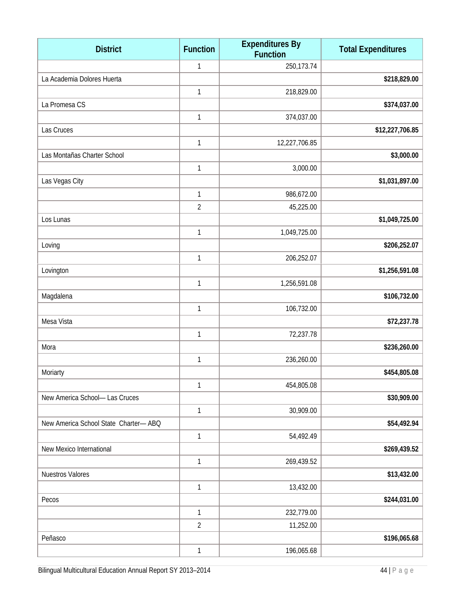| <b>District</b>                      | <b>Function</b> | <b>Expenditures By</b><br><b>Function</b> | <b>Total Expenditures</b> |
|--------------------------------------|-----------------|-------------------------------------------|---------------------------|
|                                      | $\mathbf 1$     | 250,173.74                                |                           |
| La Academia Dolores Huerta           |                 |                                           | \$218,829.00              |
|                                      | $\mathbf{1}$    | 218,829.00                                |                           |
| La Promesa CS                        |                 |                                           | \$374,037.00              |
|                                      | $\mathbf{1}$    | 374,037.00                                |                           |
| Las Cruces                           |                 |                                           | \$12,227,706.85           |
|                                      | $\mathbf{1}$    | 12,227,706.85                             |                           |
| Las Montañas Charter School          |                 |                                           | \$3,000.00                |
|                                      | $\mathbf{1}$    | 3,000.00                                  |                           |
| Las Vegas City                       |                 |                                           | \$1,031,897.00            |
|                                      | 1               | 986,672.00                                |                           |
|                                      | $\overline{2}$  | 45,225.00                                 |                           |
| Los Lunas                            |                 |                                           | \$1,049,725.00            |
|                                      | $\mathbf{1}$    | 1,049,725.00                              |                           |
| Loving                               |                 |                                           | \$206,252.07              |
|                                      | $\mathbf{1}$    | 206,252.07                                |                           |
| Lovington                            |                 |                                           | \$1,256,591.08            |
|                                      | $\mathbf{1}$    | 1,256,591.08                              |                           |
| Magdalena                            |                 |                                           | \$106,732.00              |
|                                      | $\mathbf{1}$    | 106,732.00                                |                           |
| Mesa Vista                           |                 |                                           | \$72,237.78               |
|                                      | $\mathbf{1}$    | 72,237.78                                 |                           |
| Mora                                 |                 |                                           | \$236,260.00              |
|                                      | $\mathbf{1}$    | 236,260.00                                |                           |
| Moriarty                             |                 |                                           | \$454,805.08              |
|                                      | 1               | 454,805.08                                |                           |
| New America School- Las Cruces       |                 |                                           | \$30,909.00               |
|                                      | $\mathbf{1}$    | 30,909.00                                 |                           |
| New America School State Charter-ABQ |                 |                                           | \$54,492.94               |
|                                      | $\mathbf{1}$    | 54,492.49                                 |                           |
| New Mexico International             |                 |                                           | \$269,439.52              |
|                                      | $\mathbf{1}$    | 269,439.52                                |                           |
| Nuestros Valores                     |                 |                                           | \$13,432.00               |
|                                      | $\mathbf{1}$    | 13,432.00                                 |                           |
| Pecos                                |                 |                                           | \$244,031.00              |
|                                      | 1               | 232,779.00                                |                           |
|                                      | $\overline{2}$  | 11,252.00                                 |                           |
| Peñasco                              |                 |                                           | \$196,065.68              |
|                                      | $\mathbf{1}$    | 196,065.68                                |                           |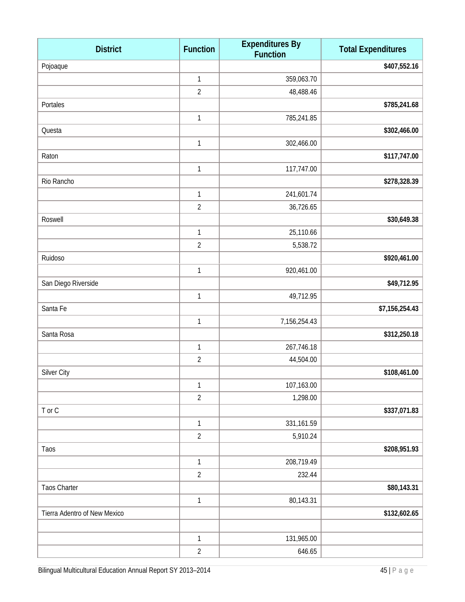| <b>District</b>              | <b>Function</b> | <b>Expenditures By</b><br><b>Function</b> | <b>Total Expenditures</b> |
|------------------------------|-----------------|-------------------------------------------|---------------------------|
| Pojoaque                     |                 |                                           | \$407,552.16              |
|                              | $\mathbf 1$     | 359,063.70                                |                           |
|                              | $\overline{2}$  | 48,488.46                                 |                           |
| Portales                     |                 |                                           | \$785,241.68              |
|                              | $\mathbf{1}$    | 785,241.85                                |                           |
| Questa                       |                 |                                           | \$302,466.00              |
|                              | $\mathbf{1}$    | 302,466.00                                |                           |
| Raton                        |                 |                                           | \$117,747.00              |
|                              | $\mathbf 1$     | 117,747.00                                |                           |
| Rio Rancho                   |                 |                                           | \$278,328.39              |
|                              | $\mathbf 1$     | 241,601.74                                |                           |
|                              | $\overline{2}$  | 36,726.65                                 |                           |
| Roswell                      |                 |                                           | \$30,649.38               |
|                              | $\mathbf 1$     | 25,110.66                                 |                           |
|                              | $\overline{2}$  | 5,538.72                                  |                           |
| Ruidoso                      |                 |                                           | \$920,461.00              |
|                              | $\mathbf{1}$    | 920,461.00                                |                           |
| San Diego Riverside          |                 |                                           | \$49,712.95               |
|                              | $\mathbf{1}$    | 49,712.95                                 |                           |
| Santa Fe                     |                 |                                           | \$7,156,254.43            |
|                              | $\mathbf{1}$    | 7,156,254.43                              |                           |
| Santa Rosa                   |                 |                                           | \$312,250.18              |
|                              | $\mathbf{1}$    | 267,746.18                                |                           |
|                              | $\overline{2}$  | 44,504.00                                 |                           |
| Silver City                  |                 |                                           | \$108,461.00              |
|                              | $\mathbf 1$     | 107,163.00                                |                           |
|                              | $\overline{2}$  | 1,298.00                                  |                           |
| T or C                       |                 |                                           | \$337,071.83              |
|                              | $\mathbf{1}$    | 331, 161.59                               |                           |
|                              | $\overline{2}$  | 5,910.24                                  |                           |
| Taos                         |                 |                                           | \$208,951.93              |
|                              | $\mathbf{1}$    | 208,719.49                                |                           |
|                              | $\overline{2}$  | 232.44                                    |                           |
| <b>Taos Charter</b>          |                 |                                           | \$80,143.31               |
|                              | $\mathbf{1}$    | 80,143.31                                 |                           |
| Tierra Adentro of New Mexico |                 |                                           | \$132,602.65              |
|                              |                 |                                           |                           |
|                              | $\mathbf{1}$    | 131,965.00                                |                           |
|                              | $\overline{2}$  | 646.65                                    |                           |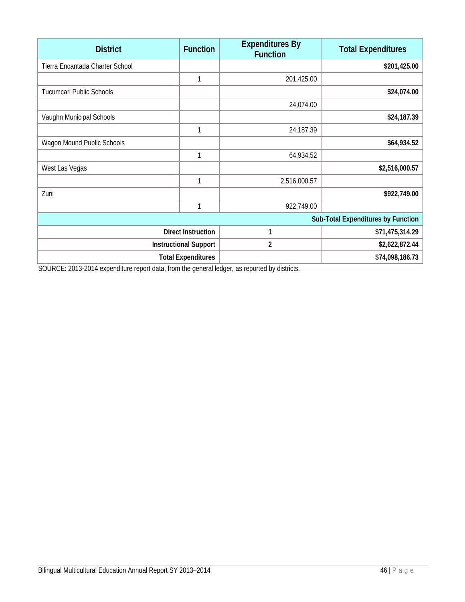| <b>District</b>                 | <b>Function</b>              | <b>Expenditures By</b><br><b>Function</b> | <b>Total Expenditures</b>                 |
|---------------------------------|------------------------------|-------------------------------------------|-------------------------------------------|
| Tierra Encantada Charter School |                              |                                           | \$201,425.00                              |
|                                 |                              | 201,425.00                                |                                           |
| Tucumcari Public Schools        |                              |                                           | \$24,074.00                               |
|                                 |                              | 24,074.00                                 |                                           |
| Vaughn Municipal Schools        |                              |                                           | \$24,187.39                               |
|                                 | 1                            | 24,187.39                                 |                                           |
| Wagon Mound Public Schools      |                              |                                           | \$64,934.52                               |
|                                 | 1                            | 64,934.52                                 |                                           |
| West Las Vegas                  |                              |                                           | \$2,516,000.57                            |
|                                 | 1                            | 2,516,000.57                              |                                           |
| Zuni                            |                              |                                           | \$922,749.00                              |
|                                 |                              | 922,749.00                                |                                           |
|                                 |                              |                                           | <b>Sub-Total Expenditures by Function</b> |
|                                 | <b>Direct Instruction</b>    | 1                                         | \$71,475,314.29                           |
|                                 | <b>Instructional Support</b> | $\overline{2}$                            | \$2,622,872.44                            |
|                                 | <b>Total Expenditures</b>    |                                           | \$74,098,186.73                           |

SOURCE: 2013-2014 expenditure report data, from the general ledger, as reported by districts.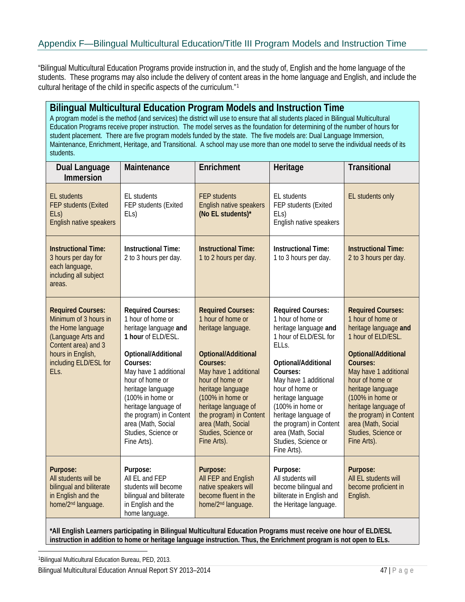<span id="page-46-0"></span>"Bilingual Multicultural Education Programs provide instruction in, and the study of, English and the home language of the students. These programs may also include the delivery of content areas in the home language and English, and include the cultural heritage of the child in specific aspects of the curriculum."[1](#page-46-1)

#### **Bilingual Multicultural Education Program Models and Instruction Time**

A program model is the method (and services) the district will use to ensure that all students placed in Bilingual Multicultural Education Programs receive proper instruction. The model serves as the foundation for determining of the number of hours for student placement. There are five program models funded by the state. The five models are: Dual Language Immersion, Maintenance, Enrichment, Heritage, and Transitional. A school may use more than one model to serve the individual needs of its students.

| <b>Dual Language</b><br>Immersion                                                                                                                                         | Maintenance                                                                                                                                                                                                                                                                                                                         | Enrichment                                                                                                                                                                                                                                                                                                 | Heritage                                                                                                                                                                                                                                                                                                                                                     | <b>Transitional</b>                                                                                                                                                                                                                                                                                                                 |
|---------------------------------------------------------------------------------------------------------------------------------------------------------------------------|-------------------------------------------------------------------------------------------------------------------------------------------------------------------------------------------------------------------------------------------------------------------------------------------------------------------------------------|------------------------------------------------------------------------------------------------------------------------------------------------------------------------------------------------------------------------------------------------------------------------------------------------------------|--------------------------------------------------------------------------------------------------------------------------------------------------------------------------------------------------------------------------------------------------------------------------------------------------------------------------------------------------------------|-------------------------------------------------------------------------------------------------------------------------------------------------------------------------------------------------------------------------------------------------------------------------------------------------------------------------------------|
| <b>EL students</b><br><b>FEP students (Exited</b><br>ELS)<br>English native speakers                                                                                      | <b>EL</b> students<br>FEP students (Exited<br>ELS)                                                                                                                                                                                                                                                                                  | <b>FEP students</b><br>English native speakers<br>(No EL students)*                                                                                                                                                                                                                                        | EL students<br>FEP students (Exited<br>ELS)<br>English native speakers                                                                                                                                                                                                                                                                                       | EL students only                                                                                                                                                                                                                                                                                                                    |
| <b>Instructional Time:</b><br>3 hours per day for<br>each language,<br>including all subject<br>areas.                                                                    | <b>Instructional Time:</b><br>2 to 3 hours per day.                                                                                                                                                                                                                                                                                 | <b>Instructional Time:</b><br>1 to 2 hours per day.                                                                                                                                                                                                                                                        | <b>Instructional Time:</b><br>1 to 3 hours per day.                                                                                                                                                                                                                                                                                                          | <b>Instructional Time:</b><br>2 to 3 hours per day.                                                                                                                                                                                                                                                                                 |
| <b>Required Courses:</b><br>Minimum of 3 hours in<br>the Home language<br>(Language Arts and<br>Content area) and 3<br>hours in English,<br>including ELD/ESL for<br>ELs. | <b>Required Courses:</b><br>1 hour of home or<br>heritage language and<br>1 hour of ELD/ESL.<br>Optional/Additional<br>Courses:<br>May have 1 additional<br>hour of home or<br>heritage language<br>(100% in home or<br>heritage language of<br>the program) in Content<br>area (Math, Social<br>Studies, Science or<br>Fine Arts). | <b>Required Courses:</b><br>1 hour of home or<br>heritage language.<br>Optional/Additional<br>Courses:<br>May have 1 additional<br>hour of home or<br>heritage language<br>(100% in home or<br>heritage language of<br>the program) in Content<br>area (Math, Social<br>Studies, Science or<br>Fine Arts). | <b>Required Courses:</b><br>1 hour of home or<br>heritage language and<br>1 hour of ELD/ESL for<br>ELL <sub>S</sub> .<br>Optional/Additional<br>Courses:<br>May have 1 additional<br>hour of home or<br>heritage language<br>(100% in home or<br>heritage language of<br>the program) in Content<br>area (Math, Social<br>Studies, Science or<br>Fine Arts). | <b>Required Courses:</b><br>1 hour of home or<br>heritage language and<br>1 hour of ELD/ESL.<br>Optional/Additional<br>Courses:<br>May have 1 additional<br>hour of home or<br>heritage language<br>(100% in home or<br>heritage language of<br>the program) in Content<br>area (Math, Social<br>Studies, Science or<br>Fine Arts). |
| Purpose:<br>All students will be<br>bilingual and biliterate<br>in English and the<br>home/2 <sup>nd</sup> language.                                                      | Purpose:<br>All EL and FEP<br>students will become<br>bilingual and biliterate<br>in English and the<br>home language.                                                                                                                                                                                                              | Purpose:<br>All FEP and English<br>native speakers will<br>become fluent in the<br>home/2 <sup>nd</sup> language.                                                                                                                                                                                          | Purpose:<br>All students will<br>become bilingual and<br>biliterate in English and<br>the Heritage language.                                                                                                                                                                                                                                                 | Purpose:<br>All EL students will<br>become proficient in<br>English.                                                                                                                                                                                                                                                                |

**\*All English Learners participating in Bilingual Multicultural Education Programs must receive one hour of ELD/ESL instruction in addition to home or heritage language instruction. Thus, the Enrichment program is not open to ELs.**

<span id="page-46-1"></span> <sup>1</sup>Bilingual Multicultural Education Bureau, PED, 2013.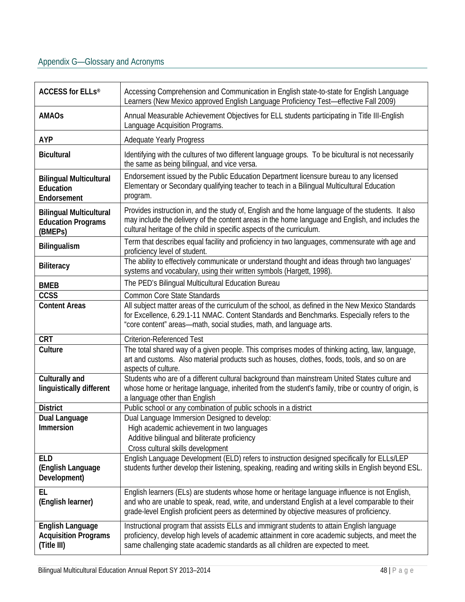### <span id="page-47-0"></span>Appendix G—Glossary and Acronyms

| <b>ACCESS for ELLS®</b>                                                | Accessing Comprehension and Communication in English state-to-state for English Language<br>Learners (New Mexico approved English Language Proficiency Test-effective Fall 2009)                                                                                                             |
|------------------------------------------------------------------------|----------------------------------------------------------------------------------------------------------------------------------------------------------------------------------------------------------------------------------------------------------------------------------------------|
| <b>AMAOs</b>                                                           | Annual Measurable Achievement Objectives for ELL students participating in Title III-English<br>Language Acquisition Programs.                                                                                                                                                               |
| <b>AYP</b>                                                             | <b>Adequate Yearly Progress</b>                                                                                                                                                                                                                                                              |
| <b>Bicultural</b>                                                      | Identifying with the cultures of two different language groups. To be bicultural is not necessarily<br>the same as being bilingual, and vice versa.                                                                                                                                          |
| <b>Bilingual Multicultural</b><br>Education<br>Endorsement             | Endorsement issued by the Public Education Department licensure bureau to any licensed<br>Elementary or Secondary qualifying teacher to teach in a Bilingual Multicultural Education<br>program.                                                                                             |
| <b>Bilingual Multicultural</b><br><b>Education Programs</b><br>(BMEPs) | Provides instruction in, and the study of, English and the home language of the students. It also<br>may include the delivery of the content areas in the home language and English, and includes the<br>cultural heritage of the child in specific aspects of the curriculum.               |
| Bilingualism                                                           | Term that describes equal facility and proficiency in two languages, commensurate with age and<br>proficiency level of student.                                                                                                                                                              |
| <b>Biliteracy</b>                                                      | The ability to effectively communicate or understand thought and ideas through two languages'<br>systems and vocabulary, using their written symbols (Hargett, 1998).                                                                                                                        |
| <b>BMEB</b>                                                            | The PED's Bilingual Multicultural Education Bureau                                                                                                                                                                                                                                           |
| <b>CCSS</b>                                                            | <b>Common Core State Standards</b>                                                                                                                                                                                                                                                           |
| <b>Content Areas</b>                                                   | All subject matter areas of the curriculum of the school, as defined in the New Mexico Standards<br>for Excellence, 6.29.1-11 NMAC. Content Standards and Benchmarks. Especially refers to the<br>"core content" areas—math, social studies, math, and language arts.                        |
| <b>CRT</b>                                                             | <b>Criterion-Referenced Test</b>                                                                                                                                                                                                                                                             |
| Culture                                                                | The total shared way of a given people. This comprises modes of thinking acting, law, language,<br>art and customs. Also material products such as houses, clothes, foods, tools, and so on are<br>aspects of culture.                                                                       |
| Culturally and<br>linguistically different                             | Students who are of a different cultural background than mainstream United States culture and<br>whose home or heritage language, inherited from the student's family, tribe or country of origin, is<br>a language other than English                                                       |
| <b>District</b>                                                        | Public school or any combination of public schools in a district                                                                                                                                                                                                                             |
| Dual Language                                                          | Dual Language Immersion Designed to develop:                                                                                                                                                                                                                                                 |
| Immersion                                                              | High academic achievement in two languages<br>Additive bilingual and biliterate proficiency<br>Cross cultural skills development                                                                                                                                                             |
| <b>ELD</b><br>(English Language<br>Development)                        | English Language Development (ELD) refers to instruction designed specifically for ELLs/LEP<br>students further develop their listening, speaking, reading and writing skills in English beyond ESL.                                                                                         |
| EL<br>(English learner)                                                | English learners (ELs) are students whose home or heritage language influence is not English,<br>and who are unable to speak, read, write, and understand English at a level comparable to their<br>grade-level English proficient peers as determined by objective measures of proficiency. |
| <b>English Language</b><br><b>Acquisition Programs</b><br>(Title III)  | Instructional program that assists ELLs and immigrant students to attain English language<br>proficiency, develop high levels of academic attainment in core academic subjects, and meet the<br>same challenging state academic standards as all children are expected to meet.              |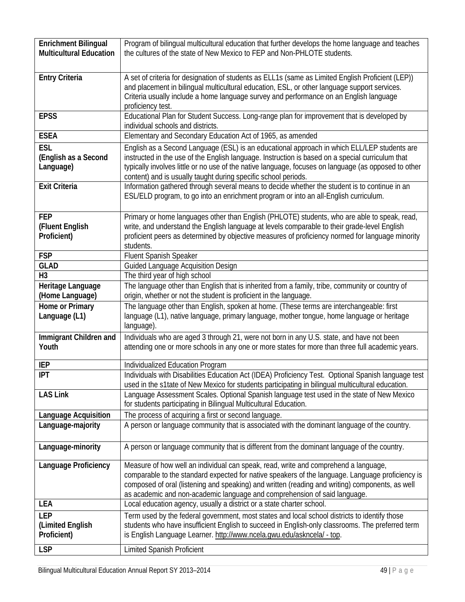| <b>Enrichment Bilingual</b><br><b>Multicultural Education</b> | Program of bilingual multicultural education that further develops the home language and teaches<br>the cultures of the state of New Mexico to FEP and Non-PHLOTE students.                                                                                                                                                                                               |
|---------------------------------------------------------------|---------------------------------------------------------------------------------------------------------------------------------------------------------------------------------------------------------------------------------------------------------------------------------------------------------------------------------------------------------------------------|
| <b>Entry Criteria</b>                                         | A set of criteria for designation of students as ELL1s (same as Limited English Proficient (LEP))<br>and placement in bilingual multicultural education, ESL, or other language support services.<br>Criteria usually include a home language survey and performance on an English language<br>proficiency test.                                                          |
| <b>EPSS</b>                                                   | Educational Plan for Student Success. Long-range plan for improvement that is developed by<br>individual schools and districts.                                                                                                                                                                                                                                           |
| <b>ESEA</b>                                                   | Elementary and Secondary Education Act of 1965, as amended                                                                                                                                                                                                                                                                                                                |
| <b>ESL</b><br>(English as a Second<br>Language)               | English as a Second Language (ESL) is an educational approach in which ELL/LEP students are<br>instructed in the use of the English language. Instruction is based on a special curriculum that<br>typically involves little or no use of the native language, focuses on language (as opposed to other<br>content) and is usually taught during specific school periods. |
| <b>Exit Criteria</b>                                          | Information gathered through several means to decide whether the student is to continue in an<br>ESL/ELD program, to go into an enrichment program or into an all-English curriculum.                                                                                                                                                                                     |
| <b>FEP</b><br>(Fluent English<br>Proficient)                  | Primary or home languages other than English (PHLOTE) students, who are able to speak, read,<br>write, and understand the English language at levels comparable to their grade-level English<br>proficient peers as determined by objective measures of proficiency normed for language minority<br>students.                                                             |
| <b>FSP</b>                                                    | Fluent Spanish Speaker                                                                                                                                                                                                                                                                                                                                                    |
| <b>GLAD</b>                                                   | Guided Language Acquisition Design                                                                                                                                                                                                                                                                                                                                        |
| H <sub>3</sub>                                                | The third year of high school                                                                                                                                                                                                                                                                                                                                             |
| Heritage Language<br>(Home Language)                          | The language other than English that is inherited from a family, tribe, community or country of<br>origin, whether or not the student is proficient in the language.                                                                                                                                                                                                      |
| Home or Primary<br>Language (L1)                              | The language other than English, spoken at home. (These terms are interchangeable: first<br>language (L1), native language, primary language, mother tongue, home language or heritage<br>language).                                                                                                                                                                      |
| Immigrant Children and<br>Youth                               | Individuals who are aged 3 through 21, were not born in any U.S. state, and have not been<br>attending one or more schools in any one or more states for more than three full academic years.                                                                                                                                                                             |
| <b>IEP</b>                                                    | Individualized Education Program                                                                                                                                                                                                                                                                                                                                          |
| <b>IPT</b>                                                    | Individuals with Disabilities Education Act (IDEA) Proficiency Test. Optional Spanish language test<br>used in the s1tate of New Mexico for students participating in bilingual multicultural education.                                                                                                                                                                  |
| <b>LAS Link</b>                                               | Language Assessment Scales. Optional Spanish language test used in the state of New Mexico<br>for students participating in Bilingual Multicultural Education.                                                                                                                                                                                                            |
| Language Acquisition                                          | The process of acquiring a first or second language.                                                                                                                                                                                                                                                                                                                      |
| Language-majority                                             | A person or language community that is associated with the dominant language of the country.                                                                                                                                                                                                                                                                              |
| Language-minority                                             | A person or language community that is different from the dominant language of the country.                                                                                                                                                                                                                                                                               |
| Language Proficiency                                          | Measure of how well an individual can speak, read, write and comprehend a language,<br>comparable to the standard expected for native speakers of the language. Language proficiency is<br>composed of oral (listening and speaking) and written (reading and writing) components, as well<br>as academic and non-academic language and comprehension of said language.   |
| LEA                                                           | Local education agency, usually a district or a state charter school.                                                                                                                                                                                                                                                                                                     |
| <b>LEP</b><br>(Limited English<br>Proficient)                 | Term used by the federal government, most states and local school districts to identify those<br>students who have insufficient English to succeed in English-only classrooms. The preferred term<br>is English Language Learner. http://www.ncela.gwu.edu/askncela/ - top.                                                                                               |
| <b>LSP</b>                                                    | <b>Limited Spanish Proficient</b>                                                                                                                                                                                                                                                                                                                                         |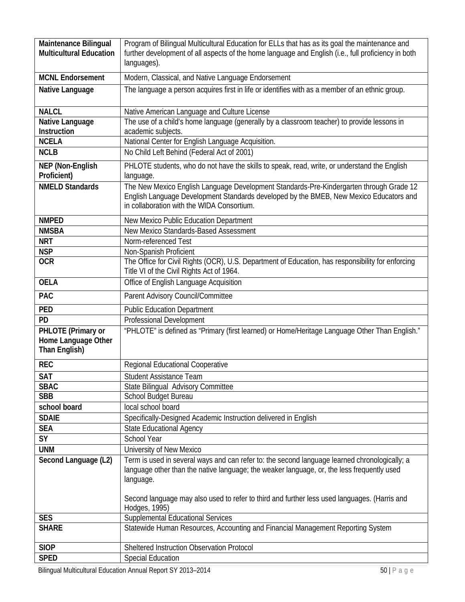| <b>Maintenance Bilingual</b><br><b>Multicultural Education</b> | Program of Bilingual Multicultural Education for ELLs that has as its goal the maintenance and<br>further development of all aspects of the home language and English (i.e., full proficiency in both<br>languages).            |  |
|----------------------------------------------------------------|---------------------------------------------------------------------------------------------------------------------------------------------------------------------------------------------------------------------------------|--|
| <b>MCNL Endorsement</b>                                        | Modern, Classical, and Native Language Endorsement                                                                                                                                                                              |  |
| Native Language                                                | The language a person acquires first in life or identifies with as a member of an ethnic group.                                                                                                                                 |  |
| <b>NALCL</b>                                                   | Native American Language and Culture License                                                                                                                                                                                    |  |
| Native Language                                                | The use of a child's home language (generally by a classroom teacher) to provide lessons in                                                                                                                                     |  |
| Instruction                                                    | academic subjects.                                                                                                                                                                                                              |  |
| <b>NCELA</b>                                                   | National Center for English Language Acquisition.                                                                                                                                                                               |  |
| <b>NCLB</b>                                                    | No Child Left Behind (Federal Act of 2001)                                                                                                                                                                                      |  |
| NEP (Non-English<br>Proficient)                                | PHLOTE students, who do not have the skills to speak, read, write, or understand the English<br>language.                                                                                                                       |  |
| <b>NMELD Standards</b>                                         | The New Mexico English Language Development Standards-Pre-Kindergarten through Grade 12<br>English Language Development Standards developed by the BMEB, New Mexico Educators and<br>in collaboration with the WIDA Consortium. |  |
| <b>NMPED</b>                                                   | New Mexico Public Education Department                                                                                                                                                                                          |  |
| <b>NMSBA</b>                                                   | New Mexico Standards-Based Assessment                                                                                                                                                                                           |  |
| <b>NRT</b>                                                     | Norm-referenced Test                                                                                                                                                                                                            |  |
| <b>NSP</b>                                                     | Non-Spanish Proficient                                                                                                                                                                                                          |  |
| <b>OCR</b>                                                     | The Office for Civil Rights (OCR), U.S. Department of Education, has responsibility for enforcing<br>Title VI of the Civil Rights Act of 1964.                                                                                  |  |
| <b>OELA</b>                                                    | Office of English Language Acquisition                                                                                                                                                                                          |  |
| PAC                                                            | Parent Advisory Council/Committee                                                                                                                                                                                               |  |
| <b>PED</b>                                                     | <b>Public Education Department</b>                                                                                                                                                                                              |  |
| PD                                                             | Professional Development                                                                                                                                                                                                        |  |
| PHLOTE (Primary or                                             | "PHLOTE" is defined as "Primary (first learned) or Home/Heritage Language Other Than English."                                                                                                                                  |  |
| Home Language Other<br>Than English)                           |                                                                                                                                                                                                                                 |  |
| <b>REC</b>                                                     | Regional Educational Cooperative                                                                                                                                                                                                |  |
| <b>SAT</b>                                                     | <b>Student Assistance Team</b>                                                                                                                                                                                                  |  |
| <b>SBAC</b>                                                    | State Bilingual Advisory Committee                                                                                                                                                                                              |  |
| <b>SBB</b>                                                     | School Budget Bureau                                                                                                                                                                                                            |  |
| school board                                                   | local school board                                                                                                                                                                                                              |  |
| <b>SDAIE</b>                                                   | Specifically-Designed Academic Instruction delivered in English                                                                                                                                                                 |  |
| <b>SEA</b>                                                     | <b>State Educational Agency</b>                                                                                                                                                                                                 |  |
| SY                                                             | <b>School Year</b>                                                                                                                                                                                                              |  |
| <b>UNM</b>                                                     | University of New Mexico                                                                                                                                                                                                        |  |
| Second Language (L2)                                           | Term is used in several ways and can refer to: the second language learned chronologically; a<br>language other than the native language; the weaker language, or, the less frequently used<br>language.                        |  |
|                                                                | Second language may also used to refer to third and further less used languages. (Harris and<br>Hodges, 1995)                                                                                                                   |  |
| <b>SES</b>                                                     | <b>Supplemental Educational Services</b>                                                                                                                                                                                        |  |
| <b>SHARE</b>                                                   | Statewide Human Resources, Accounting and Financial Management Reporting System                                                                                                                                                 |  |
| <b>SIOP</b>                                                    | Sheltered Instruction Observation Protocol                                                                                                                                                                                      |  |
| <b>SPED</b>                                                    | <b>Special Education</b>                                                                                                                                                                                                        |  |